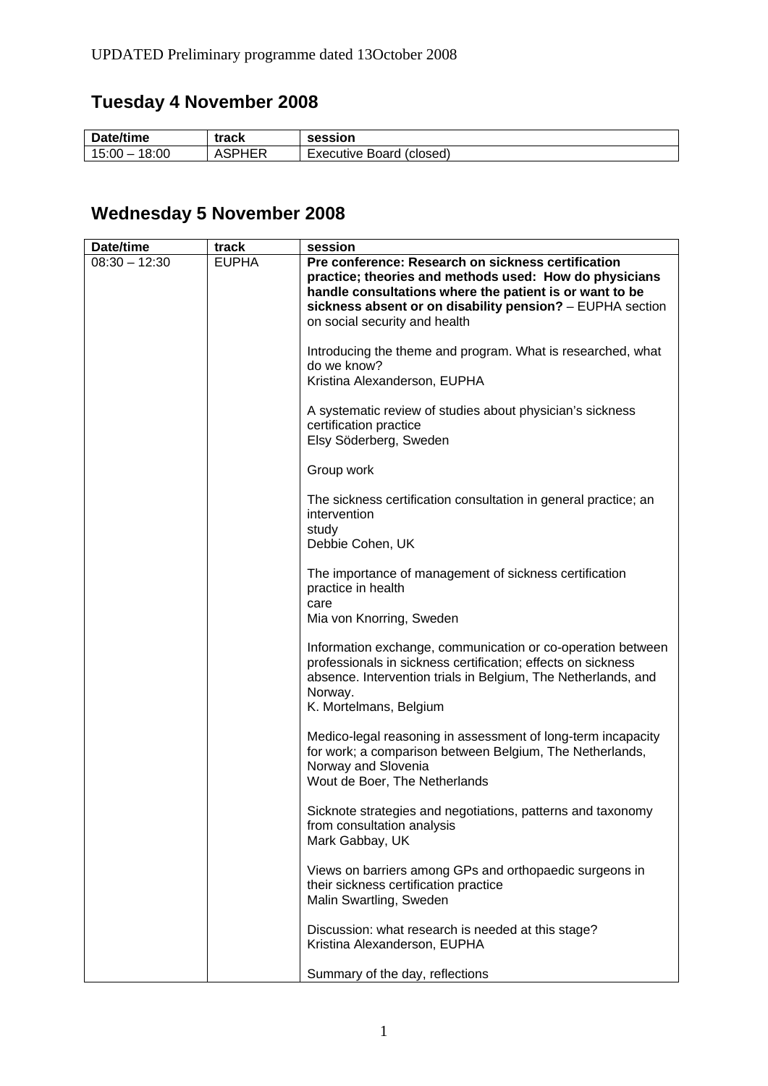# **Tuesday 4 November 2008**

| Date/time | track | <b>session</b> |
|-----------|-------|----------------|
| 18:00     | .     | Board (closed) |
| 15:00 —   | Tw.   | Executive      |

# **Wednesday 5 November 2008**

| Date/time       | track        | session                                                                                                                                                                                                                                                               |
|-----------------|--------------|-----------------------------------------------------------------------------------------------------------------------------------------------------------------------------------------------------------------------------------------------------------------------|
| $08:30 - 12:30$ | <b>EUPHA</b> | Pre conference: Research on sickness certification<br>practice; theories and methods used: How do physicians<br>handle consultations where the patient is or want to be<br>sickness absent or on disability pension? - EUPHA section<br>on social security and health |
|                 |              | Introducing the theme and program. What is researched, what<br>do we know?<br>Kristina Alexanderson, EUPHA                                                                                                                                                            |
|                 |              | A systematic review of studies about physician's sickness<br>certification practice<br>Elsy Söderberg, Sweden                                                                                                                                                         |
|                 |              | Group work                                                                                                                                                                                                                                                            |
|                 |              | The sickness certification consultation in general practice; an<br>intervention<br>study<br>Debbie Cohen, UK                                                                                                                                                          |
|                 |              | The importance of management of sickness certification<br>practice in health<br>care<br>Mia von Knorring, Sweden                                                                                                                                                      |
|                 |              | Information exchange, communication or co-operation between<br>professionals in sickness certification; effects on sickness<br>absence. Intervention trials in Belgium, The Netherlands, and<br>Norway.<br>K. Mortelmans, Belgium                                     |
|                 |              | Medico-legal reasoning in assessment of long-term incapacity<br>for work; a comparison between Belgium, The Netherlands,<br>Norway and Slovenia<br>Wout de Boer, The Netherlands                                                                                      |
|                 |              | Sicknote strategies and negotiations, patterns and taxonomy<br>from consultation analysis<br>Mark Gabbay, UK                                                                                                                                                          |
|                 |              | Views on barriers among GPs and orthopaedic surgeons in<br>their sickness certification practice<br>Malin Swartling, Sweden                                                                                                                                           |
|                 |              | Discussion: what research is needed at this stage?<br>Kristina Alexanderson, EUPHA                                                                                                                                                                                    |
|                 |              | Summary of the day, reflections                                                                                                                                                                                                                                       |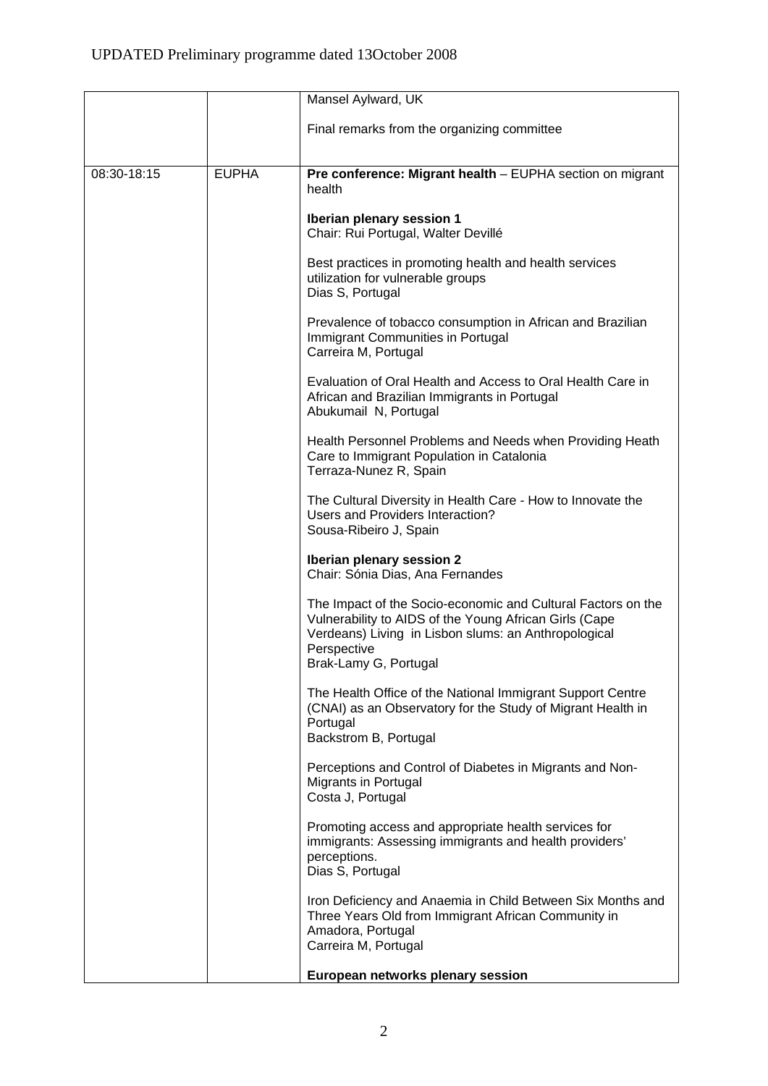|             |              | Mansel Aylward, UK                                                                                                                                                                                                     |
|-------------|--------------|------------------------------------------------------------------------------------------------------------------------------------------------------------------------------------------------------------------------|
|             |              | Final remarks from the organizing committee                                                                                                                                                                            |
| 08:30-18:15 | <b>EUPHA</b> | Pre conference: Migrant health - EUPHA section on migrant<br>health                                                                                                                                                    |
|             |              | Iberian plenary session 1<br>Chair: Rui Portugal, Walter Devillé                                                                                                                                                       |
|             |              | Best practices in promoting health and health services<br>utilization for vulnerable groups<br>Dias S, Portugal                                                                                                        |
|             |              | Prevalence of tobacco consumption in African and Brazilian<br>Immigrant Communities in Portugal<br>Carreira M, Portugal                                                                                                |
|             |              | Evaluation of Oral Health and Access to Oral Health Care in<br>African and Brazilian Immigrants in Portugal<br>Abukumail N, Portugal                                                                                   |
|             |              | Health Personnel Problems and Needs when Providing Heath<br>Care to Immigrant Population in Catalonia<br>Terraza-Nunez R, Spain                                                                                        |
|             |              | The Cultural Diversity in Health Care - How to Innovate the<br>Users and Providers Interaction?<br>Sousa-Ribeiro J, Spain                                                                                              |
|             |              | Iberian plenary session 2<br>Chair: Sónia Dias, Ana Fernandes                                                                                                                                                          |
|             |              | The Impact of the Socio-economic and Cultural Factors on the<br>Vulnerability to AIDS of the Young African Girls (Cape<br>Verdeans) Living in Lisbon slums: an Anthropological<br>Perspective<br>Brak-Lamy G, Portugal |
|             |              | The Health Office of the National Immigrant Support Centre<br>(CNAI) as an Observatory for the Study of Migrant Health in<br>Portugal<br>Backstrom B, Portugal                                                         |
|             |              | Perceptions and Control of Diabetes in Migrants and Non-<br>Migrants in Portugal<br>Costa J, Portugal                                                                                                                  |
|             |              | Promoting access and appropriate health services for<br>immigrants: Assessing immigrants and health providers'<br>perceptions.<br>Dias S, Portugal                                                                     |
|             |              | Iron Deficiency and Anaemia in Child Between Six Months and<br>Three Years Old from Immigrant African Community in<br>Amadora, Portugal<br>Carreira M, Portugal                                                        |
|             |              | European networks plenary session                                                                                                                                                                                      |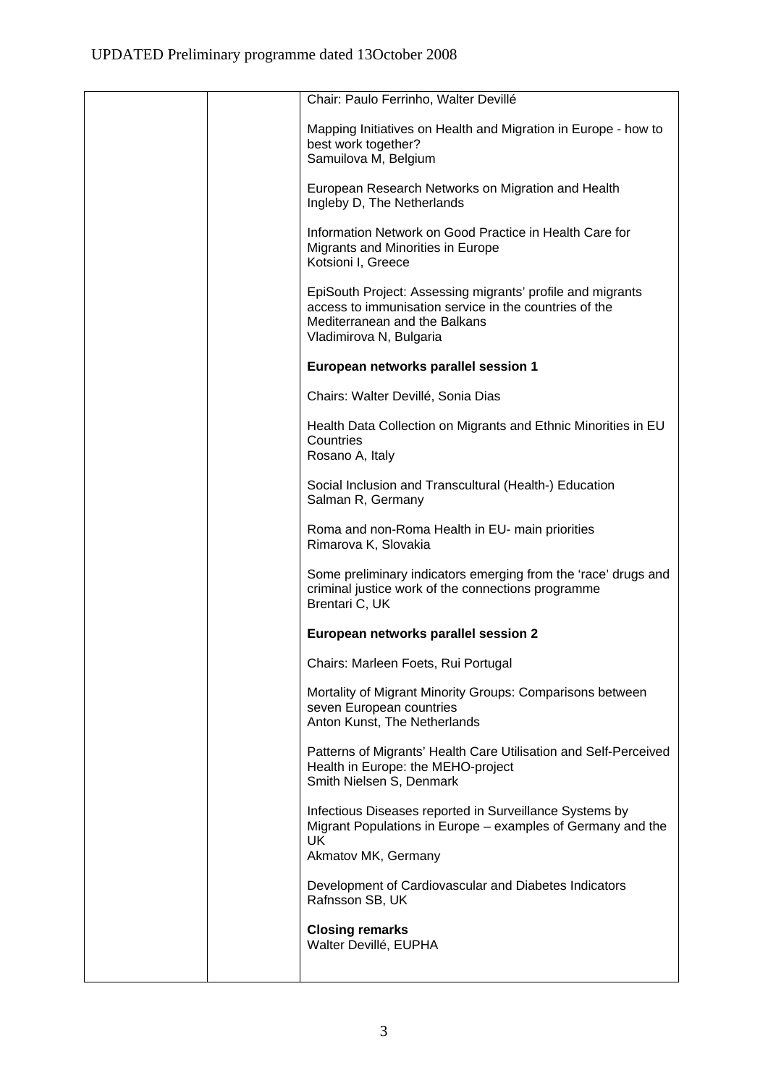| Chair: Paulo Ferrinho, Walter Devillé                                                                                                                                            |
|----------------------------------------------------------------------------------------------------------------------------------------------------------------------------------|
| Mapping Initiatives on Health and Migration in Europe - how to<br>best work together?<br>Samuilova M, Belgium                                                                    |
| European Research Networks on Migration and Health<br>Ingleby D, The Netherlands                                                                                                 |
| Information Network on Good Practice in Health Care for<br>Migrants and Minorities in Europe<br>Kotsioni I, Greece                                                               |
| EpiSouth Project: Assessing migrants' profile and migrants<br>access to immunisation service in the countries of the<br>Mediterranean and the Balkans<br>Vladimirova N, Bulgaria |
| European networks parallel session 1                                                                                                                                             |
| Chairs: Walter Devillé, Sonia Dias                                                                                                                                               |
| Health Data Collection on Migrants and Ethnic Minorities in EU<br>Countries<br>Rosano A, Italy                                                                                   |
| Social Inclusion and Transcultural (Health-) Education<br>Salman R, Germany                                                                                                      |
| Roma and non-Roma Health in EU- main priorities<br>Rimarova K, Slovakia                                                                                                          |
| Some preliminary indicators emerging from the 'race' drugs and<br>criminal justice work of the connections programme<br>Brentari C, UK                                           |
| European networks parallel session 2                                                                                                                                             |
| Chairs: Marleen Foets, Rui Portugal                                                                                                                                              |
| Mortality of Migrant Minority Groups: Comparisons between<br>seven European countries<br>Anton Kunst, The Netherlands                                                            |
| Patterns of Migrants' Health Care Utilisation and Self-Perceived<br>Health in Europe: the MEHO-project<br>Smith Nielsen S, Denmark                                               |
| Infectious Diseases reported in Surveillance Systems by<br>Migrant Populations in Europe – examples of Germany and the<br>UK<br>Akmatov MK, Germany                              |
| Development of Cardiovascular and Diabetes Indicators<br>Rafnsson SB, UK                                                                                                         |
| <b>Closing remarks</b><br>Walter Devillé, EUPHA                                                                                                                                  |
|                                                                                                                                                                                  |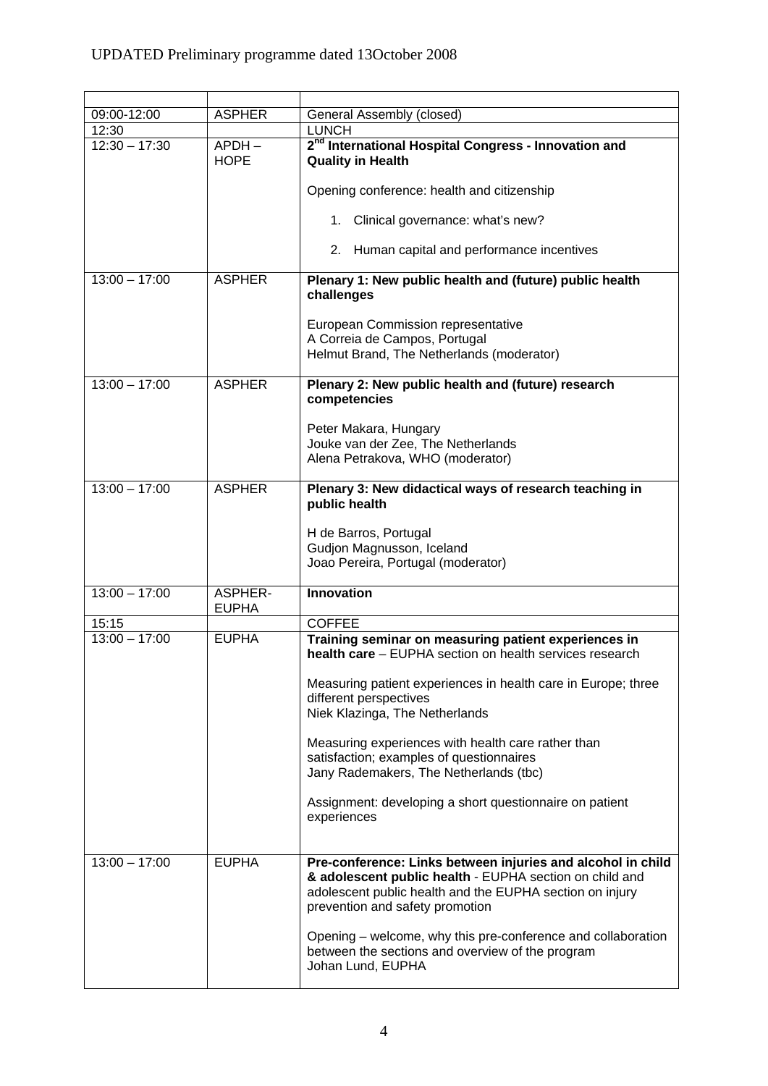| 09:00-12:00     | <b>ASPHER</b>                  | General Assembly (closed)                                                                                                                                                                                             |
|-----------------|--------------------------------|-----------------------------------------------------------------------------------------------------------------------------------------------------------------------------------------------------------------------|
| 12:30           |                                | <b>LUNCH</b>                                                                                                                                                                                                          |
| $12:30 - 17:30$ | $APDH -$<br><b>HOPE</b>        | 2 <sup>nd</sup> International Hospital Congress - Innovation and<br><b>Quality in Health</b>                                                                                                                          |
|                 |                                | Opening conference: health and citizenship                                                                                                                                                                            |
|                 |                                | 1. Clinical governance: what's new?                                                                                                                                                                                   |
|                 |                                | 2. Human capital and performance incentives                                                                                                                                                                           |
| $13:00 - 17:00$ | <b>ASPHER</b>                  | Plenary 1: New public health and (future) public health<br>challenges                                                                                                                                                 |
|                 |                                | European Commission representative                                                                                                                                                                                    |
|                 |                                | A Correia de Campos, Portugal                                                                                                                                                                                         |
|                 |                                | Helmut Brand, The Netherlands (moderator)                                                                                                                                                                             |
| $13:00 - 17:00$ | <b>ASPHER</b>                  | Plenary 2: New public health and (future) research                                                                                                                                                                    |
|                 |                                | competencies                                                                                                                                                                                                          |
|                 |                                |                                                                                                                                                                                                                       |
|                 |                                | Peter Makara, Hungary<br>Jouke van der Zee, The Netherlands                                                                                                                                                           |
|                 |                                | Alena Petrakova, WHO (moderator)                                                                                                                                                                                      |
|                 |                                |                                                                                                                                                                                                                       |
| $13:00 - 17:00$ | <b>ASPHER</b>                  | Plenary 3: New didactical ways of research teaching in<br>public health                                                                                                                                               |
|                 |                                | H de Barros, Portugal                                                                                                                                                                                                 |
|                 |                                | Gudjon Magnusson, Iceland                                                                                                                                                                                             |
|                 |                                | Joao Pereira, Portugal (moderator)                                                                                                                                                                                    |
|                 |                                |                                                                                                                                                                                                                       |
| $13:00 - 17:00$ | <b>ASPHER-</b><br><b>EUPHA</b> | <b>Innovation</b>                                                                                                                                                                                                     |
| 15:15           |                                | <b>COFFEE</b>                                                                                                                                                                                                         |
| $13:00 - 17:00$ | <b>EUPHA</b>                   | Training seminar on measuring patient experiences in<br>health care - EUPHA section on health services research                                                                                                       |
|                 |                                | Measuring patient experiences in health care in Europe; three<br>different perspectives<br>Niek Klazinga, The Netherlands                                                                                             |
|                 |                                |                                                                                                                                                                                                                       |
|                 |                                | Measuring experiences with health care rather than                                                                                                                                                                    |
|                 |                                | satisfaction; examples of questionnaires<br>Jany Rademakers, The Netherlands (tbc)                                                                                                                                    |
|                 |                                |                                                                                                                                                                                                                       |
|                 |                                | Assignment: developing a short questionnaire on patient<br>experiences                                                                                                                                                |
|                 |                                |                                                                                                                                                                                                                       |
| $13:00 - 17:00$ | <b>EUPHA</b>                   | Pre-conference: Links between injuries and alcohol in child<br>& adolescent public health - EUPHA section on child and<br>adolescent public health and the EUPHA section on injury<br>prevention and safety promotion |
|                 |                                | Opening - welcome, why this pre-conference and collaboration<br>between the sections and overview of the program<br>Johan Lund, EUPHA                                                                                 |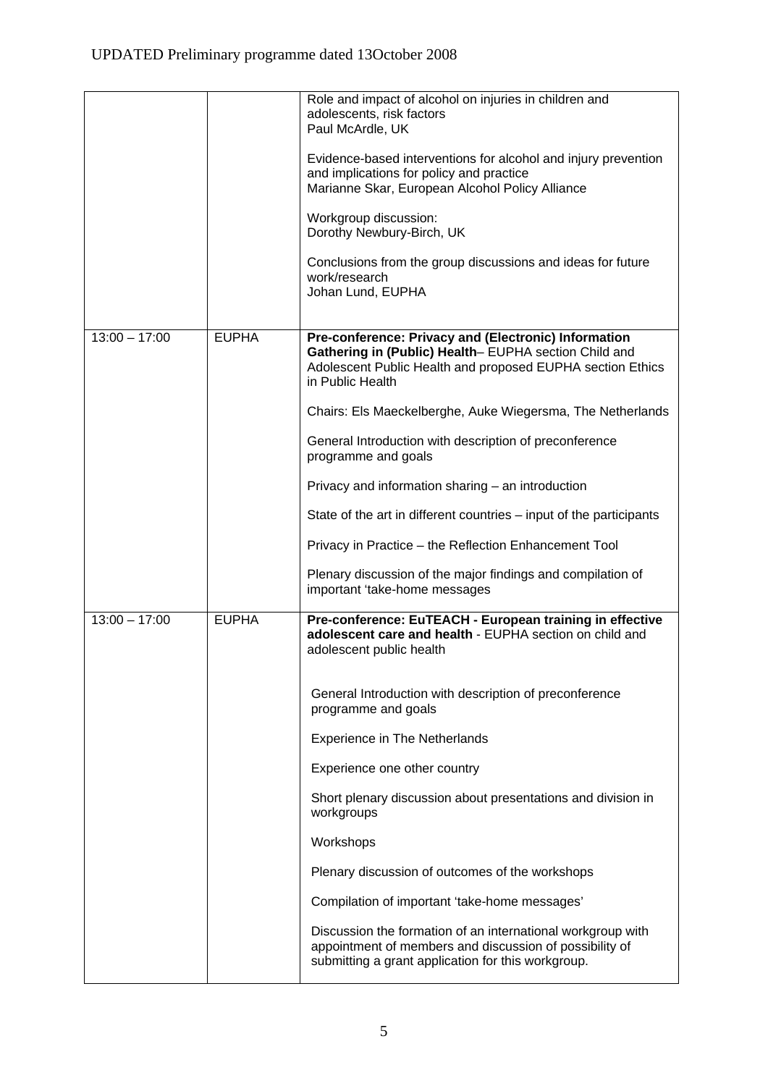|                 |              | Role and impact of alcohol on injuries in children and<br>adolescents, risk factors<br>Paul McArdle, UK<br>Evidence-based interventions for alcohol and injury prevention<br>and implications for policy and practice<br>Marianne Skar, European Alcohol Policy Alliance<br>Workgroup discussion:<br>Dorothy Newbury-Birch, UK<br>Conclusions from the group discussions and ideas for future<br>work/research<br>Johan Lund, EUPHA                                                                                                                                                                                                                                                     |
|-----------------|--------------|-----------------------------------------------------------------------------------------------------------------------------------------------------------------------------------------------------------------------------------------------------------------------------------------------------------------------------------------------------------------------------------------------------------------------------------------------------------------------------------------------------------------------------------------------------------------------------------------------------------------------------------------------------------------------------------------|
| $13:00 - 17:00$ | <b>EUPHA</b> | Pre-conference: Privacy and (Electronic) Information<br>Gathering in (Public) Health-EUPHA section Child and<br>Adolescent Public Health and proposed EUPHA section Ethics<br>in Public Health<br>Chairs: Els Maeckelberghe, Auke Wiegersma, The Netherlands<br>General Introduction with description of preconference<br>programme and goals<br>Privacy and information sharing - an introduction<br>State of the art in different countries – input of the participants<br>Privacy in Practice - the Reflection Enhancement Tool<br>Plenary discussion of the major findings and compilation of<br>important 'take-home messages                                                      |
| $13:00 - 17:00$ | <b>EUPHA</b> | Pre-conference: EuTEACH - European training in effective<br>adolescent care and health - EUPHA section on child and<br>adolescent public health<br>General Introduction with description of preconference<br>programme and goals<br><b>Experience in The Netherlands</b><br>Experience one other country<br>Short plenary discussion about presentations and division in<br>workgroups<br>Workshops<br>Plenary discussion of outcomes of the workshops<br>Compilation of important 'take-home messages'<br>Discussion the formation of an international workgroup with<br>appointment of members and discussion of possibility of<br>submitting a grant application for this workgroup. |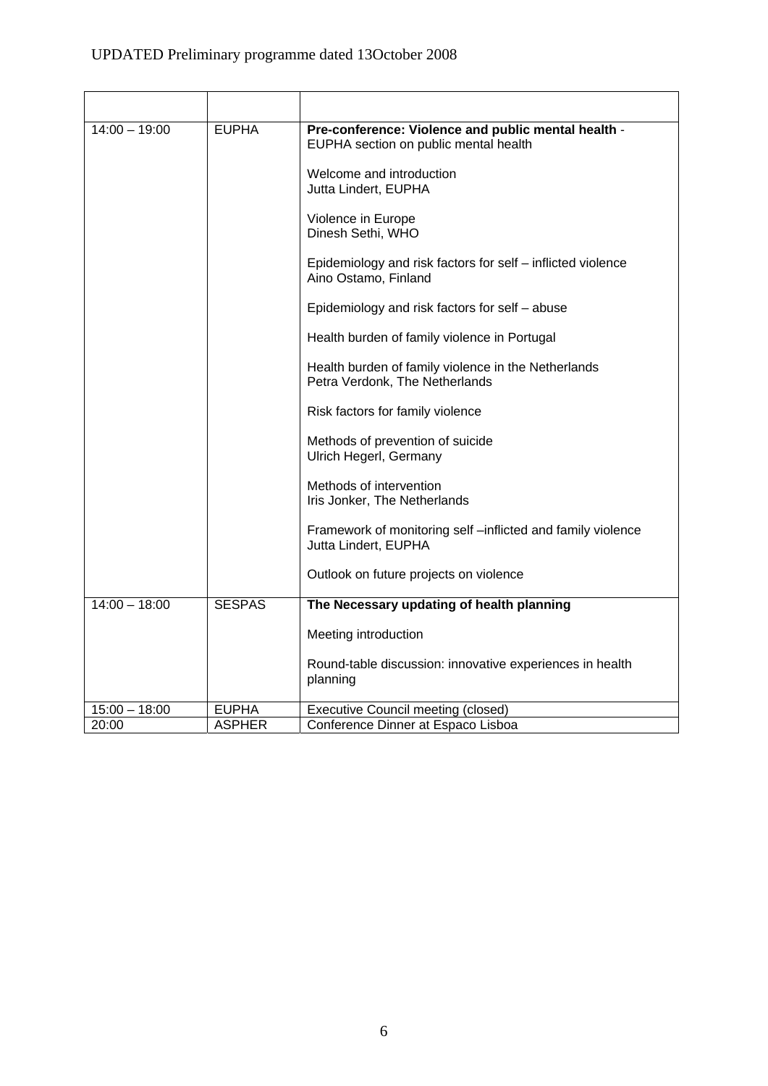| $14:00 - 19:00$ | <b>EUPHA</b>  | Pre-conference: Violence and public mental health -<br>EUPHA section on public mental health |
|-----------------|---------------|----------------------------------------------------------------------------------------------|
|                 |               | Welcome and introduction<br>Jutta Lindert, EUPHA                                             |
|                 |               | Violence in Europe<br>Dinesh Sethi, WHO                                                      |
|                 |               | Epidemiology and risk factors for self - inflicted violence<br>Aino Ostamo, Finland          |
|                 |               | Epidemiology and risk factors for self - abuse                                               |
|                 |               | Health burden of family violence in Portugal                                                 |
|                 |               | Health burden of family violence in the Netherlands<br>Petra Verdonk, The Netherlands        |
|                 |               | Risk factors for family violence                                                             |
|                 |               | Methods of prevention of suicide<br>Ulrich Hegerl, Germany                                   |
|                 |               | Methods of intervention<br>Iris Jonker, The Netherlands                                      |
|                 |               | Framework of monitoring self-inflicted and family violence<br>Jutta Lindert, EUPHA           |
|                 |               | Outlook on future projects on violence                                                       |
| $14:00 - 18:00$ | <b>SESPAS</b> | The Necessary updating of health planning                                                    |
|                 |               | Meeting introduction                                                                         |
|                 |               | Round-table discussion: innovative experiences in health<br>planning                         |
| $15:00 - 18:00$ | <b>EUPHA</b>  | <b>Executive Council meeting (closed)</b>                                                    |
| 20:00           | <b>ASPHER</b> | Conference Dinner at Espaco Lisboa                                                           |

L,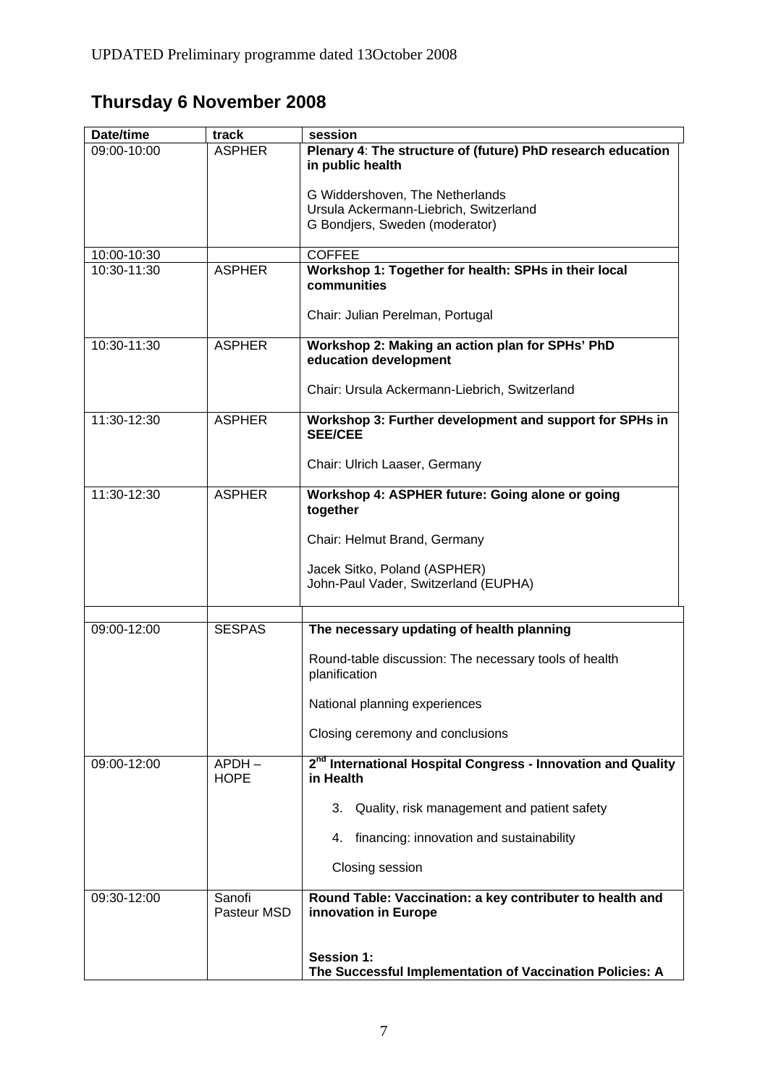# **Thursday 6 November 2008**

| Date/time   | track                   | session                                                                               |
|-------------|-------------------------|---------------------------------------------------------------------------------------|
| 09:00-10:00 | <b>ASPHER</b>           | Plenary 4: The structure of (future) PhD research education<br>in public health       |
|             |                         | G Widdershoven, The Netherlands                                                       |
|             |                         | Ursula Ackermann-Liebrich, Switzerland                                                |
|             |                         | G Bondjers, Sweden (moderator)                                                        |
| 10:00-10:30 |                         | <b>COFFEE</b>                                                                         |
| 10:30-11:30 | <b>ASPHER</b>           | Workshop 1: Together for health: SPHs in their local<br>communities                   |
|             |                         | Chair: Julian Perelman, Portugal                                                      |
| 10:30-11:30 | <b>ASPHER</b>           | Workshop 2: Making an action plan for SPHs' PhD<br>education development              |
|             |                         | Chair: Ursula Ackermann-Liebrich, Switzerland                                         |
| 11:30-12:30 | <b>ASPHER</b>           | Workshop 3: Further development and support for SPHs in<br><b>SEE/CEE</b>             |
|             |                         | Chair: Ulrich Laaser, Germany                                                         |
| 11:30-12:30 | <b>ASPHER</b>           | Workshop 4: ASPHER future: Going alone or going<br>together                           |
|             |                         | Chair: Helmut Brand, Germany                                                          |
|             |                         | Jacek Sitko, Poland (ASPHER)<br>John-Paul Vader, Switzerland (EUPHA)                  |
| 09:00-12:00 | <b>SESPAS</b>           | The necessary updating of health planning                                             |
|             |                         | Round-table discussion: The necessary tools of health<br>planification                |
|             |                         | National planning experiences                                                         |
|             |                         | Closing ceremony and conclusions                                                      |
| 09:00-12:00 | $APDH -$<br><b>HOPE</b> | 2 <sup>nd</sup> International Hospital Congress - Innovation and Quality<br>in Health |
|             |                         | 3. Quality, risk management and patient safety                                        |
|             |                         | 4. financing: innovation and sustainability                                           |
|             |                         | Closing session                                                                       |
| 09:30-12:00 | Sanofi<br>Pasteur MSD   | Round Table: Vaccination: a key contributer to health and<br>innovation in Europe     |
|             |                         | <b>Session 1:</b><br>The Successful Implementation of Vaccination Policies: A         |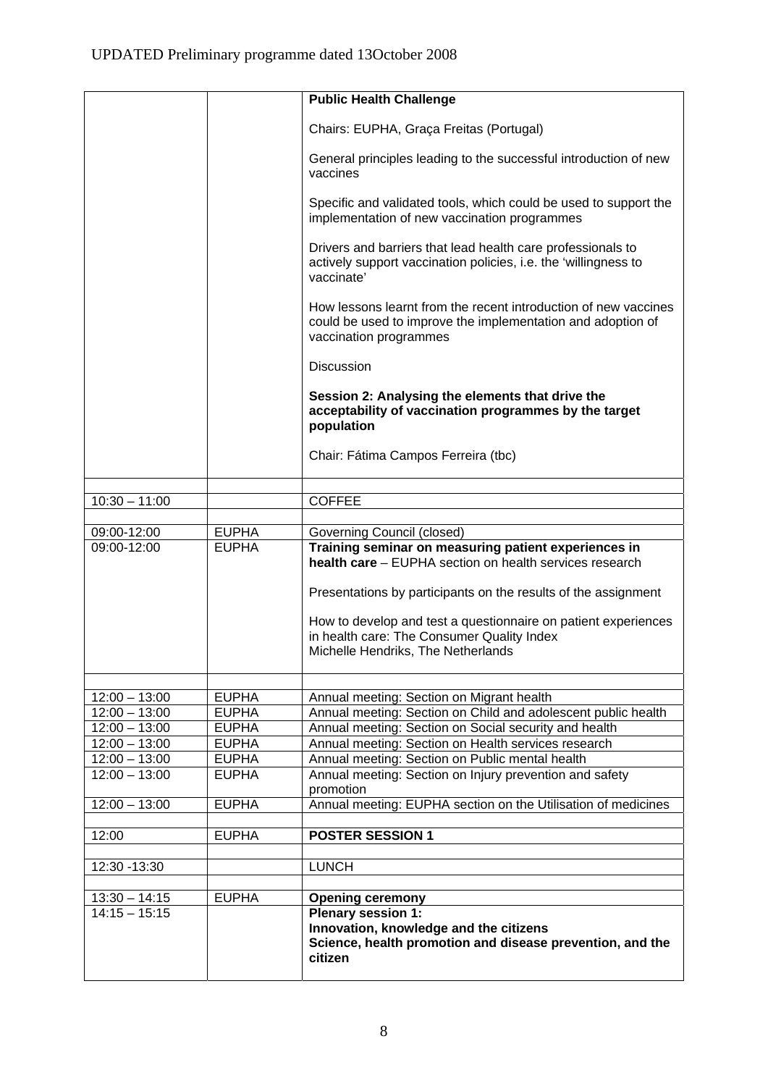|                 |              | <b>Public Health Challenge</b>                                                                                                                           |
|-----------------|--------------|----------------------------------------------------------------------------------------------------------------------------------------------------------|
|                 |              |                                                                                                                                                          |
|                 |              | Chairs: EUPHA, Graça Freitas (Portugal)                                                                                                                  |
|                 |              | General principles leading to the successful introduction of new<br>vaccines                                                                             |
|                 |              | Specific and validated tools, which could be used to support the<br>implementation of new vaccination programmes                                         |
|                 |              | Drivers and barriers that lead health care professionals to<br>actively support vaccination policies, i.e. the 'willingness to<br>vaccinate'             |
|                 |              | How lessons learnt from the recent introduction of new vaccines<br>could be used to improve the implementation and adoption of<br>vaccination programmes |
|                 |              | <b>Discussion</b>                                                                                                                                        |
|                 |              | Session 2: Analysing the elements that drive the<br>acceptability of vaccination programmes by the target<br>population                                  |
|                 |              | Chair: Fátima Campos Ferreira (tbc)                                                                                                                      |
|                 |              |                                                                                                                                                          |
| $10:30 - 11:00$ |              | <b>COFFEE</b>                                                                                                                                            |
| 09:00-12:00     | <b>EUPHA</b> | Governing Council (closed)                                                                                                                               |
| 09:00-12:00     | <b>EUPHA</b> | Training seminar on measuring patient experiences in                                                                                                     |
|                 |              | health care - EUPHA section on health services research                                                                                                  |
|                 |              | Presentations by participants on the results of the assignment                                                                                           |
|                 |              | How to develop and test a questionnaire on patient experiences<br>in health care: The Consumer Quality Index<br>Michelle Hendriks, The Netherlands       |
|                 |              |                                                                                                                                                          |
| $12:00 - 13:00$ | <b>EUPHA</b> | Annual meeting: Section on Migrant health                                                                                                                |
| $12:00 - 13:00$ | <b>EUPHA</b> | Annual meeting: Section on Child and adolescent public health                                                                                            |
| $12:00 - 13:00$ | <b>EUPHA</b> | Annual meeting: Section on Social security and health                                                                                                    |
| $12:00 - 13:00$ | <b>EUPHA</b> | Annual meeting: Section on Health services research                                                                                                      |
| $12:00 - 13:00$ | <b>EUPHA</b> | Annual meeting: Section on Public mental health                                                                                                          |
| $12:00 - 13:00$ | <b>EUPHA</b> | Annual meeting: Section on Injury prevention and safety<br>promotion                                                                                     |
| $12:00 - 13:00$ | <b>EUPHA</b> | Annual meeting: EUPHA section on the Utilisation of medicines                                                                                            |
|                 | <b>EUPHA</b> |                                                                                                                                                          |
| 12:00           |              | <b>POSTER SESSION 1</b>                                                                                                                                  |
| 12:30 - 13:30   |              | <b>LUNCH</b>                                                                                                                                             |
|                 |              |                                                                                                                                                          |
| $13:30 - 14:15$ | <b>EUPHA</b> | <b>Opening ceremony</b>                                                                                                                                  |
| $14:15 - 15:15$ |              | <b>Plenary session 1:</b><br>Innovation, knowledge and the citizens<br>Science, health promotion and disease prevention, and the<br>citizen              |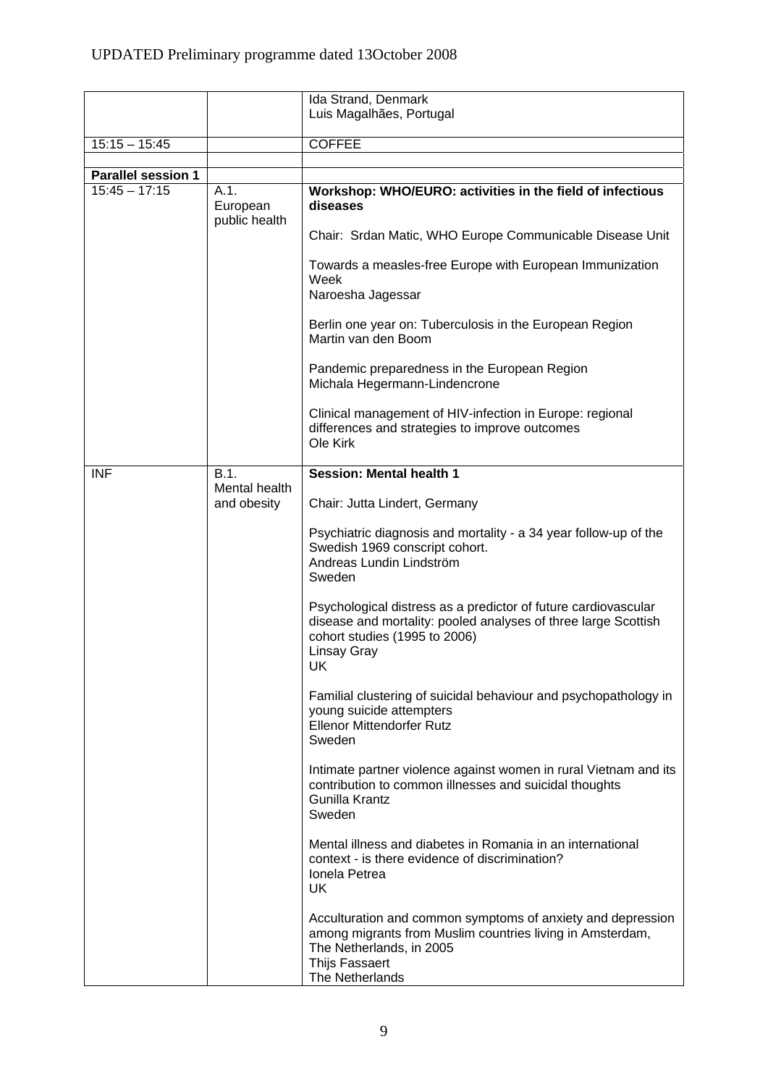|                                              |                              | Ida Strand, Denmark                                                                                                                                                                       |
|----------------------------------------------|------------------------------|-------------------------------------------------------------------------------------------------------------------------------------------------------------------------------------------|
|                                              |                              | Luis Magalhães, Portugal                                                                                                                                                                  |
| $15:15 - 15:45$                              |                              | <b>COFFEE</b>                                                                                                                                                                             |
|                                              |                              |                                                                                                                                                                                           |
| <b>Parallel session 1</b><br>$15:45 - 17:15$ | A.1.                         | Workshop: WHO/EURO: activities in the field of infectious                                                                                                                                 |
|                                              | European<br>public health    | diseases                                                                                                                                                                                  |
|                                              |                              | Chair: Srdan Matic, WHO Europe Communicable Disease Unit                                                                                                                                  |
|                                              |                              | Towards a measles-free Europe with European Immunization<br>Week<br>Naroesha Jagessar                                                                                                     |
|                                              |                              | Berlin one year on: Tuberculosis in the European Region<br>Martin van den Boom                                                                                                            |
|                                              |                              | Pandemic preparedness in the European Region<br>Michala Hegermann-Lindencrone                                                                                                             |
|                                              |                              | Clinical management of HIV-infection in Europe: regional<br>differences and strategies to improve outcomes<br>Ole Kirk                                                                    |
| <b>INF</b>                                   | B.1.                         | <b>Session: Mental health 1</b>                                                                                                                                                           |
|                                              | Mental health<br>and obesity | Chair: Jutta Lindert, Germany                                                                                                                                                             |
|                                              |                              | Psychiatric diagnosis and mortality - a 34 year follow-up of the<br>Swedish 1969 conscript cohort.<br>Andreas Lundin Lindström<br>Sweden                                                  |
|                                              |                              | Psychological distress as a predictor of future cardiovascular<br>disease and mortality: pooled analyses of three large Scottish<br>cohort studies (1995 to 2006)<br>Linsay Gray<br>UK.   |
|                                              |                              | Familial clustering of suicidal behaviour and psychopathology in<br>young suicide attempters<br><b>Ellenor Mittendorfer Rutz</b><br>Sweden                                                |
|                                              |                              | Intimate partner violence against women in rural Vietnam and its<br>contribution to common illnesses and suicidal thoughts<br>Gunilla Krantz<br>Sweden                                    |
|                                              |                              | Mental illness and diabetes in Romania in an international<br>context - is there evidence of discrimination?<br>Ionela Petrea<br>UK                                                       |
|                                              |                              | Acculturation and common symptoms of anxiety and depression<br>among migrants from Muslim countries living in Amsterdam,<br>The Netherlands, in 2005<br>Thijs Fassaert<br>The Netherlands |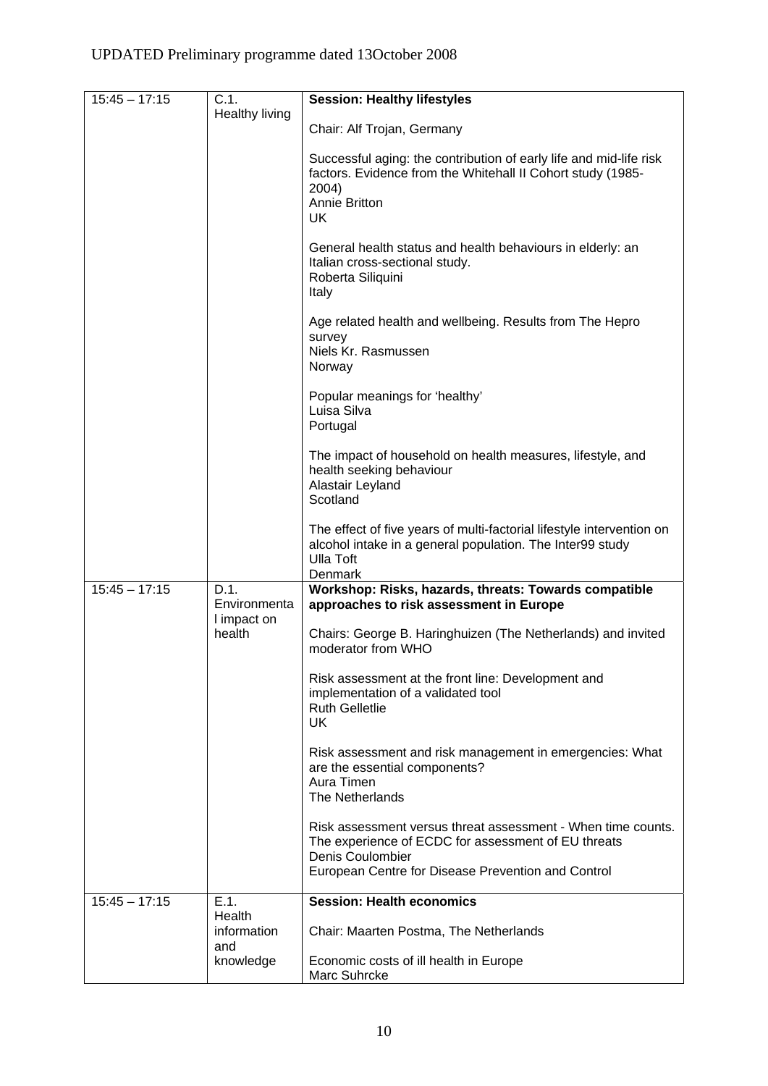| $15:45 - 17:15$ | C.1.                                | <b>Session: Healthy lifestyles</b>                                                                                                                                                            |
|-----------------|-------------------------------------|-----------------------------------------------------------------------------------------------------------------------------------------------------------------------------------------------|
|                 | Healthy living                      | Chair: Alf Trojan, Germany                                                                                                                                                                    |
|                 |                                     | Successful aging: the contribution of early life and mid-life risk<br>factors. Evidence from the Whitehall II Cohort study (1985-<br>2004)<br><b>Annie Britton</b><br>UK.                     |
|                 |                                     | General health status and health behaviours in elderly: an<br>Italian cross-sectional study.<br>Roberta Siliquini<br>Italy                                                                    |
|                 |                                     | Age related health and wellbeing. Results from The Hepro<br>survey<br>Niels Kr. Rasmussen<br>Norway                                                                                           |
|                 |                                     | Popular meanings for 'healthy'<br>Luisa Silva<br>Portugal                                                                                                                                     |
|                 |                                     | The impact of household on health measures, lifestyle, and<br>health seeking behaviour<br>Alastair Leyland<br>Scotland                                                                        |
|                 |                                     | The effect of five years of multi-factorial lifestyle intervention on<br>alcohol intake in a general population. The Inter99 study<br><b>Ulla Toft</b><br>Denmark                             |
| $15:45 - 17:15$ | D.1.<br>Environmenta<br>I impact on | Workshop: Risks, hazards, threats: Towards compatible<br>approaches to risk assessment in Europe                                                                                              |
|                 | health                              | Chairs: George B. Haringhuizen (The Netherlands) and invited<br>moderator from WHO                                                                                                            |
|                 |                                     | Risk assessment at the front line: Development and<br>implementation of a validated tool<br><b>Ruth Gelletlie</b><br>UK.                                                                      |
|                 |                                     | Risk assessment and risk management in emergencies: What<br>are the essential components?<br>Aura Timen<br>The Netherlands                                                                    |
|                 |                                     | Risk assessment versus threat assessment - When time counts.<br>The experience of ECDC for assessment of EU threats<br>Denis Coulombier<br>European Centre for Disease Prevention and Control |
| $15:45 - 17:15$ | E.1.                                | <b>Session: Health economics</b>                                                                                                                                                              |
|                 | Health<br>information<br>and        | Chair: Maarten Postma, The Netherlands                                                                                                                                                        |
|                 | knowledge                           | Economic costs of ill health in Europe<br>Marc Suhrcke                                                                                                                                        |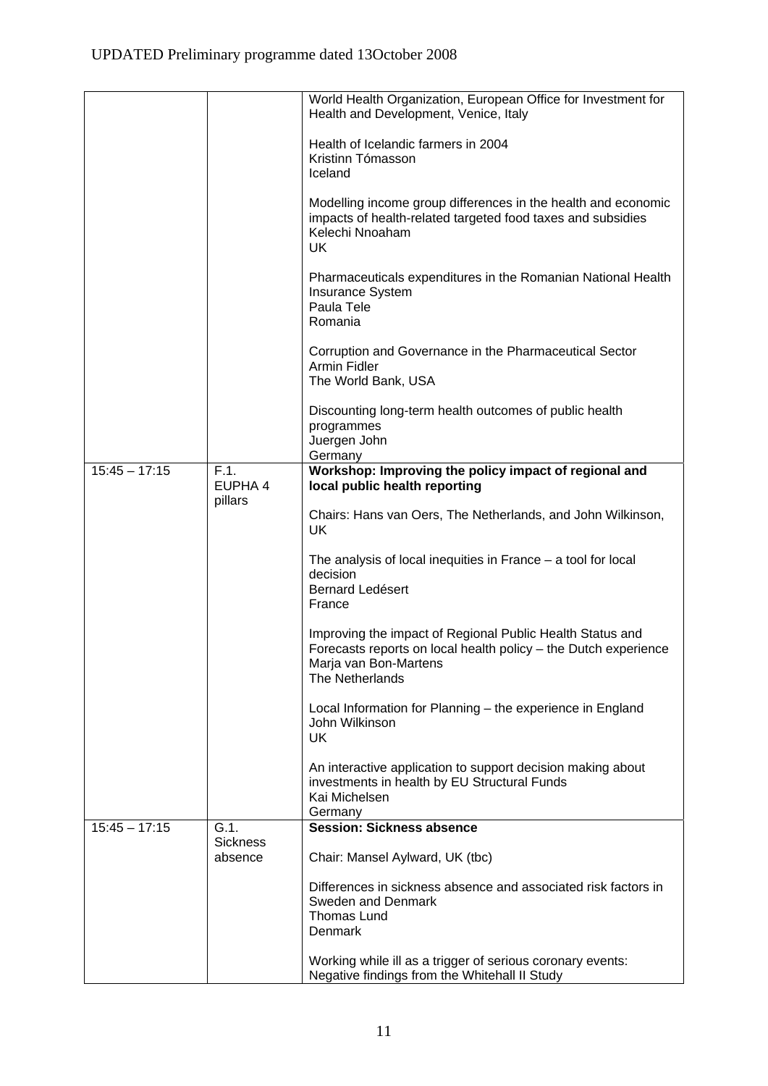|                 |                            | World Health Organization, European Office for Investment for<br>Health and Development, Venice, Italy                                                                   |
|-----------------|----------------------------|--------------------------------------------------------------------------------------------------------------------------------------------------------------------------|
|                 |                            | Health of Icelandic farmers in 2004                                                                                                                                      |
|                 |                            | Kristinn Tómasson<br>Iceland                                                                                                                                             |
|                 |                            | Modelling income group differences in the health and economic<br>impacts of health-related targeted food taxes and subsidies<br>Kelechi Nnoaham<br>UK                    |
|                 |                            | Pharmaceuticals expenditures in the Romanian National Health<br>Insurance System<br>Paula Tele<br>Romania                                                                |
|                 |                            | Corruption and Governance in the Pharmaceutical Sector<br>Armin Fidler<br>The World Bank, USA                                                                            |
|                 |                            | Discounting long-term health outcomes of public health<br>programmes<br>Juergen John                                                                                     |
|                 |                            | Germany                                                                                                                                                                  |
| $15:45 - 17:15$ | F.1.<br>EUPHA 4            | Workshop: Improving the policy impact of regional and<br>local public health reporting                                                                                   |
|                 | pillars                    | Chairs: Hans van Oers, The Netherlands, and John Wilkinson,<br>UK                                                                                                        |
|                 |                            | The analysis of local inequities in France $-$ a tool for local<br>decision<br><b>Bernard Ledésert</b><br>France                                                         |
|                 |                            | Improving the impact of Regional Public Health Status and<br>Forecasts reports on local health policy - the Dutch experience<br>Marja van Bon-Martens<br>The Netherlands |
|                 |                            | Local Information for Planning - the experience in England<br>John Wilkinson<br>UK                                                                                       |
|                 |                            | An interactive application to support decision making about<br>investments in health by EU Structural Funds<br>Kai Michelsen<br>Germany                                  |
| $15:45 - 17:15$ | G.1.                       | <b>Session: Sickness absence</b>                                                                                                                                         |
|                 | <b>Sickness</b><br>absence | Chair: Mansel Aylward, UK (tbc)                                                                                                                                          |
|                 |                            | Differences in sickness absence and associated risk factors in<br>Sweden and Denmark<br>Thomas Lund<br>Denmark                                                           |
|                 |                            | Working while ill as a trigger of serious coronary events:<br>Negative findings from the Whitehall II Study                                                              |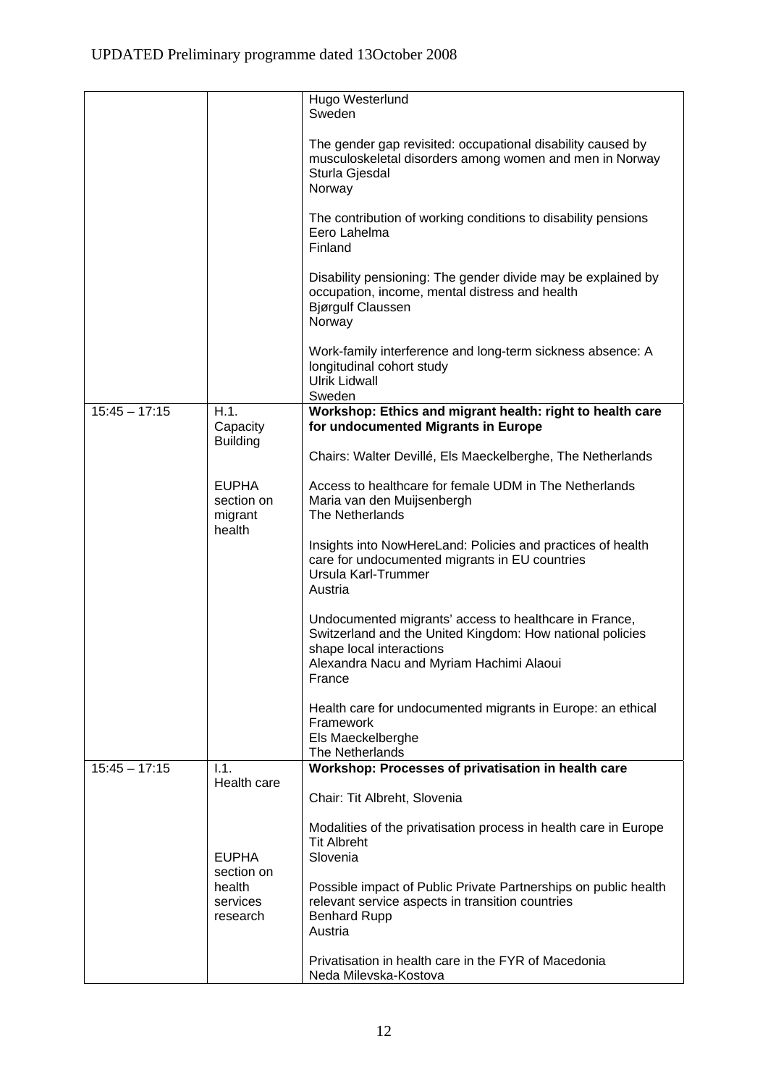|                 |                                                 | Hugo Westerlund<br>Sweden                                                                                                                                                                             |
|-----------------|-------------------------------------------------|-------------------------------------------------------------------------------------------------------------------------------------------------------------------------------------------------------|
|                 |                                                 | The gender gap revisited: occupational disability caused by<br>musculoskeletal disorders among women and men in Norway<br>Sturla Gjesdal<br>Norway                                                    |
|                 |                                                 | The contribution of working conditions to disability pensions<br>Eero Lahelma<br>Finland                                                                                                              |
|                 |                                                 | Disability pensioning: The gender divide may be explained by<br>occupation, income, mental distress and health<br><b>Bjørgulf Claussen</b><br>Norway                                                  |
|                 |                                                 | Work-family interference and long-term sickness absence: A<br>longitudinal cohort study<br><b>Ulrik Lidwall</b><br>Sweden                                                                             |
| $15:45 - 17:15$ | H.1.<br>Capacity                                | Workshop: Ethics and migrant health: right to health care<br>for undocumented Migrants in Europe                                                                                                      |
|                 | <b>Building</b>                                 | Chairs: Walter Devillé, Els Maeckelberghe, The Netherlands                                                                                                                                            |
|                 | <b>EUPHA</b><br>section on<br>migrant<br>health | Access to healthcare for female UDM in The Netherlands<br>Maria van den Muijsenbergh<br>The Netherlands                                                                                               |
|                 |                                                 | Insights into NowHereLand: Policies and practices of health<br>care for undocumented migrants in EU countries<br>Ursula Karl-Trummer<br>Austria                                                       |
|                 |                                                 | Undocumented migrants' access to healthcare in France,<br>Switzerland and the United Kingdom: How national policies<br>shape local interactions<br>Alexandra Nacu and Myriam Hachimi Alaoui<br>France |
|                 |                                                 | Health care for undocumented migrants in Europe: an ethical<br>Framework<br>Els Maeckelberghe<br>The Netherlands                                                                                      |
| $15:45 - 17:15$ | 1.1.<br>Health care                             | Workshop: Processes of privatisation in health care                                                                                                                                                   |
|                 |                                                 | Chair: Tit Albreht, Slovenia                                                                                                                                                                          |
|                 | <b>EUPHA</b>                                    | Modalities of the privatisation process in health care in Europe<br><b>Tit Albreht</b><br>Slovenia                                                                                                    |
|                 | section on<br>health<br>services<br>research    | Possible impact of Public Private Partnerships on public health<br>relevant service aspects in transition countries<br><b>Benhard Rupp</b><br>Austria                                                 |
|                 |                                                 | Privatisation in health care in the FYR of Macedonia<br>Neda Milevska-Kostova                                                                                                                         |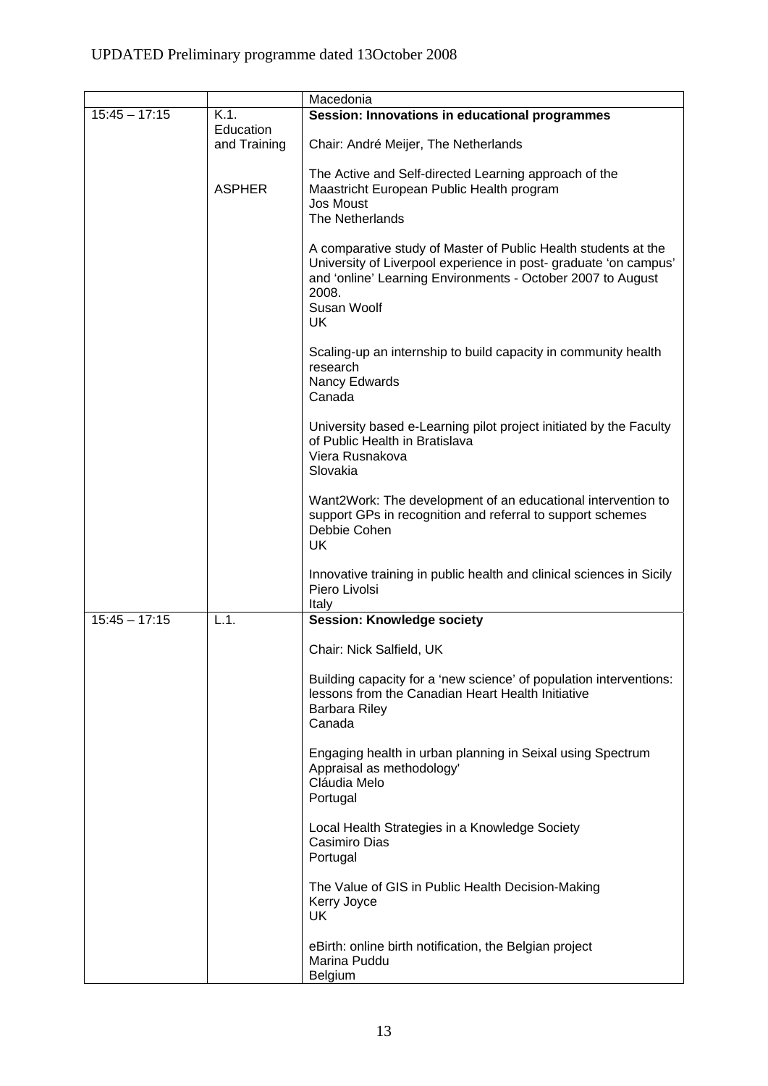# UPDATED Preliminary programme dated 13October 2008

|                 |                           | Macedonia                                                                                                                                                                                                                      |
|-----------------|---------------------------|--------------------------------------------------------------------------------------------------------------------------------------------------------------------------------------------------------------------------------|
| $15:45 - 17:15$ | $K.1$ .                   | Session: Innovations in educational programmes                                                                                                                                                                                 |
|                 | Education<br>and Training | Chair: André Meijer, The Netherlands                                                                                                                                                                                           |
|                 | <b>ASPHER</b>             | The Active and Self-directed Learning approach of the<br>Maastricht European Public Health program<br><b>Jos Moust</b><br>The Netherlands                                                                                      |
|                 |                           | A comparative study of Master of Public Health students at the<br>University of Liverpool experience in post-graduate 'on campus'<br>and 'online' Learning Environments - October 2007 to August<br>2008.<br>Susan Woolf<br>UK |
|                 |                           | Scaling-up an internship to build capacity in community health<br>research<br>Nancy Edwards<br>Canada                                                                                                                          |
|                 |                           | University based e-Learning pilot project initiated by the Faculty<br>of Public Health in Bratislava<br>Viera Rusnakova<br>Slovakia                                                                                            |
|                 |                           | Want2Work: The development of an educational intervention to<br>support GPs in recognition and referral to support schemes<br>Debbie Cohen<br>UK.                                                                              |
|                 |                           | Innovative training in public health and clinical sciences in Sicily<br>Piero Livolsi<br>Italy                                                                                                                                 |
| $15:45 - 17:15$ | L.1.                      | <b>Session: Knowledge society</b>                                                                                                                                                                                              |
|                 |                           | Chair: Nick Salfield, UK                                                                                                                                                                                                       |
|                 |                           | Building capacity for a 'new science' of population interventions:<br>lessons from the Canadian Heart Health Initiative<br><b>Barbara Riley</b><br>Canada                                                                      |
|                 |                           | Engaging health in urban planning in Seixal using Spectrum<br>Appraisal as methodology'<br>Cláudia Melo<br>Portugal                                                                                                            |
|                 |                           | Local Health Strategies in a Knowledge Society<br>Casimiro Dias<br>Portugal                                                                                                                                                    |
|                 |                           | The Value of GIS in Public Health Decision-Making<br>Kerry Joyce<br>UK                                                                                                                                                         |
|                 |                           | eBirth: online birth notification, the Belgian project<br>Marina Puddu<br>Belgium                                                                                                                                              |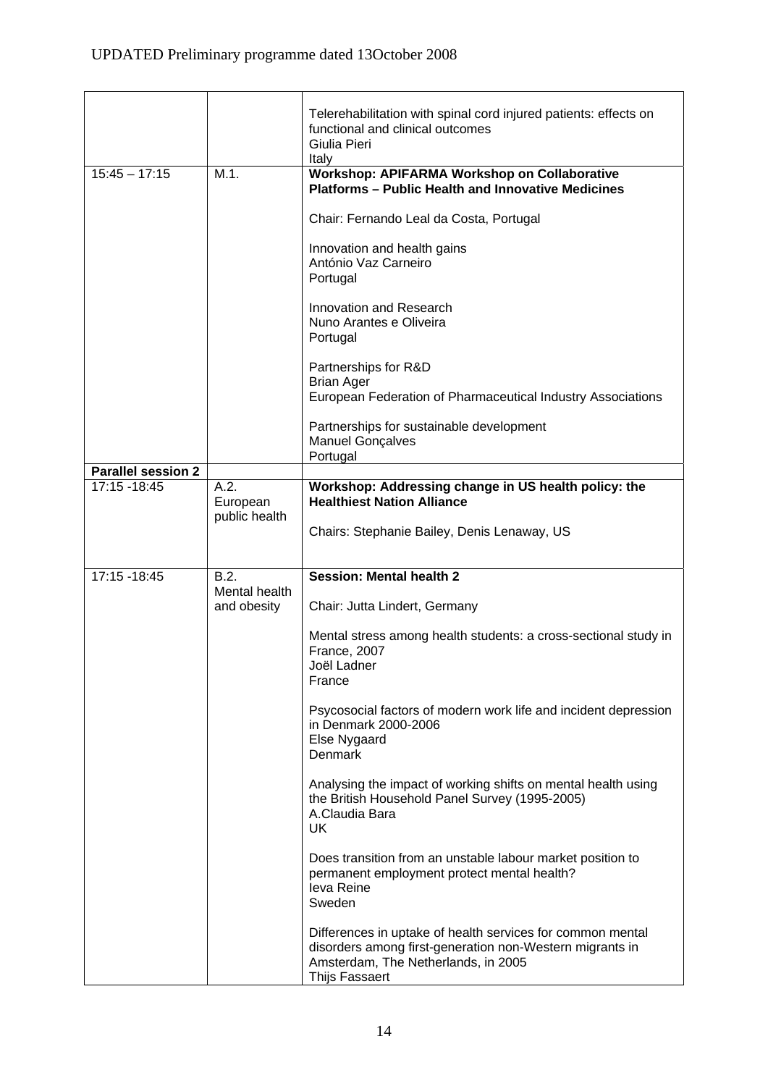|                           |                                   | Telerehabilitation with spinal cord injured patients: effects on<br>functional and clinical outcomes<br>Giulia Pieri<br>Italy                                                   |
|---------------------------|-----------------------------------|---------------------------------------------------------------------------------------------------------------------------------------------------------------------------------|
| $15:45 - 17:15$           | M.1.                              | Workshop: APIFARMA Workshop on Collaborative<br><b>Platforms - Public Health and Innovative Medicines</b>                                                                       |
|                           |                                   | Chair: Fernando Leal da Costa, Portugal                                                                                                                                         |
|                           |                                   | Innovation and health gains<br>António Vaz Carneiro<br>Portugal                                                                                                                 |
|                           |                                   | Innovation and Research<br>Nuno Arantes e Oliveira<br>Portugal                                                                                                                  |
|                           |                                   | Partnerships for R&D<br><b>Brian Ager</b>                                                                                                                                       |
|                           |                                   | European Federation of Pharmaceutical Industry Associations                                                                                                                     |
|                           |                                   | Partnerships for sustainable development<br><b>Manuel Gonçalves</b><br>Portugal                                                                                                 |
| <b>Parallel session 2</b> |                                   |                                                                                                                                                                                 |
| 17:15 - 18:45             | A.2.<br>European<br>public health | Workshop: Addressing change in US health policy: the<br><b>Healthiest Nation Alliance</b>                                                                                       |
|                           |                                   | Chairs: Stephanie Bailey, Denis Lenaway, US                                                                                                                                     |
| 17:15 - 18:45             | B.2.                              | <b>Session: Mental health 2</b>                                                                                                                                                 |
|                           | Mental health<br>and obesity      | Chair: Jutta Lindert, Germany                                                                                                                                                   |
|                           |                                   | Mental stress among health students: a cross-sectional study in<br>France, 2007<br>Joël Ladner<br>France                                                                        |
|                           |                                   | Psycosocial factors of modern work life and incident depression<br>in Denmark 2000-2006<br>Else Nygaard<br>Denmark                                                              |
|                           |                                   | Analysing the impact of working shifts on mental health using<br>the British Household Panel Survey (1995-2005)<br>A.Claudia Bara<br><b>UK</b>                                  |
|                           |                                   | Does transition from an unstable labour market position to<br>permanent employment protect mental health?<br>leva Reine<br>Sweden                                               |
|                           |                                   | Differences in uptake of health services for common mental<br>disorders among first-generation non-Western migrants in<br>Amsterdam, The Netherlands, in 2005<br>Thijs Fassaert |

<u> 1989 - Johann Barn, mars and de Branch Barn, mars and de Branch Barn, mars and de Branch Barn, mars and de Br</u>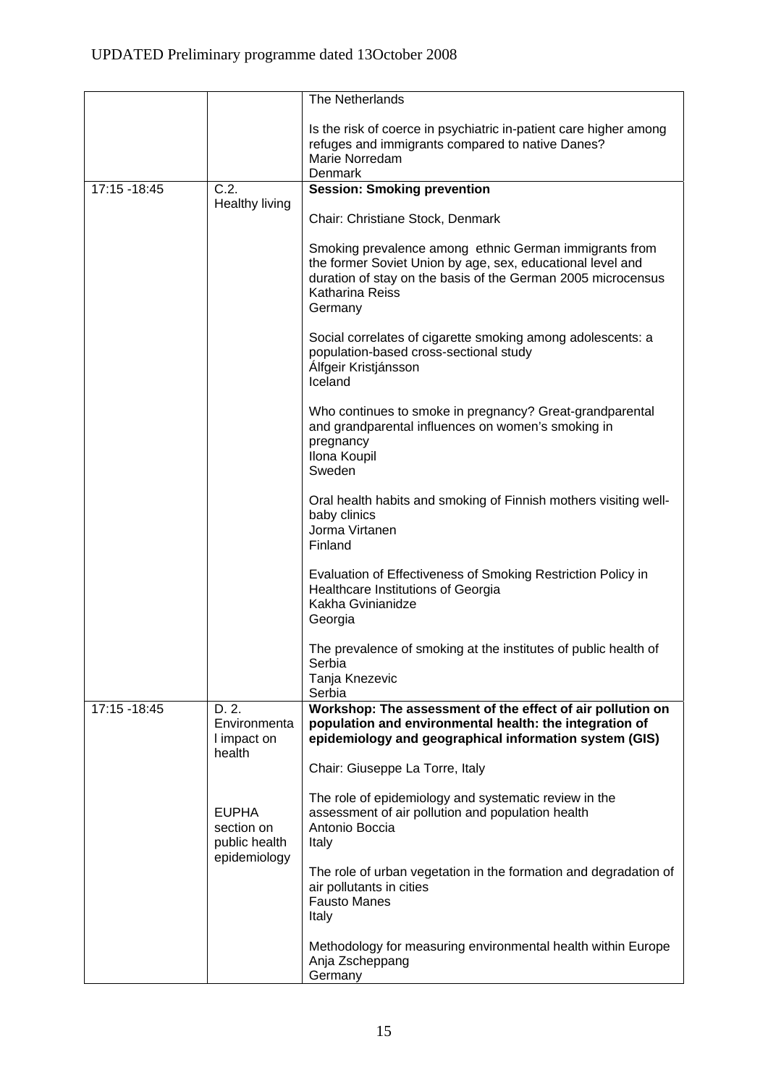|                 |                                                             | The Netherlands                                                                                                                                                                                                    |
|-----------------|-------------------------------------------------------------|--------------------------------------------------------------------------------------------------------------------------------------------------------------------------------------------------------------------|
|                 |                                                             | Is the risk of coerce in psychiatric in-patient care higher among<br>refuges and immigrants compared to native Danes?<br>Marie Norredam<br>Denmark                                                                 |
| $17:15 - 18:45$ | C.2.                                                        | <b>Session: Smoking prevention</b>                                                                                                                                                                                 |
|                 | Healthy living                                              | Chair: Christiane Stock, Denmark                                                                                                                                                                                   |
|                 |                                                             | Smoking prevalence among ethnic German immigrants from<br>the former Soviet Union by age, sex, educational level and<br>duration of stay on the basis of the German 2005 microcensus<br>Katharina Reiss<br>Germany |
|                 |                                                             | Social correlates of cigarette smoking among adolescents: a<br>population-based cross-sectional study<br>Álfgeir Kristjánsson<br>Iceland                                                                           |
|                 |                                                             | Who continues to smoke in pregnancy? Great-grandparental<br>and grandparental influences on women's smoking in<br>pregnancy<br>Ilona Koupil<br>Sweden                                                              |
|                 |                                                             | Oral health habits and smoking of Finnish mothers visiting well-<br>baby clinics<br>Jorma Virtanen<br>Finland                                                                                                      |
|                 |                                                             | Evaluation of Effectiveness of Smoking Restriction Policy in<br>Healthcare Institutions of Georgia<br>Kakha Gvinianidze<br>Georgia                                                                                 |
|                 |                                                             | The prevalence of smoking at the institutes of public health of<br>Serbia<br>Tanja Knezevic                                                                                                                        |
| 17:15 - 18:45   | D. 2.                                                       | Serbia<br>Workshop: The assessment of the effect of air pollution on                                                                                                                                               |
|                 | Environmenta<br>I impact on<br>health                       | population and environmental health: the integration of<br>epidemiology and geographical information system (GIS)                                                                                                  |
|                 |                                                             | Chair: Giuseppe La Torre, Italy                                                                                                                                                                                    |
|                 | <b>EUPHA</b><br>section on<br>public health<br>epidemiology | The role of epidemiology and systematic review in the<br>assessment of air pollution and population health<br>Antonio Boccia<br>Italy                                                                              |
|                 |                                                             | The role of urban vegetation in the formation and degradation of<br>air pollutants in cities<br><b>Fausto Manes</b><br>Italy                                                                                       |
|                 |                                                             | Methodology for measuring environmental health within Europe<br>Anja Zscheppang<br>Germany                                                                                                                         |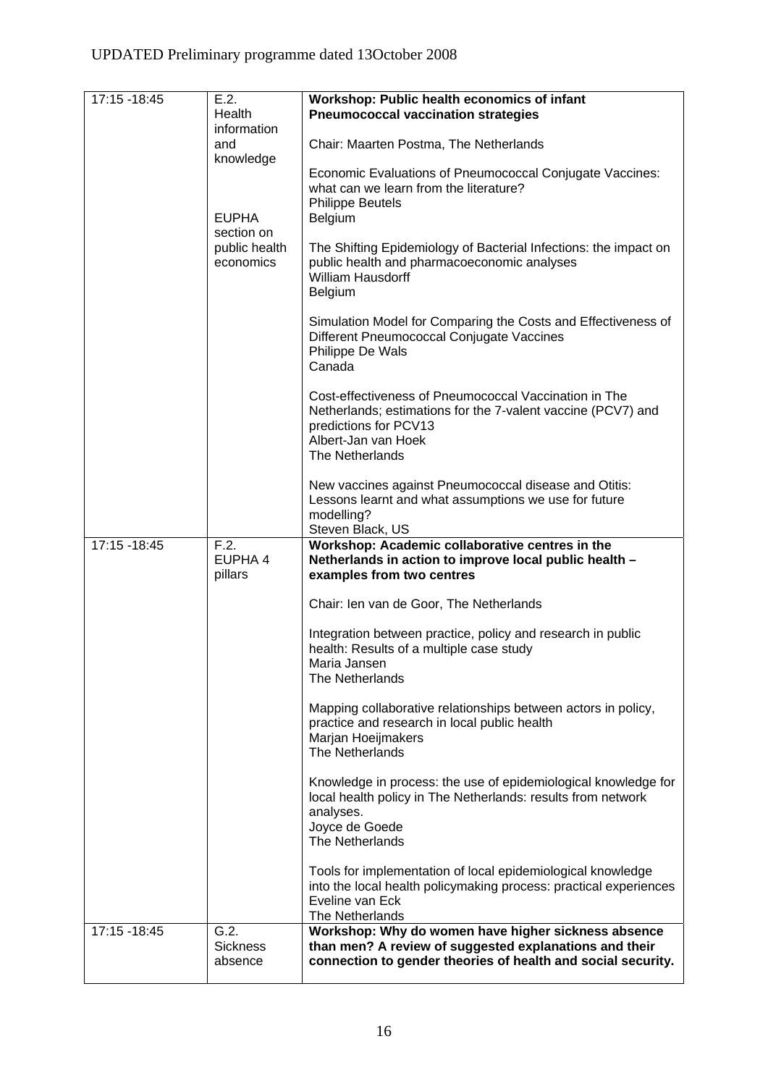| 17:15 - 18:45 | E.2.                                     | Workshop: Public health economics of infant                                                                                                                                              |
|---------------|------------------------------------------|------------------------------------------------------------------------------------------------------------------------------------------------------------------------------------------|
|               | Health<br>information                    | <b>Pneumococcal vaccination strategies</b>                                                                                                                                               |
|               | and                                      | Chair: Maarten Postma, The Netherlands                                                                                                                                                   |
|               | knowledge<br><b>EUPHA</b>                | Economic Evaluations of Pneumococcal Conjugate Vaccines:<br>what can we learn from the literature?<br><b>Philippe Beutels</b><br><b>Belgium</b>                                          |
|               | section on<br>public health<br>economics | The Shifting Epidemiology of Bacterial Infections: the impact on<br>public health and pharmacoeconomic analyses<br><b>William Hausdorff</b><br>Belgium                                   |
|               |                                          | Simulation Model for Comparing the Costs and Effectiveness of<br>Different Pneumococcal Conjugate Vaccines<br>Philippe De Wals<br>Canada                                                 |
|               |                                          | Cost-effectiveness of Pneumococcal Vaccination in The<br>Netherlands; estimations for the 7-valent vaccine (PCV7) and<br>predictions for PCV13<br>Albert-Jan van Hoek<br>The Netherlands |
|               |                                          | New vaccines against Pneumococcal disease and Otitis:<br>Lessons learnt and what assumptions we use for future<br>modelling?<br>Steven Black, US                                         |
| 17:15 - 18:45 | $\overline{F.2.}$<br>EUPHA 4             | Workshop: Academic collaborative centres in the<br>Netherlands in action to improve local public health -                                                                                |
|               | pillars                                  | examples from two centres                                                                                                                                                                |
|               |                                          | Chair: Ien van de Goor, The Netherlands                                                                                                                                                  |
|               |                                          | Integration between practice, policy and research in public<br>health: Results of a multiple case study<br>Maria Jansen                                                                  |
|               |                                          | The Netherlands                                                                                                                                                                          |
|               |                                          | Mapping collaborative relationships between actors in policy,<br>practice and research in local public health<br>Marjan Hoeijmakers<br>The Netherlands                                   |
|               |                                          | Knowledge in process: the use of epidemiological knowledge for<br>local health policy in The Netherlands: results from network<br>analyses.                                              |
|               |                                          | Joyce de Goede<br>The Netherlands                                                                                                                                                        |
|               |                                          | Tools for implementation of local epidemiological knowledge<br>into the local health policymaking process: practical experiences<br>Eveline van Eck<br>The Netherlands                   |
| 17:15 - 18:45 | G.2.                                     | Workshop: Why do women have higher sickness absence                                                                                                                                      |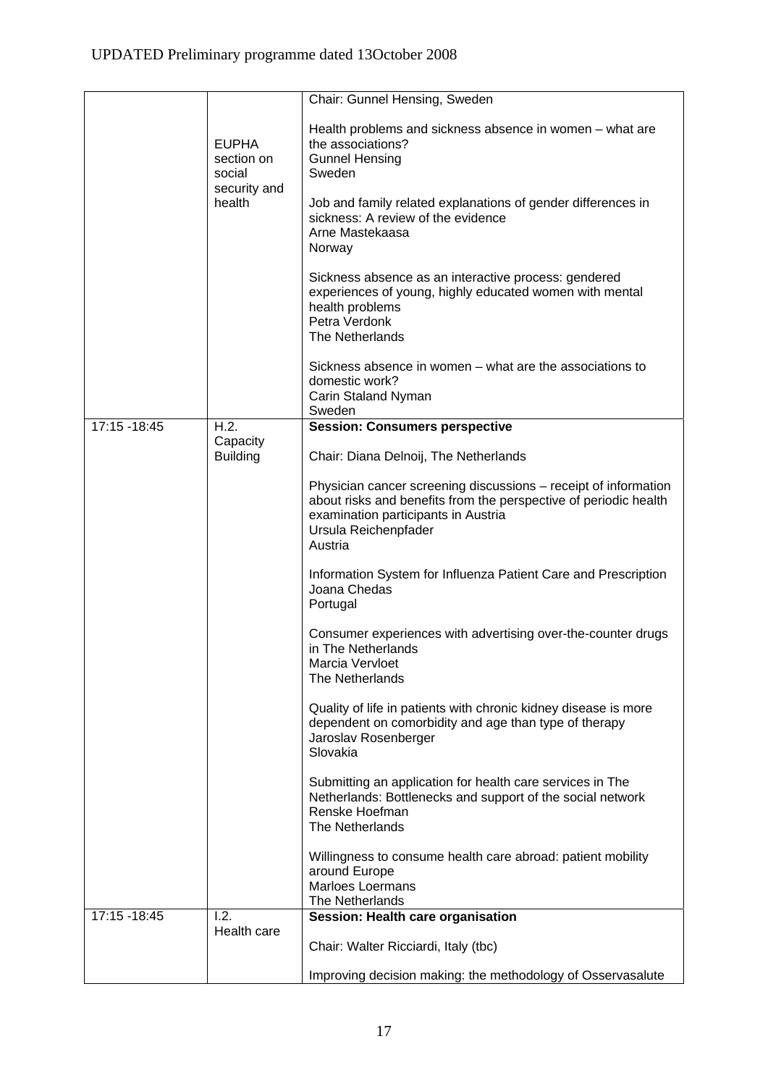|               |                                                      | Chair: Gunnel Hensing, Sweden                                                                                                                                                                                 |
|---------------|------------------------------------------------------|---------------------------------------------------------------------------------------------------------------------------------------------------------------------------------------------------------------|
|               | <b>EUPHA</b><br>section on<br>social<br>security and | Health problems and sickness absence in women - what are<br>the associations?<br><b>Gunnel Hensing</b><br>Sweden                                                                                              |
|               | health                                               | Job and family related explanations of gender differences in<br>sickness: A review of the evidence<br>Arne Mastekaasa<br>Norway                                                                               |
|               |                                                      | Sickness absence as an interactive process: gendered<br>experiences of young, highly educated women with mental<br>health problems<br>Petra Verdonk<br>The Netherlands                                        |
|               |                                                      | Sickness absence in women – what are the associations to<br>domestic work?<br>Carin Staland Nyman<br>Sweden                                                                                                   |
| 17:15 - 18:45 | H.2.                                                 | <b>Session: Consumers perspective</b>                                                                                                                                                                         |
|               | Capacity<br><b>Building</b>                          | Chair: Diana Delnoij, The Netherlands                                                                                                                                                                         |
|               |                                                      | Physician cancer screening discussions – receipt of information<br>about risks and benefits from the perspective of periodic health<br>examination participants in Austria<br>Ursula Reichenpfader<br>Austria |
|               |                                                      | Information System for Influenza Patient Care and Prescription<br>Joana Chedas<br>Portugal                                                                                                                    |
|               |                                                      | Consumer experiences with advertising over-the-counter drugs<br>in The Netherlands<br>Marcia Vervloet<br>The Netherlands                                                                                      |
|               |                                                      | Quality of life in patients with chronic kidney disease is more<br>dependent on comorbidity and age than type of therapy<br>Jaroslav Rosenberger<br>Slovakia                                                  |
|               |                                                      | Submitting an application for health care services in The<br>Netherlands: Bottlenecks and support of the social network<br>Renske Hoefman<br>The Netherlands                                                  |
|               |                                                      | Willingness to consume health care abroad: patient mobility<br>around Europe<br><b>Marloes Loermans</b><br>The Netherlands                                                                                    |
| 17:15 - 18:45 | 1.2.                                                 | Session: Health care organisation                                                                                                                                                                             |
|               | Health care                                          | Chair: Walter Ricciardi, Italy (tbc)                                                                                                                                                                          |
|               |                                                      | Improving decision making: the methodology of Osservasalute                                                                                                                                                   |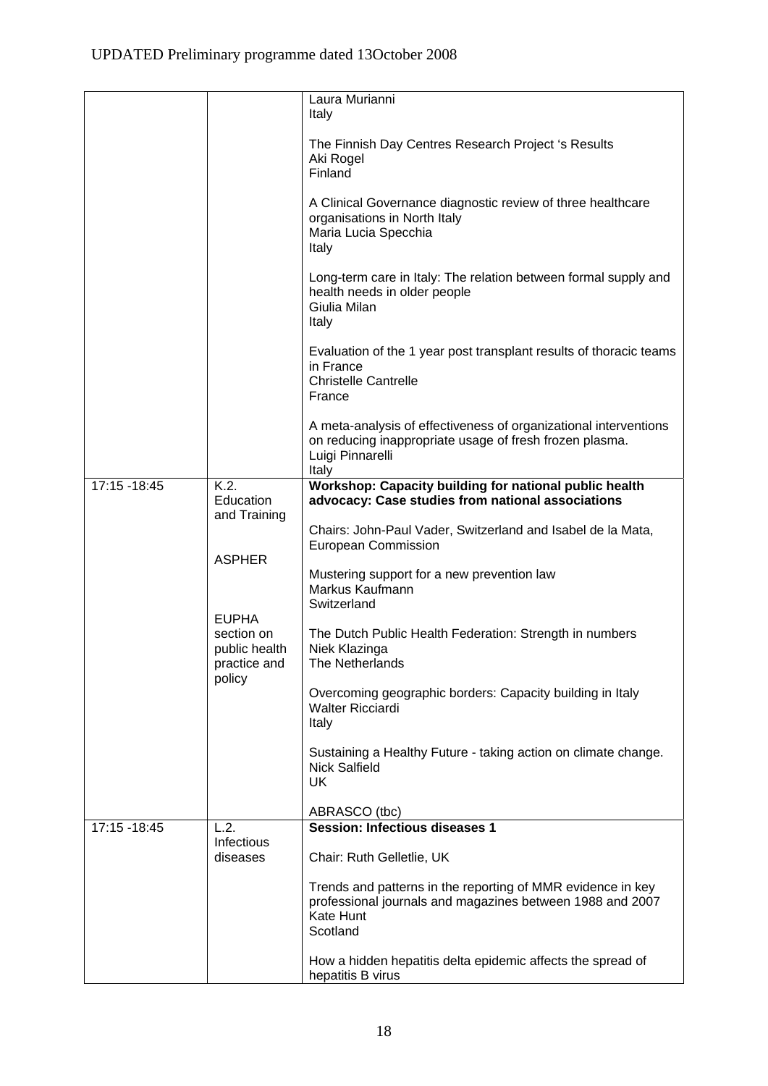|               |                                                             | Laura Murianni<br>Italy                                                                                                                                  |
|---------------|-------------------------------------------------------------|----------------------------------------------------------------------------------------------------------------------------------------------------------|
|               |                                                             | The Finnish Day Centres Research Project 's Results<br>Aki Rogel<br>Finland                                                                              |
|               |                                                             | A Clinical Governance diagnostic review of three healthcare<br>organisations in North Italy<br>Maria Lucia Specchia<br>Italy                             |
|               |                                                             | Long-term care in Italy: The relation between formal supply and<br>health needs in older people<br>Giulia Milan<br>Italy                                 |
|               |                                                             | Evaluation of the 1 year post transplant results of thoracic teams<br>in France<br><b>Christelle Cantrelle</b><br>France                                 |
|               |                                                             | A meta-analysis of effectiveness of organizational interventions<br>on reducing inappropriate usage of fresh frozen plasma.<br>Luigi Pinnarelli<br>Italy |
| 17:15 - 18:45 | K.2.<br>Education<br>and Training                           | Workshop: Capacity building for national public health<br>advocacy: Case studies from national associations                                              |
|               |                                                             | Chairs: John-Paul Vader, Switzerland and Isabel de la Mata,<br>European Commission                                                                       |
|               | <b>ASPHER</b>                                               | Mustering support for a new prevention law<br>Markus Kaufmann<br>Switzerland                                                                             |
|               | <b>EUPHA</b><br>section on<br>public health<br>practice and | The Dutch Public Health Federation: Strength in numbers<br>Niek Klazinga<br>The Netherlands                                                              |
|               | policy                                                      | Overcoming geographic borders: Capacity building in Italy<br><b>Walter Ricciardi</b><br>Italy                                                            |
|               |                                                             | Sustaining a Healthy Future - taking action on climate change.<br><b>Nick Salfield</b><br><b>UK</b>                                                      |
|               |                                                             | ABRASCO (tbc)                                                                                                                                            |
| 17:15 - 18:45 | L.2.                                                        | <b>Session: Infectious diseases 1</b>                                                                                                                    |
|               | Infectious<br>diseases                                      | Chair: Ruth Gelletlie, UK                                                                                                                                |
|               |                                                             | Trends and patterns in the reporting of MMR evidence in key<br>professional journals and magazines between 1988 and 2007<br>Kate Hunt<br>Scotland        |
|               |                                                             | How a hidden hepatitis delta epidemic affects the spread of<br>hepatitis B virus                                                                         |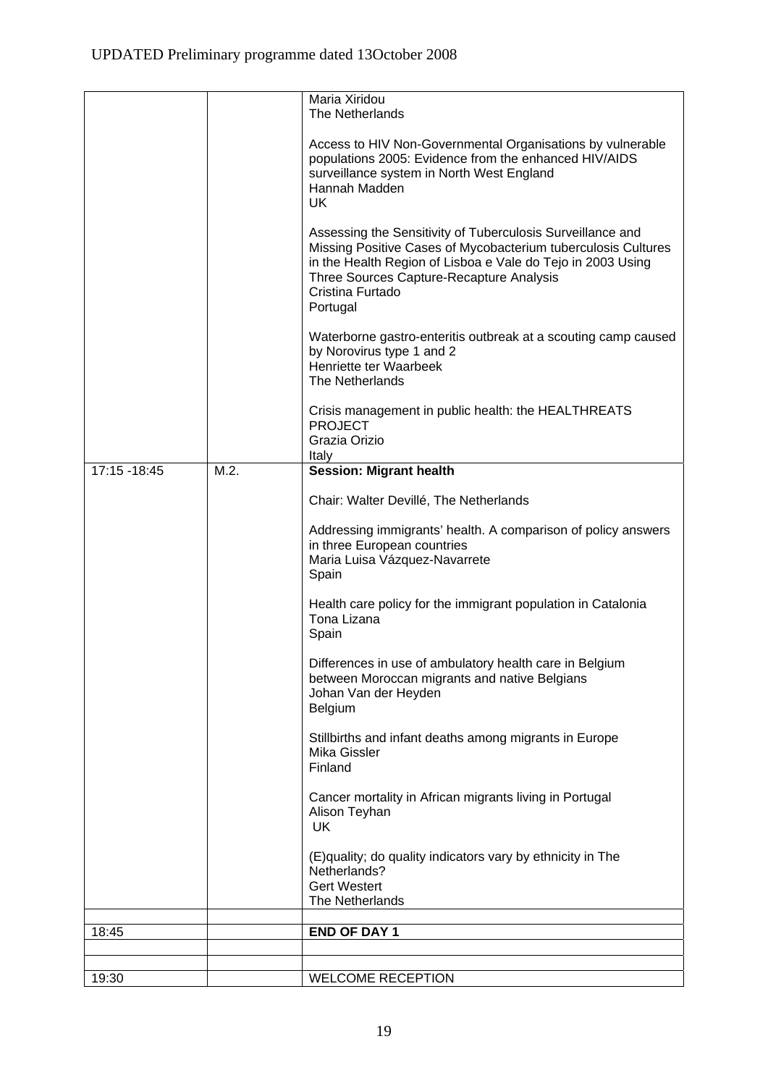| 18:45         |      | <b>END OF DAY 1</b>                                                                                                              |
|---------------|------|----------------------------------------------------------------------------------------------------------------------------------|
|               |      | The Netherlands                                                                                                                  |
|               |      | <b>Gert Westert</b>                                                                                                              |
|               |      | (E) quality; do quality indicators vary by ethnicity in The<br>Netherlands?                                                      |
|               |      | UK                                                                                                                               |
|               |      | Cancer mortality in African migrants living in Portugal<br>Alison Teyhan                                                         |
|               |      | Finland                                                                                                                          |
|               |      | Stillbirths and infant deaths among migrants in Europe<br>Mika Gissler                                                           |
|               |      | Belgium                                                                                                                          |
|               |      | Differences in use of ambulatory health care in Belgium<br>between Moroccan migrants and native Belgians<br>Johan Van der Heyden |
|               |      | Spain                                                                                                                            |
|               |      | Health care policy for the immigrant population in Catalonia<br>Tona Lizana                                                      |
|               |      | Spain                                                                                                                            |
|               |      | Addressing immigrants' health. A comparison of policy answers<br>in three European countries<br>Maria Luisa Vázquez-Navarrete    |
|               |      | Chair: Walter Devillé, The Netherlands                                                                                           |
| 17:15 - 18:45 | M.2. | <b>Session: Migrant health</b>                                                                                                   |
|               |      | Italy                                                                                                                            |
|               |      | <b>PROJECT</b><br>Grazia Orizio                                                                                                  |
|               |      | The Netherlands<br>Crisis management in public health: the HEALTHREATS                                                           |
|               |      | by Norovirus type 1 and 2<br>Henriette ter Waarbeek                                                                              |
|               |      | Waterborne gastro-enteritis outbreak at a scouting camp caused                                                                   |
|               |      | Three Sources Capture-Recapture Analysis<br>Cristina Furtado<br>Portugal                                                         |
|               |      | Missing Positive Cases of Mycobacterium tuberculosis Cultures<br>in the Health Region of Lisboa e Vale do Tejo in 2003 Using     |
|               |      | Assessing the Sensitivity of Tuberculosis Surveillance and                                                                       |
|               |      | surveillance system in North West England<br>Hannah Madden<br><b>UK</b>                                                          |
|               |      | Access to HIV Non-Governmental Organisations by vulnerable<br>populations 2005: Evidence from the enhanced HIV/AIDS              |
|               |      | The Netherlands                                                                                                                  |
|               |      | Maria Xiridou                                                                                                                    |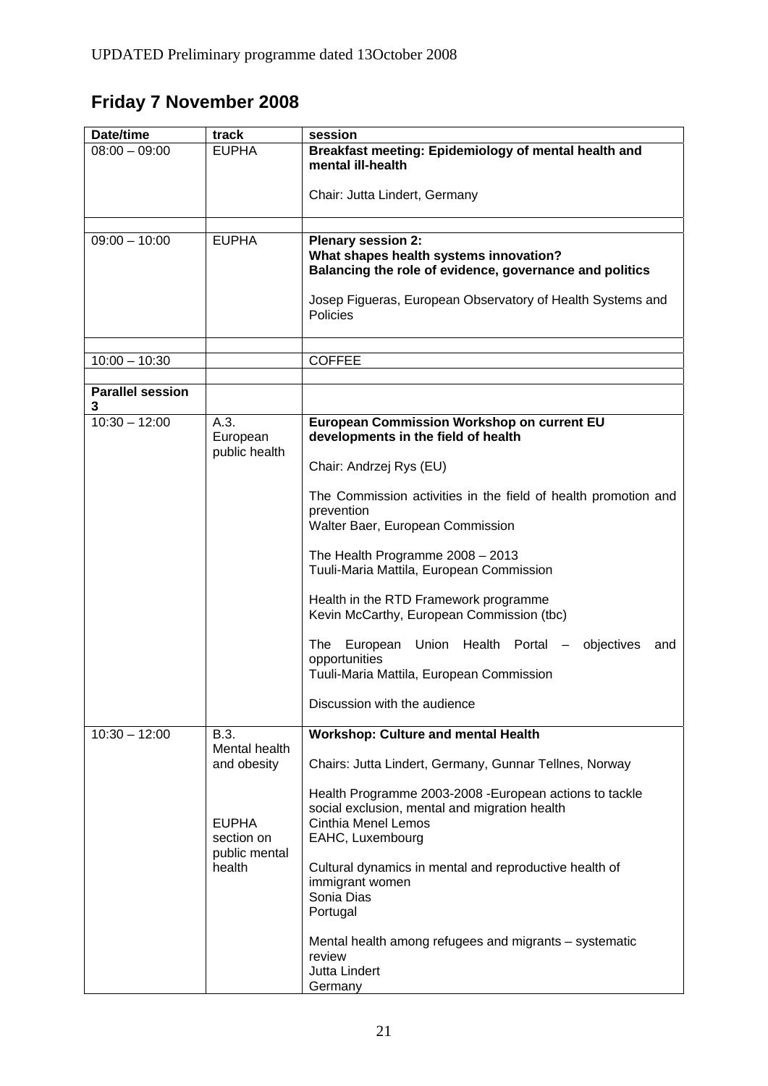# **Friday 7 November 2008**

| Date/time                    | track                             | session                                                                                                                                             |  |
|------------------------------|-----------------------------------|-----------------------------------------------------------------------------------------------------------------------------------------------------|--|
| $08:00 - 09:00$              | <b>EUPHA</b>                      | Breakfast meeting: Epidemiology of mental health and<br>mental ill-health                                                                           |  |
|                              |                                   | Chair: Jutta Lindert, Germany                                                                                                                       |  |
|                              |                                   |                                                                                                                                                     |  |
| $09:00 - 10:00$              | <b>EUPHA</b>                      | Plenary session 2:<br>What shapes health systems innovation?<br>Balancing the role of evidence, governance and politics                             |  |
|                              |                                   | Josep Figueras, European Observatory of Health Systems and<br>Policies                                                                              |  |
|                              |                                   |                                                                                                                                                     |  |
| $10:00 - 10:30$              |                                   | <b>COFFEE</b>                                                                                                                                       |  |
| <b>Parallel session</b><br>3 |                                   |                                                                                                                                                     |  |
| $10:30 - 12:00$              | A.3.<br>European<br>public health | European Commission Workshop on current EU<br>developments in the field of health                                                                   |  |
|                              |                                   | Chair: Andrzej Rys (EU)                                                                                                                             |  |
|                              |                                   | The Commission activities in the field of health promotion and<br>prevention<br>Walter Baer, European Commission                                    |  |
|                              |                                   | The Health Programme $2008 - 2013$<br>Tuuli-Maria Mattila, European Commission                                                                      |  |
|                              |                                   | Health in the RTD Framework programme<br>Kevin McCarthy, European Commission (tbc)                                                                  |  |
|                              |                                   | The European<br>Union Health Portal<br>objectives<br>and<br>opportunities<br>Tuuli-Maria Mattila, European Commission                               |  |
|                              |                                   | Discussion with the audience                                                                                                                        |  |
| $10:30 - 12:00$              | B.3.                              | <b>Workshop: Culture and mental Health</b>                                                                                                          |  |
|                              | Mental health<br>and obesity      | Chairs: Jutta Lindert, Germany, Gunnar Tellnes, Norway                                                                                              |  |
|                              | <b>EUPHA</b><br>section on        | Health Programme 2003-2008 - European actions to tackle<br>social exclusion, mental and migration health<br>Cinthia Menel Lemos<br>EAHC, Luxembourg |  |
|                              | public mental<br>health           | Cultural dynamics in mental and reproductive health of<br>immigrant women<br>Sonia Dias<br>Portugal                                                 |  |
|                              |                                   | Mental health among refugees and migrants – systematic<br>review<br>Jutta Lindert<br>Germany                                                        |  |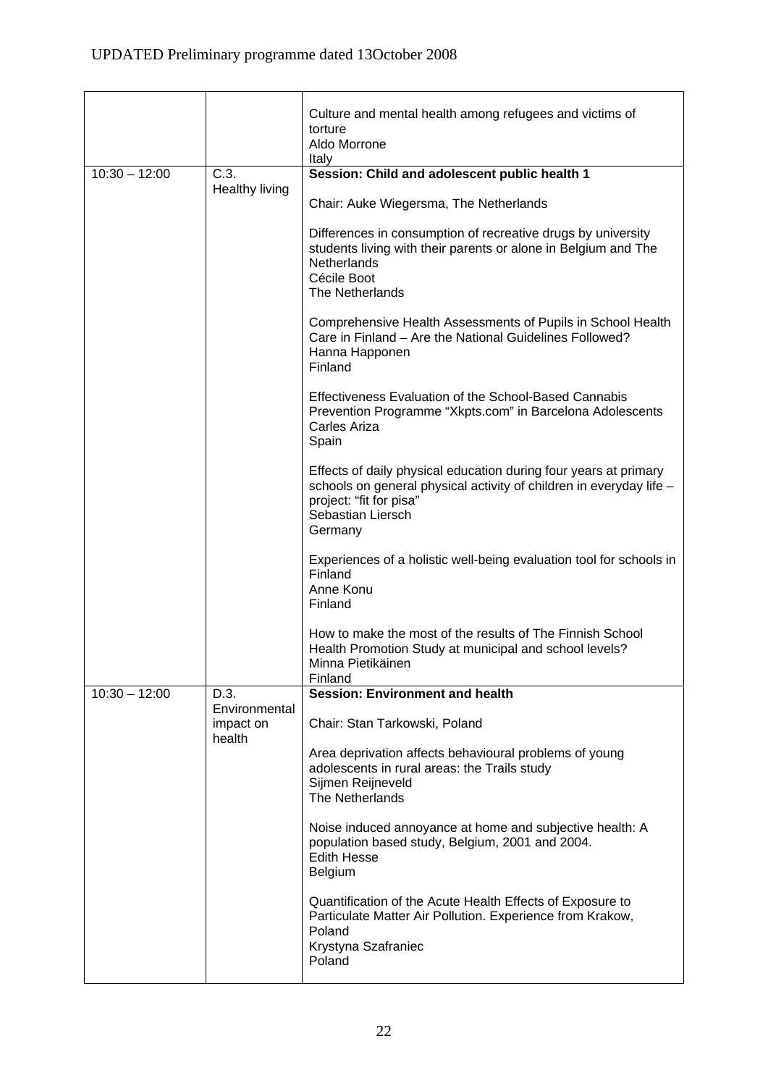|                 |                               | Culture and mental health among refugees and victims of<br>torture<br>Aldo Morrone<br>Italy                                                                                                        |
|-----------------|-------------------------------|----------------------------------------------------------------------------------------------------------------------------------------------------------------------------------------------------|
| $10:30 - 12:00$ | C.3.<br><b>Healthy living</b> | Session: Child and adolescent public health 1                                                                                                                                                      |
|                 |                               | Chair: Auke Wiegersma, The Netherlands                                                                                                                                                             |
|                 |                               | Differences in consumption of recreative drugs by university<br>students living with their parents or alone in Belgium and The<br>Netherlands<br>Cécile Boot<br>The Netherlands                    |
|                 |                               | Comprehensive Health Assessments of Pupils in School Health<br>Care in Finland - Are the National Guidelines Followed?<br>Hanna Happonen<br>Finland                                                |
|                 |                               | Effectiveness Evaluation of the School-Based Cannabis<br>Prevention Programme "Xkpts.com" in Barcelona Adolescents<br>Carles Ariza<br>Spain                                                        |
|                 |                               | Effects of daily physical education during four years at primary<br>schools on general physical activity of children in everyday life -<br>project: "fit for pisa"<br>Sebastian Liersch<br>Germany |
|                 |                               | Experiences of a holistic well-being evaluation tool for schools in<br>Finland<br>Anne Konu<br>Finland                                                                                             |
|                 |                               | How to make the most of the results of The Finnish School<br>Health Promotion Study at municipal and school levels?<br>Minna Pietikäinen<br>Finland                                                |
| $10:30 - 12:00$ | D.3.<br>Environmental         | <b>Session: Environment and health</b>                                                                                                                                                             |
|                 | impact on<br>health           | Chair: Stan Tarkowski, Poland                                                                                                                                                                      |
|                 |                               | Area deprivation affects behavioural problems of young<br>adolescents in rural areas: the Trails study<br>Sijmen Reijneveld<br>The Netherlands                                                     |
|                 |                               | Noise induced annoyance at home and subjective health: A<br>population based study, Belgium, 2001 and 2004.<br><b>Edith Hesse</b><br><b>Belgium</b>                                                |
|                 |                               | Quantification of the Acute Health Effects of Exposure to<br>Particulate Matter Air Pollution. Experience from Krakow,<br>Poland<br>Krystyna Szafraniec<br>Poland                                  |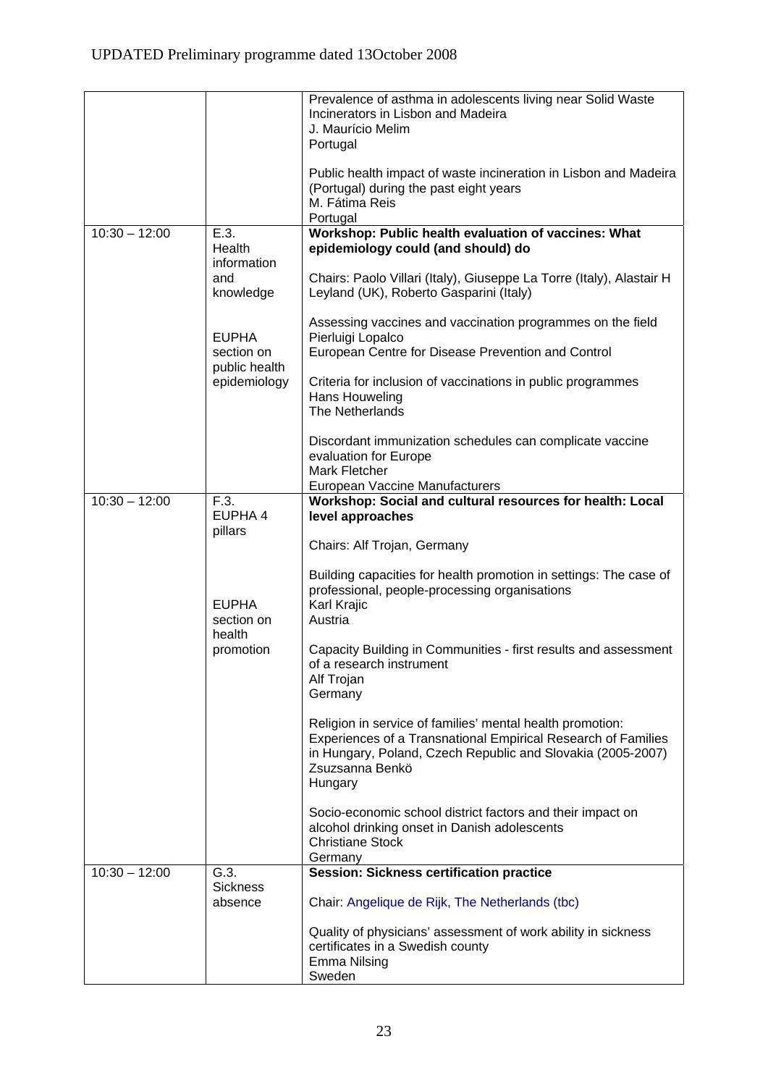|                 |                             | Prevalence of asthma in adolescents living near Solid Waste<br>Incinerators in Lisbon and Madeira<br>J. Maurício Melim                                                                                                  |
|-----------------|-----------------------------|-------------------------------------------------------------------------------------------------------------------------------------------------------------------------------------------------------------------------|
|                 |                             | Portugal                                                                                                                                                                                                                |
|                 |                             | Public health impact of waste incineration in Lisbon and Madeira<br>(Portugal) during the past eight years<br>M. Fátima Reis<br>Portugal                                                                                |
| $10:30 - 12:00$ | E.3.                        | Workshop: Public health evaluation of vaccines: What                                                                                                                                                                    |
|                 | Health<br>information       | epidemiology could (and should) do                                                                                                                                                                                      |
|                 | and<br>knowledge            | Chairs: Paolo Villari (Italy), Giuseppe La Torre (Italy), Alastair H<br>Leyland (UK), Roberto Gasparini (Italy)                                                                                                         |
|                 | <b>EUPHA</b>                | Assessing vaccines and vaccination programmes on the field<br>Pierluigi Lopalco                                                                                                                                         |
|                 | section on<br>public health | European Centre for Disease Prevention and Control                                                                                                                                                                      |
|                 | epidemiology                | Criteria for inclusion of vaccinations in public programmes<br>Hans Houweling<br>The Netherlands                                                                                                                        |
|                 |                             |                                                                                                                                                                                                                         |
|                 |                             | Discordant immunization schedules can complicate vaccine<br>evaluation for Europe                                                                                                                                       |
|                 |                             | Mark Fletcher                                                                                                                                                                                                           |
| $10:30 - 12:00$ | F.3.                        | European Vaccine Manufacturers<br>Workshop: Social and cultural resources for health: Local                                                                                                                             |
|                 | EUPHA 4                     | level approaches                                                                                                                                                                                                        |
|                 | pillars                     | Chairs: Alf Trojan, Germany                                                                                                                                                                                             |
|                 | <b>EUPHA</b><br>section on  | Building capacities for health promotion in settings: The case of<br>professional, people-processing organisations<br>Karl Krajic<br>Austria                                                                            |
|                 | health<br>promotion         | Capacity Building in Communities - first results and assessment<br>of a research instrument<br>Alf Trojan<br>Germany                                                                                                    |
|                 |                             | Religion in service of families' mental health promotion:<br>Experiences of a Transnational Empirical Research of Families<br>in Hungary, Poland, Czech Republic and Slovakia (2005-2007)<br>Zsuzsanna Benkö<br>Hungary |
|                 |                             | Socio-economic school district factors and their impact on<br>alcohol drinking onset in Danish adolescents<br><b>Christiane Stock</b><br>Germany                                                                        |
| $10:30 - 12:00$ | G.3.                        | <b>Session: Sickness certification practice</b>                                                                                                                                                                         |
|                 | <b>Sickness</b><br>absence  | Chair: Angelique de Rijk, The Netherlands (tbc)                                                                                                                                                                         |
|                 |                             | Quality of physicians' assessment of work ability in sickness<br>certificates in a Swedish county<br><b>Emma Nilsing</b><br>Sweden                                                                                      |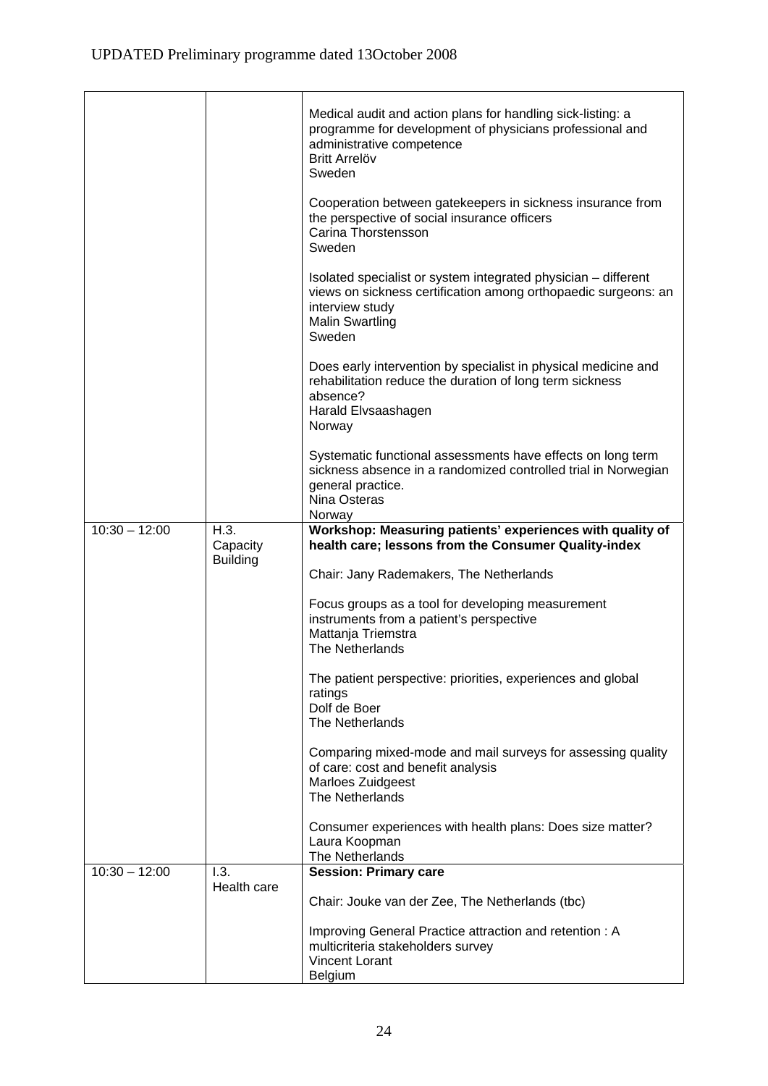|                 |                             | Medical audit and action plans for handling sick-listing: a<br>programme for development of physicians professional and<br>administrative competence<br><b>Britt Arrelöv</b><br>Sweden  |
|-----------------|-----------------------------|-----------------------------------------------------------------------------------------------------------------------------------------------------------------------------------------|
|                 |                             | Cooperation between gatekeepers in sickness insurance from<br>the perspective of social insurance officers<br>Carina Thorstensson<br>Sweden                                             |
|                 |                             | Isolated specialist or system integrated physician – different<br>views on sickness certification among orthopaedic surgeons: an<br>interview study<br><b>Malin Swartling</b><br>Sweden |
|                 |                             | Does early intervention by specialist in physical medicine and<br>rehabilitation reduce the duration of long term sickness<br>absence?<br>Harald Elvsaashagen<br>Norway                 |
|                 |                             | Systematic functional assessments have effects on long term<br>sickness absence in a randomized controlled trial in Norwegian<br>general practice.<br>Nina Osteras<br>Norway            |
| $10:30 - 12:00$ | H.3.                        | Workshop: Measuring patients' experiences with quality of                                                                                                                               |
|                 | Capacity<br><b>Building</b> | health care; lessons from the Consumer Quality-index                                                                                                                                    |
|                 |                             | Chair: Jany Rademakers, The Netherlands                                                                                                                                                 |
|                 |                             | Focus groups as a tool for developing measurement<br>instruments from a patient's perspective<br>Mattanja Triemstra<br>The Netherlands                                                  |
|                 |                             | The patient perspective: priorities, experiences and global<br>ratings<br>Dolf de Boer                                                                                                  |
|                 |                             | The Netherlands                                                                                                                                                                         |
|                 |                             | Comparing mixed-mode and mail surveys for assessing quality<br>of care: cost and benefit analysis<br>Marloes Zuidgeest<br>The Netherlands                                               |
|                 |                             | Consumer experiences with health plans: Does size matter?<br>Laura Koopman<br>The Netherlands                                                                                           |
| $10:30 - 12:00$ | 1.3.                        | <b>Session: Primary care</b>                                                                                                                                                            |
|                 | Health care                 | Chair: Jouke van der Zee, The Netherlands (tbc)                                                                                                                                         |
|                 |                             | Improving General Practice attraction and retention : A<br>multicriteria stakeholders survey<br><b>Vincent Lorant</b><br>Belgium                                                        |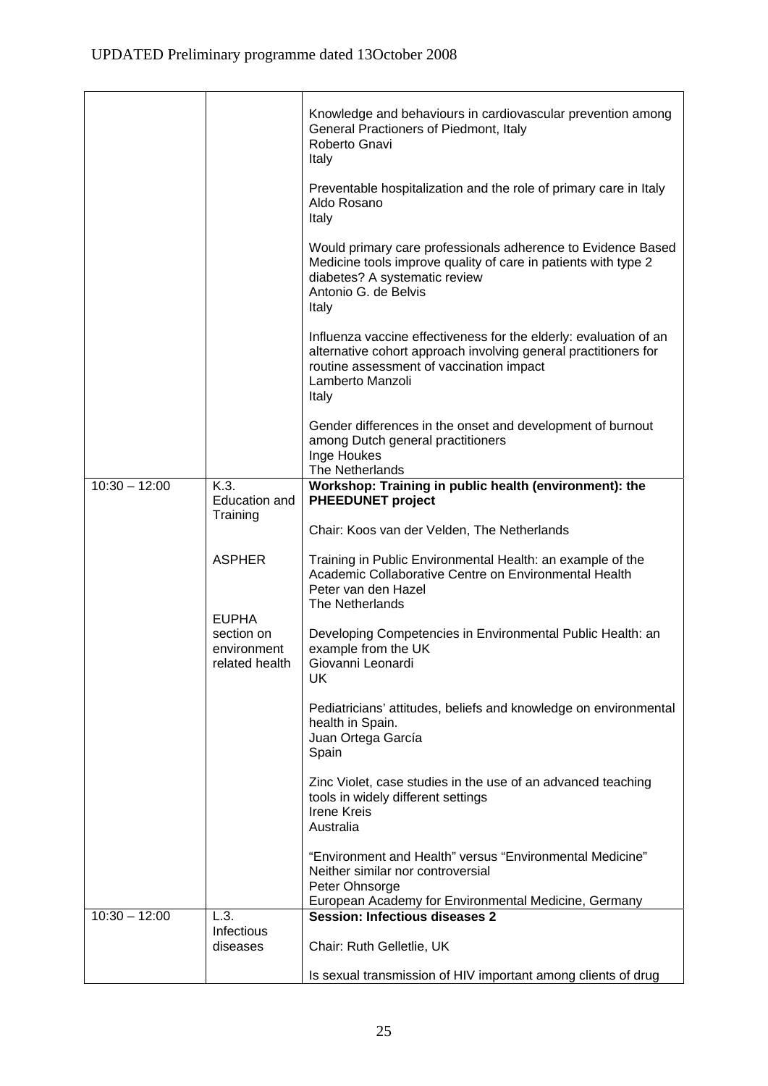|                 |                                                             | Knowledge and behaviours in cardiovascular prevention among<br>General Practioners of Piedmont, Italy<br>Roberto Gnavi<br>Italy<br>Preventable hospitalization and the role of primary care in Italy<br>Aldo Rosano<br>Italy |
|-----------------|-------------------------------------------------------------|------------------------------------------------------------------------------------------------------------------------------------------------------------------------------------------------------------------------------|
|                 |                                                             | Would primary care professionals adherence to Evidence Based<br>Medicine tools improve quality of care in patients with type 2<br>diabetes? A systematic review<br>Antonio G. de Belvis<br>Italy                             |
|                 |                                                             | Influenza vaccine effectiveness for the elderly: evaluation of an<br>alternative cohort approach involving general practitioners for<br>routine assessment of vaccination impact<br>Lamberto Manzoli<br>Italy                |
|                 |                                                             | Gender differences in the onset and development of burnout<br>among Dutch general practitioners<br>Inge Houkes<br>The Netherlands                                                                                            |
| $10:30 - 12:00$ | K.3.<br>Education and                                       | Workshop: Training in public health (environment): the<br><b>PHEEDUNET project</b>                                                                                                                                           |
|                 | Training                                                    | Chair: Koos van der Velden, The Netherlands                                                                                                                                                                                  |
|                 | <b>ASPHER</b>                                               | Training in Public Environmental Health: an example of the<br>Academic Collaborative Centre on Environmental Health<br>Peter van den Hazel<br>The Netherlands                                                                |
|                 | <b>EUPHA</b><br>section on<br>environment<br>related health | Developing Competencies in Environmental Public Health: an<br>example from the UK<br>Giovanni Leonardi<br><b>UK</b>                                                                                                          |
|                 |                                                             | Pediatricians' attitudes, beliefs and knowledge on environmental<br>health in Spain.<br>Juan Ortega García<br>Spain                                                                                                          |
|                 |                                                             | Zinc Violet, case studies in the use of an advanced teaching<br>tools in widely different settings<br><b>Irene Kreis</b><br>Australia                                                                                        |
|                 |                                                             | "Environment and Health" versus "Environmental Medicine"<br>Neither similar nor controversial<br>Peter Ohnsorge                                                                                                              |
| $10:30 - 12:00$ | L.3.                                                        | European Academy for Environmental Medicine, Germany<br><b>Session: Infectious diseases 2</b>                                                                                                                                |
|                 | Infectious<br>diseases                                      | Chair: Ruth Gelletlie, UK                                                                                                                                                                                                    |
|                 |                                                             | Is sexual transmission of HIV important among clients of drug                                                                                                                                                                |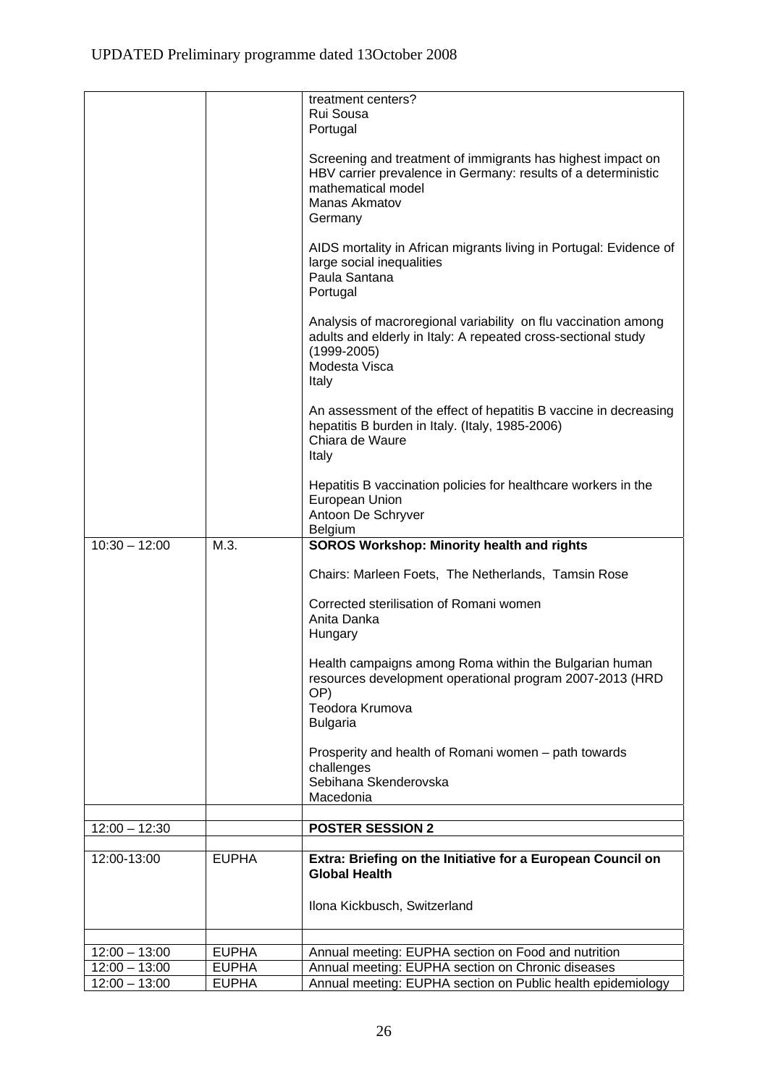|                                    |                              | treatment centers?                                                                                                  |
|------------------------------------|------------------------------|---------------------------------------------------------------------------------------------------------------------|
|                                    |                              | Rui Sousa<br>Portugal                                                                                               |
|                                    |                              |                                                                                                                     |
|                                    |                              | Screening and treatment of immigrants has highest impact on                                                         |
|                                    |                              | HBV carrier prevalence in Germany: results of a deterministic                                                       |
|                                    |                              | mathematical model<br>Manas Akmatov                                                                                 |
|                                    |                              | Germany                                                                                                             |
|                                    |                              |                                                                                                                     |
|                                    |                              | AIDS mortality in African migrants living in Portugal: Evidence of                                                  |
|                                    |                              | large social inequalities<br>Paula Santana                                                                          |
|                                    |                              | Portugal                                                                                                            |
|                                    |                              |                                                                                                                     |
|                                    |                              | Analysis of macroregional variability on flu vaccination among                                                      |
|                                    |                              | adults and elderly in Italy: A repeated cross-sectional study<br>$(1999 - 2005)$                                    |
|                                    |                              | Modesta Visca                                                                                                       |
|                                    |                              | Italy                                                                                                               |
|                                    |                              |                                                                                                                     |
|                                    |                              | An assessment of the effect of hepatitis B vaccine in decreasing<br>hepatitis B burden in Italy. (Italy, 1985-2006) |
|                                    |                              | Chiara de Waure                                                                                                     |
|                                    |                              | Italy                                                                                                               |
|                                    |                              |                                                                                                                     |
|                                    |                              | Hepatitis B vaccination policies for healthcare workers in the<br>European Union                                    |
|                                    |                              | Antoon De Schryver                                                                                                  |
|                                    |                              | <b>Belgium</b>                                                                                                      |
| $10:30 - 12:00$                    | M.3.                         | <b>SOROS Workshop: Minority health and rights</b>                                                                   |
|                                    |                              |                                                                                                                     |
|                                    |                              | Chairs: Marleen Foets, The Netherlands, Tamsin Rose                                                                 |
|                                    |                              | Corrected sterilisation of Romani women                                                                             |
|                                    |                              | Anita Danka                                                                                                         |
|                                    |                              | Hungary                                                                                                             |
|                                    |                              | Health campaigns among Roma within the Bulgarian human                                                              |
|                                    |                              | resources development operational program 2007-2013 (HRD                                                            |
|                                    |                              | OP)                                                                                                                 |
|                                    |                              | Teodora Krumova                                                                                                     |
|                                    |                              | <b>Bulgaria</b>                                                                                                     |
|                                    |                              | Prosperity and health of Romani women - path towards                                                                |
|                                    |                              | challenges                                                                                                          |
|                                    |                              | Sebihana Skenderovska                                                                                               |
|                                    |                              | Macedonia                                                                                                           |
| $12:00 - 12:30$                    |                              | <b>POSTER SESSION 2</b>                                                                                             |
|                                    | <b>EUPHA</b>                 |                                                                                                                     |
| $12:00 - 13:00$                    |                              | Extra: Briefing on the Initiative for a European Council on<br><b>Global Health</b>                                 |
|                                    |                              |                                                                                                                     |
|                                    |                              | Ilona Kickbusch, Switzerland                                                                                        |
|                                    |                              |                                                                                                                     |
| $12:00 - 13:00$                    | <b>EUPHA</b>                 | Annual meeting: EUPHA section on Food and nutrition                                                                 |
| $12:00 - 13:00$<br>$12:00 - 13:00$ | <b>EUPHA</b><br><b>EUPHA</b> | Annual meeting: EUPHA section on Chronic diseases<br>Annual meeting: EUPHA section on Public health epidemiology    |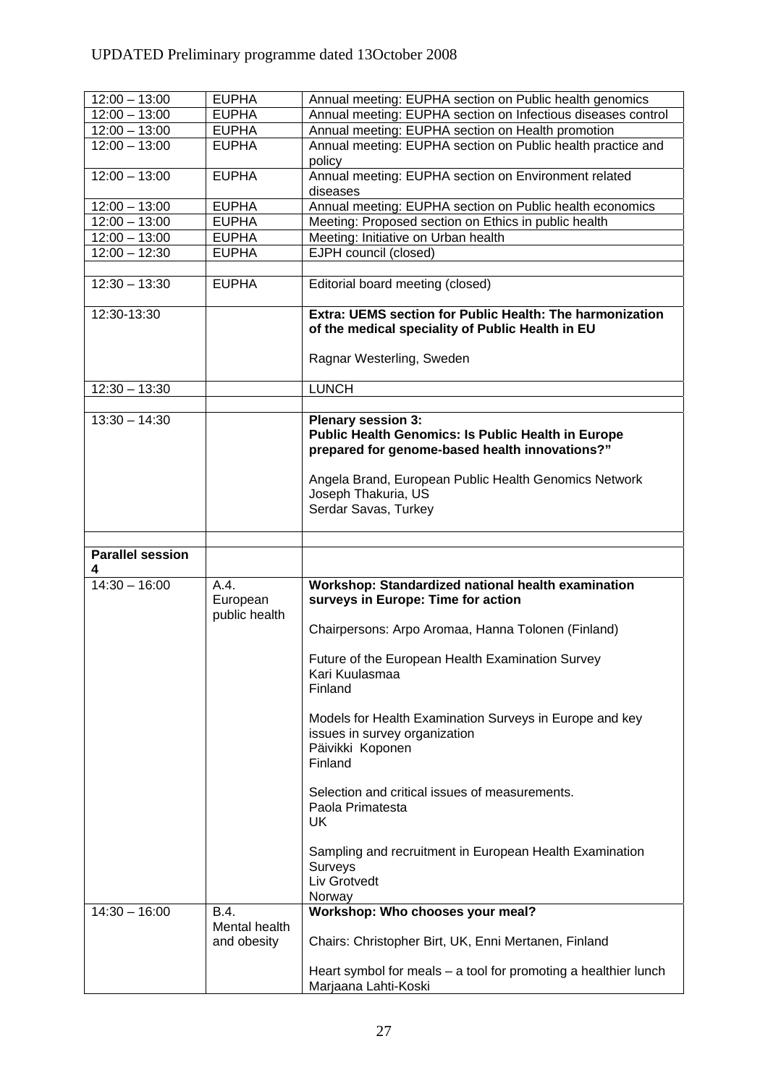| $12:00 - 13:00$              | <b>EUPHA</b>     | Annual meeting: EUPHA section on Public health genomics                                                                                  |
|------------------------------|------------------|------------------------------------------------------------------------------------------------------------------------------------------|
| $12:00 - 13:00$              | <b>EUPHA</b>     | Annual meeting: EUPHA section on Infectious diseases control                                                                             |
| $12:00 - 13:00$              | <b>EUPHA</b>     | Annual meeting: EUPHA section on Health promotion                                                                                        |
| $12:00 - 13:00$              | <b>EUPHA</b>     | Annual meeting: EUPHA section on Public health practice and<br>policy                                                                    |
| $12:00 - 13:00$              | <b>EUPHA</b>     | Annual meeting: EUPHA section on Environment related<br>diseases                                                                         |
| $12:00 - 13:00$              | <b>EUPHA</b>     | Annual meeting: EUPHA section on Public health economics                                                                                 |
| $12:00 - 13:00$              | <b>EUPHA</b>     | Meeting: Proposed section on Ethics in public health                                                                                     |
| $12:00 - 13:00$              | <b>EUPHA</b>     | Meeting: Initiative on Urban health                                                                                                      |
| $12:00 - 12:30$              | <b>EUPHA</b>     | EJPH council (closed)                                                                                                                    |
|                              |                  |                                                                                                                                          |
| $12:30 - 13:30$              | <b>EUPHA</b>     | Editorial board meeting (closed)                                                                                                         |
| 12:30-13:30                  |                  | Extra: UEMS section for Public Health: The harmonization<br>of the medical speciality of Public Health in EU                             |
|                              |                  | Ragnar Westerling, Sweden                                                                                                                |
| $12:30 - 13:30$              |                  | <b>LUNCH</b>                                                                                                                             |
|                              |                  |                                                                                                                                          |
| $13:30 - 14:30$              |                  | <b>Plenary session 3:</b><br><b>Public Health Genomics: Is Public Health in Europe</b><br>prepared for genome-based health innovations?" |
|                              |                  | Angela Brand, European Public Health Genomics Network<br>Joseph Thakuria, US<br>Serdar Savas, Turkey                                     |
|                              |                  |                                                                                                                                          |
|                              |                  |                                                                                                                                          |
| <b>Parallel session</b><br>4 |                  |                                                                                                                                          |
| $14:30 - 16:00$              | A.4.<br>European | Workshop: Standardized national health examination<br>surveys in Europe: Time for action                                                 |
|                              | public health    | Chairpersons: Arpo Aromaa, Hanna Tolonen (Finland)                                                                                       |
|                              |                  | Future of the European Health Examination Survey<br>Kari Kuulasmaa<br>Finland                                                            |
|                              |                  | Models for Health Examination Surveys in Europe and key<br>issues in survey organization<br>Päivikki Koponen<br>Finland                  |
|                              |                  | Selection and critical issues of measurements.<br>Paola Primatesta<br>UK                                                                 |
|                              |                  | Sampling and recruitment in European Health Examination<br>Surveys<br>Liv Grotvedt<br>Norway                                             |
| $14:30 - 16:00$              | B.4.             | Workshop: Who chooses your meal?                                                                                                         |
|                              | Mental health    |                                                                                                                                          |
|                              | and obesity      | Chairs: Christopher Birt, UK, Enni Mertanen, Finland                                                                                     |
|                              |                  | Heart symbol for meals $-$ a tool for promoting a healthier lunch                                                                        |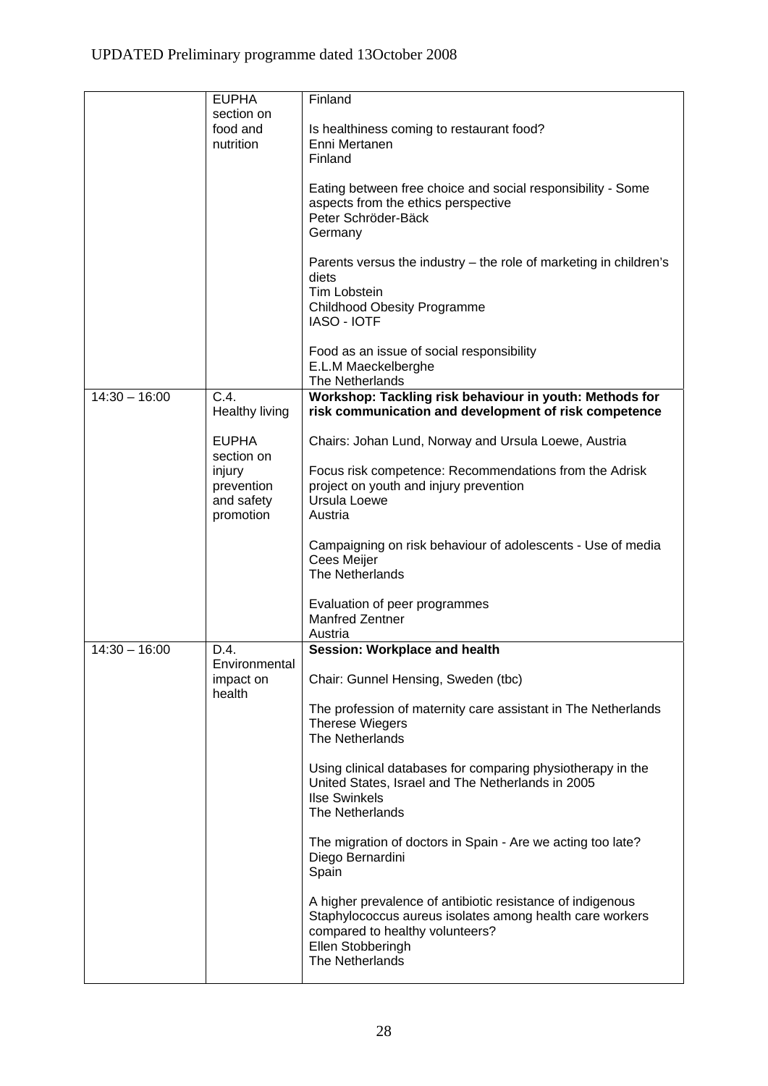|                 | <b>EUPHA</b>          | Finland                                                                                     |
|-----------------|-----------------------|---------------------------------------------------------------------------------------------|
|                 | section on            |                                                                                             |
|                 | food and              | Is healthiness coming to restaurant food?                                                   |
|                 | nutrition             | Enni Mertanen                                                                               |
|                 |                       | Finland                                                                                     |
|                 |                       |                                                                                             |
|                 |                       | Eating between free choice and social responsibility - Some                                 |
|                 |                       | aspects from the ethics perspective                                                         |
|                 |                       | Peter Schröder-Bäck                                                                         |
|                 |                       | Germany                                                                                     |
|                 |                       |                                                                                             |
|                 |                       | Parents versus the industry - the role of marketing in children's                           |
|                 |                       | diets                                                                                       |
|                 |                       | <b>Tim Lobstein</b>                                                                         |
|                 |                       | Childhood Obesity Programme                                                                 |
|                 |                       | <b>IASO - IOTF</b>                                                                          |
|                 |                       |                                                                                             |
|                 |                       | Food as an issue of social responsibility                                                   |
|                 |                       | E.L.M Maeckelberghe                                                                         |
| $14:30 - 16:00$ | C.4.                  | The Netherlands<br>Workshop: Tackling risk behaviour in youth: Methods for                  |
|                 | <b>Healthy living</b> | risk communication and development of risk competence                                       |
|                 |                       |                                                                                             |
|                 | <b>EUPHA</b>          | Chairs: Johan Lund, Norway and Ursula Loewe, Austria                                        |
|                 | section on            |                                                                                             |
|                 | injury                | Focus risk competence: Recommendations from the Adrisk                                      |
|                 | prevention            | project on youth and injury prevention                                                      |
|                 | and safety            | Ursula Loewe                                                                                |
|                 | promotion             | Austria                                                                                     |
|                 |                       |                                                                                             |
|                 |                       | Campaigning on risk behaviour of adolescents - Use of media                                 |
|                 |                       | Cees Meijer                                                                                 |
|                 |                       | The Netherlands                                                                             |
|                 |                       | Evaluation of peer programmes                                                               |
|                 |                       | <b>Manfred Zentner</b>                                                                      |
|                 |                       | Austria                                                                                     |
| $14:30 - 16:00$ | D.4.                  | Session: Workplace and health                                                               |
|                 | Environmental         |                                                                                             |
|                 | impact on             | Chair: Gunnel Hensing, Sweden (tbc)                                                         |
|                 | health                |                                                                                             |
|                 |                       | The profession of maternity care assistant in The Netherlands                               |
|                 |                       | <b>Therese Wiegers</b><br>The Netherlands                                                   |
|                 |                       |                                                                                             |
|                 |                       | Using clinical databases for comparing physiotherapy in the                                 |
|                 |                       | United States, Israel and The Netherlands in 2005                                           |
|                 |                       | <b>Ilse Swinkels</b>                                                                        |
|                 |                       | The Netherlands                                                                             |
|                 |                       |                                                                                             |
|                 |                       | The migration of doctors in Spain - Are we acting too late?                                 |
|                 |                       | Diego Bernardini                                                                            |
|                 |                       | Spain                                                                                       |
|                 |                       |                                                                                             |
|                 |                       | A higher prevalence of antibiotic resistance of indigenous                                  |
|                 |                       | Staphylococcus aureus isolates among health care workers<br>compared to healthy volunteers? |
|                 |                       | Ellen Stobberingh                                                                           |
|                 |                       | The Netherlands                                                                             |
|                 |                       |                                                                                             |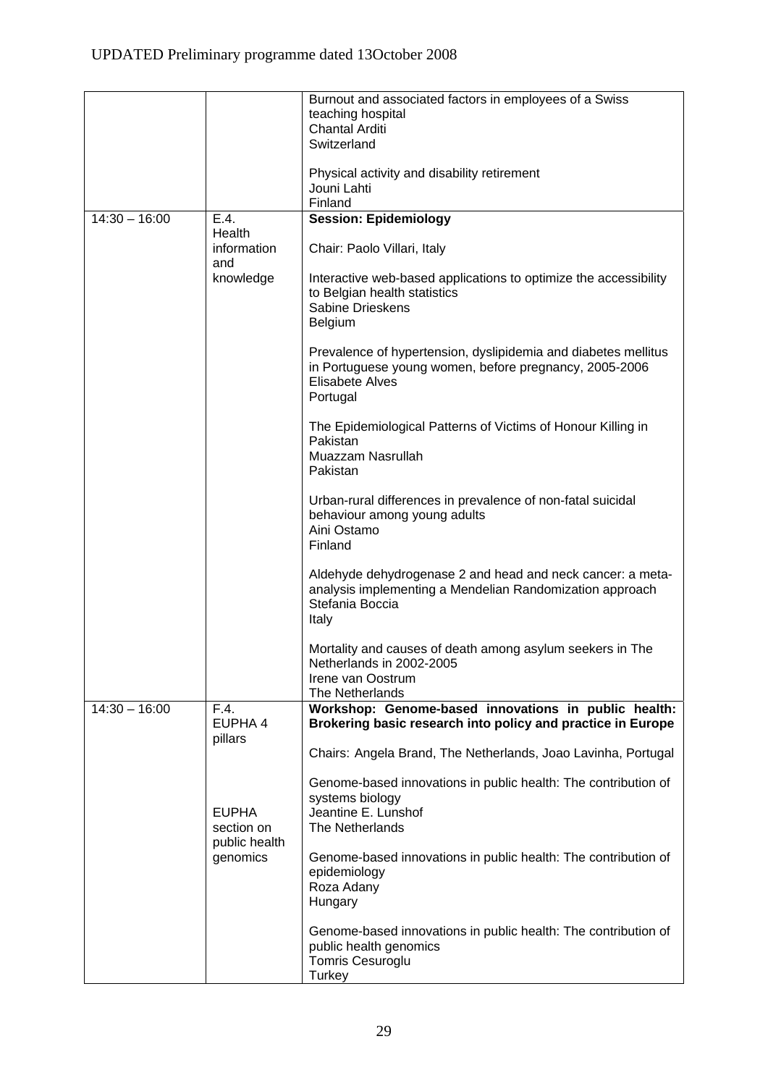|                 |                             | Burnout and associated factors in employees of a Swiss                                           |
|-----------------|-----------------------------|--------------------------------------------------------------------------------------------------|
|                 |                             | teaching hospital                                                                                |
|                 |                             | <b>Chantal Arditi</b>                                                                            |
|                 |                             | Switzerland                                                                                      |
|                 |                             |                                                                                                  |
|                 |                             | Physical activity and disability retirement                                                      |
|                 |                             | Jouni Lahti                                                                                      |
|                 |                             | Finland                                                                                          |
| $14:30 - 16:00$ | E.4.                        | <b>Session: Epidemiology</b>                                                                     |
|                 | Health                      |                                                                                                  |
|                 | information                 | Chair: Paolo Villari, Italy                                                                      |
|                 | and                         |                                                                                                  |
|                 | knowledge                   | Interactive web-based applications to optimize the accessibility<br>to Belgian health statistics |
|                 |                             | Sabine Drieskens                                                                                 |
|                 |                             | <b>Belgium</b>                                                                                   |
|                 |                             |                                                                                                  |
|                 |                             | Prevalence of hypertension, dyslipidemia and diabetes mellitus                                   |
|                 |                             | in Portuguese young women, before pregnancy, 2005-2006                                           |
|                 |                             | Elisabete Alves                                                                                  |
|                 |                             | Portugal                                                                                         |
|                 |                             |                                                                                                  |
|                 |                             | The Epidemiological Patterns of Victims of Honour Killing in                                     |
|                 |                             | Pakistan                                                                                         |
|                 |                             | Muazzam Nasrullah                                                                                |
|                 |                             | Pakistan                                                                                         |
|                 |                             |                                                                                                  |
|                 |                             | Urban-rural differences in prevalence of non-fatal suicidal                                      |
|                 |                             | behaviour among young adults                                                                     |
|                 |                             | Aini Ostamo                                                                                      |
|                 |                             | Finland                                                                                          |
|                 |                             | Aldehyde dehydrogenase 2 and head and neck cancer: a meta-                                       |
|                 |                             | analysis implementing a Mendelian Randomization approach                                         |
|                 |                             | Stefania Boccia                                                                                  |
|                 |                             | Italy                                                                                            |
|                 |                             |                                                                                                  |
|                 |                             | Mortality and causes of death among asylum seekers in The                                        |
|                 |                             | Netherlands in 2002-2005                                                                         |
|                 |                             | Irene van Oostrum                                                                                |
|                 |                             | The Netherlands                                                                                  |
| $14:30 - 16:00$ | F.4.                        | Workshop: Genome-based innovations in public health:                                             |
|                 | EUPHA 4                     | Brokering basic research into policy and practice in Europe                                      |
|                 | pillars                     |                                                                                                  |
|                 |                             | Chairs: Angela Brand, The Netherlands, Joao Lavinha, Portugal                                    |
|                 |                             |                                                                                                  |
|                 |                             | Genome-based innovations in public health: The contribution of                                   |
|                 |                             | systems biology                                                                                  |
|                 | <b>EUPHA</b>                | Jeantine E. Lunshof                                                                              |
|                 | section on<br>public health | The Netherlands                                                                                  |
|                 | genomics                    | Genome-based innovations in public health: The contribution of                                   |
|                 |                             | epidemiology                                                                                     |
|                 |                             | Roza Adany                                                                                       |
|                 |                             | Hungary                                                                                          |
|                 |                             |                                                                                                  |
|                 |                             | Genome-based innovations in public health: The contribution of                                   |
|                 |                             | public health genomics                                                                           |
|                 |                             | <b>Tomris Cesuroglu</b>                                                                          |
|                 |                             | Turkey                                                                                           |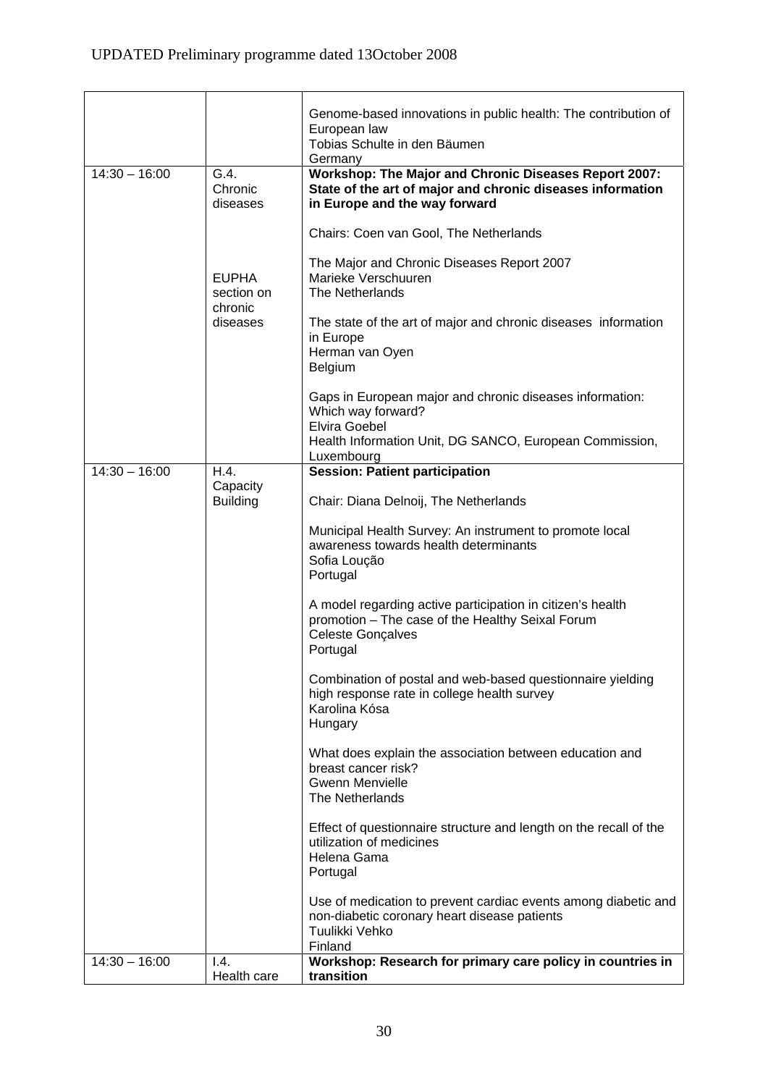|                 |                                       | Genome-based innovations in public health: The contribution of<br>European law<br>Tobias Schulte in den Bäumen<br>Germany                              |
|-----------------|---------------------------------------|--------------------------------------------------------------------------------------------------------------------------------------------------------|
| $14:30 - 16:00$ | G.4.<br>Chronic<br>diseases           | Workshop: The Major and Chronic Diseases Report 2007:<br>State of the art of major and chronic diseases information<br>in Europe and the way forward   |
|                 |                                       | Chairs: Coen van Gool, The Netherlands                                                                                                                 |
|                 | <b>EUPHA</b><br>section on<br>chronic | The Major and Chronic Diseases Report 2007<br>Marieke Verschuuren<br>The Netherlands                                                                   |
|                 | diseases                              | The state of the art of major and chronic diseases information<br>in Europe<br>Herman van Oyen<br>Belgium                                              |
|                 |                                       | Gaps in European major and chronic diseases information:<br>Which way forward?<br><b>Elvira Goebel</b>                                                 |
|                 |                                       | Health Information Unit, DG SANCO, European Commission,<br>Luxembourg                                                                                  |
| $14:30 - 16:00$ | H.4.<br>Capacity                      | <b>Session: Patient participation</b>                                                                                                                  |
|                 | <b>Building</b>                       | Chair: Diana Delnoij, The Netherlands                                                                                                                  |
|                 |                                       | Municipal Health Survey: An instrument to promote local<br>awareness towards health determinants<br>Sofia Loução<br>Portugal                           |
|                 |                                       | A model regarding active participation in citizen's health<br>promotion - The case of the Healthy Seixal Forum<br><b>Celeste Gonçalves</b><br>Portugal |
|                 |                                       | Combination of postal and web-based questionnaire yielding<br>high response rate in college health survey<br>Karolina Kósa<br>Hungary                  |
|                 |                                       | What does explain the association between education and<br>breast cancer risk?<br><b>Gwenn Menvielle</b><br>The Netherlands                            |
|                 |                                       | Effect of questionnaire structure and length on the recall of the<br>utilization of medicines<br>Helena Gama<br>Portugal                               |
|                 |                                       | Use of medication to prevent cardiac events among diabetic and<br>non-diabetic coronary heart disease patients<br>Tuulikki Vehko<br>Finland            |
| $14:30 - 16:00$ | 1.4.<br>Health care                   | Workshop: Research for primary care policy in countries in<br>transition                                                                               |

 $\overline{\phantom{0}}$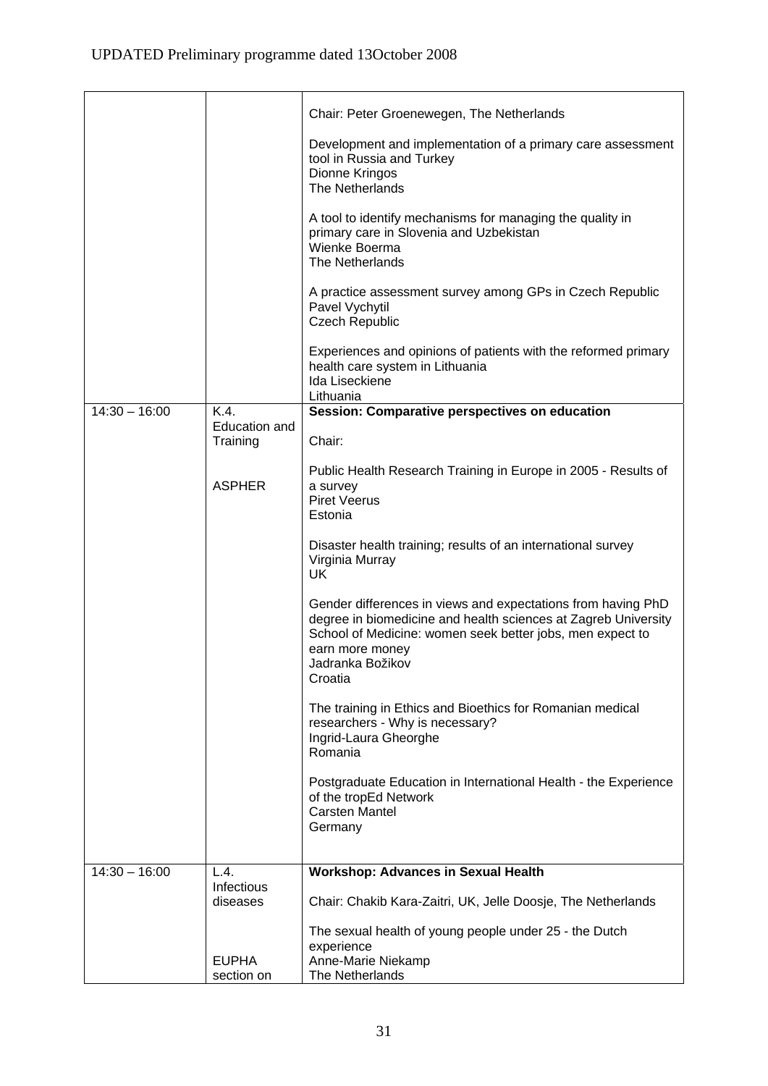|                 |                            | Chair: Peter Groenewegen, The Netherlands                                                                                                                                                                                                     |
|-----------------|----------------------------|-----------------------------------------------------------------------------------------------------------------------------------------------------------------------------------------------------------------------------------------------|
|                 |                            | Development and implementation of a primary care assessment<br>tool in Russia and Turkey<br>Dionne Kringos<br>The Netherlands                                                                                                                 |
|                 |                            | A tool to identify mechanisms for managing the quality in<br>primary care in Slovenia and Uzbekistan<br>Wienke Boerma<br>The Netherlands                                                                                                      |
|                 |                            | A practice assessment survey among GPs in Czech Republic<br>Pavel Vychytil<br><b>Czech Republic</b>                                                                                                                                           |
|                 |                            | Experiences and opinions of patients with the reformed primary<br>health care system in Lithuania<br>Ida Liseckiene<br>Lithuania                                                                                                              |
| $14:30 - 16:00$ | K.4                        | Session: Comparative perspectives on education                                                                                                                                                                                                |
|                 | Education and              |                                                                                                                                                                                                                                               |
|                 | Training                   | Chair:                                                                                                                                                                                                                                        |
|                 | <b>ASPHER</b>              | Public Health Research Training in Europe in 2005 - Results of<br>a survey<br><b>Piret Veerus</b><br>Estonia                                                                                                                                  |
|                 |                            | Disaster health training; results of an international survey<br>Virginia Murray<br><b>UK</b>                                                                                                                                                  |
|                 |                            | Gender differences in views and expectations from having PhD<br>degree in biomedicine and health sciences at Zagreb University<br>School of Medicine: women seek better jobs, men expect to<br>earn more money<br>Jadranka Božikov<br>Croatia |
|                 |                            | The training in Ethics and Bioethics for Romanian medical<br>researchers - Why is necessary?<br>Ingrid-Laura Gheorghe<br>Romania                                                                                                              |
|                 |                            | Postgraduate Education in International Health - the Experience<br>of the tropEd Network<br><b>Carsten Mantel</b><br>Germany                                                                                                                  |
| $14:30 - 16:00$ | L.4.                       | <b>Workshop: Advances in Sexual Health</b>                                                                                                                                                                                                    |
|                 | Infectious                 |                                                                                                                                                                                                                                               |
|                 | diseases                   | Chair: Chakib Kara-Zaitri, UK, Jelle Doosje, The Netherlands                                                                                                                                                                                  |
|                 |                            | The sexual health of young people under 25 - the Dutch<br>experience                                                                                                                                                                          |
|                 | <b>EUPHA</b><br>section on | Anne-Marie Niekamp<br>The Netherlands                                                                                                                                                                                                         |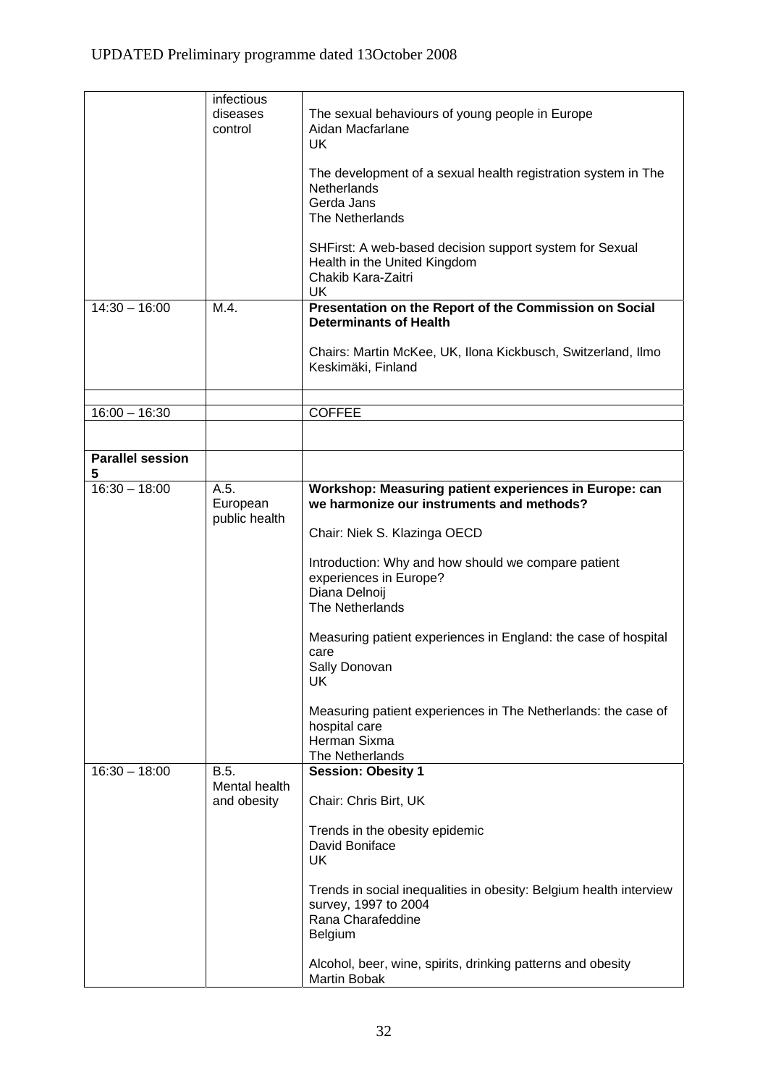|                                    | infectious<br>diseases<br>control         | The sexual behaviours of young people in Europe<br>Aidan Macfarlane<br><b>UK</b><br>The development of a sexual health registration system in The<br><b>Netherlands</b><br>Gerda Jans<br>The Netherlands<br>SHFirst: A web-based decision support system for Sexual<br>Health in the United Kingdom<br>Chakib Kara-Zaitri<br>UK                                                                                                                                                                             |
|------------------------------------|-------------------------------------------|-------------------------------------------------------------------------------------------------------------------------------------------------------------------------------------------------------------------------------------------------------------------------------------------------------------------------------------------------------------------------------------------------------------------------------------------------------------------------------------------------------------|
| $14:30 - 16:00$                    | M.4.                                      | Presentation on the Report of the Commission on Social<br><b>Determinants of Health</b><br>Chairs: Martin McKee, UK, Ilona Kickbusch, Switzerland, Ilmo<br>Keskimäki, Finland                                                                                                                                                                                                                                                                                                                               |
| $16:00 - 16:30$                    |                                           | <b>COFFEE</b>                                                                                                                                                                                                                                                                                                                                                                                                                                                                                               |
|                                    |                                           |                                                                                                                                                                                                                                                                                                                                                                                                                                                                                                             |
| <b>Parallel session</b>            |                                           |                                                                                                                                                                                                                                                                                                                                                                                                                                                                                                             |
| 5                                  |                                           |                                                                                                                                                                                                                                                                                                                                                                                                                                                                                                             |
| $16:30 - 18:00$<br>$16:30 - 18:00$ | A.5.<br>European<br>public health<br>B.5. | Workshop: Measuring patient experiences in Europe: can<br>we harmonize our instruments and methods?<br>Chair: Niek S. Klazinga OECD<br>Introduction: Why and how should we compare patient<br>experiences in Europe?<br>Diana Delnoij<br>The Netherlands<br>Measuring patient experiences in England: the case of hospital<br>care<br>Sally Donovan<br>UK<br>Measuring patient experiences in The Netherlands: the case of<br>hospital care<br>Herman Sixma<br>The Netherlands<br><b>Session: Obesity 1</b> |
|                                    | Mental health<br>and obesity              | Chair: Chris Birt, UK<br>Trends in the obesity epidemic<br>David Boniface<br>UK<br>Trends in social inequalities in obesity: Belgium health interview<br>survey, 1997 to 2004<br>Rana Charafeddine<br><b>Belgium</b><br>Alcohol, beer, wine, spirits, drinking patterns and obesity<br>Martin Bobak                                                                                                                                                                                                         |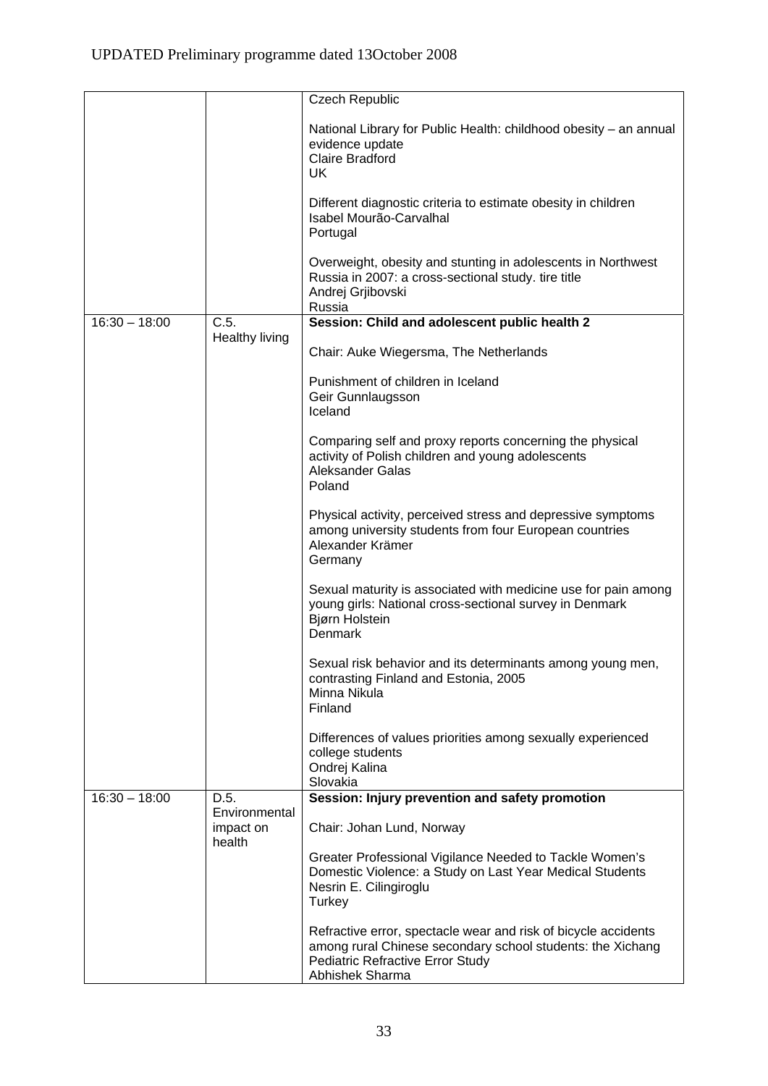|                 |                            | Czech Republic                                                                                                                                                                             |
|-----------------|----------------------------|--------------------------------------------------------------------------------------------------------------------------------------------------------------------------------------------|
|                 |                            | National Library for Public Health: childhood obesity - an annual<br>evidence update<br><b>Claire Bradford</b><br><b>UK</b>                                                                |
|                 |                            | Different diagnostic criteria to estimate obesity in children<br>Isabel Mourão-Carvalhal<br>Portugal                                                                                       |
|                 |                            | Overweight, obesity and stunting in adolescents in Northwest<br>Russia in 2007: a cross-sectional study. tire title<br>Andrej Grjibovski<br>Russia                                         |
| $16:30 - 18:00$ | $\overline{C.5}$           | Session: Child and adolescent public health 2                                                                                                                                              |
|                 | Healthy living             | Chair: Auke Wiegersma, The Netherlands                                                                                                                                                     |
|                 |                            | Punishment of children in Iceland<br>Geir Gunnlaugsson<br>Iceland                                                                                                                          |
|                 |                            | Comparing self and proxy reports concerning the physical<br>activity of Polish children and young adolescents<br><b>Aleksander Galas</b><br>Poland                                         |
|                 |                            | Physical activity, perceived stress and depressive symptoms<br>among university students from four European countries<br>Alexander Krämer<br>Germany                                       |
|                 |                            | Sexual maturity is associated with medicine use for pain among<br>young girls: National cross-sectional survey in Denmark<br>Bjørn Holstein<br>Denmark                                     |
|                 |                            | Sexual risk behavior and its determinants among young men,<br>contrasting Finland and Estonia, 2005<br>Minna Nikula<br>Finland                                                             |
|                 |                            | Differences of values priorities among sexually experienced<br>college students<br>Ondrej Kalina<br>Slovakia                                                                               |
| $16:30 - 18:00$ | D.5.                       | Session: Injury prevention and safety promotion                                                                                                                                            |
|                 | Environmental<br>impact on | Chair: Johan Lund, Norway                                                                                                                                                                  |
|                 | health                     | Greater Professional Vigilance Needed to Tackle Women's<br>Domestic Violence: a Study on Last Year Medical Students<br>Nesrin E. Cilingiroglu<br>Turkey                                    |
|                 |                            | Refractive error, spectacle wear and risk of bicycle accidents<br>among rural Chinese secondary school students: the Xichang<br><b>Pediatric Refractive Error Study</b><br>Abhishek Sharma |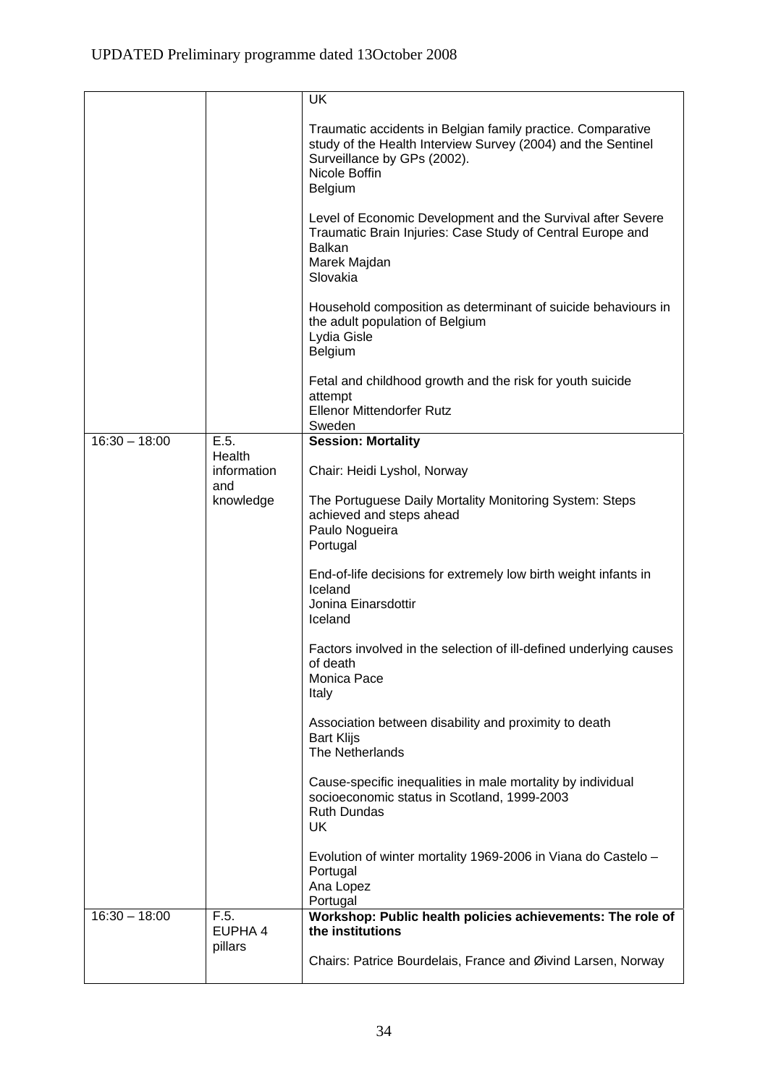|                 |                       | <b>UK</b>                                                                                                                                                                              |
|-----------------|-----------------------|----------------------------------------------------------------------------------------------------------------------------------------------------------------------------------------|
|                 |                       | Traumatic accidents in Belgian family practice. Comparative<br>study of the Health Interview Survey (2004) and the Sentinel<br>Surveillance by GPs (2002).<br>Nicole Boffin<br>Belgium |
|                 |                       | Level of Economic Development and the Survival after Severe<br>Traumatic Brain Injuries: Case Study of Central Europe and<br><b>Balkan</b><br>Marek Majdan<br>Slovakia                 |
|                 |                       | Household composition as determinant of suicide behaviours in<br>the adult population of Belgium<br>Lydia Gisle<br>Belgium                                                             |
|                 |                       | Fetal and childhood growth and the risk for youth suicide<br>attempt<br><b>Ellenor Mittendorfer Rutz</b><br>Sweden                                                                     |
| $16:30 - 18:00$ | E.5.                  | <b>Session: Mortality</b>                                                                                                                                                              |
|                 | Health<br>information | Chair: Heidi Lyshol, Norway                                                                                                                                                            |
|                 | and<br>knowledge      | The Portuguese Daily Mortality Monitoring System: Steps<br>achieved and steps ahead<br>Paulo Nogueira<br>Portugal                                                                      |
|                 |                       | End-of-life decisions for extremely low birth weight infants in<br>Iceland<br>Jonina Einarsdottir<br>Iceland                                                                           |
|                 |                       | Factors involved in the selection of ill-defined underlying causes<br>of death<br>Monica Pace<br>Italy                                                                                 |
|                 |                       | Association between disability and proximity to death<br><b>Bart Klijs</b><br>The Netherlands                                                                                          |
|                 |                       | Cause-specific inequalities in male mortality by individual<br>socioeconomic status in Scotland, 1999-2003<br><b>Ruth Dundas</b><br>UK                                                 |
|                 |                       | Evolution of winter mortality 1969-2006 in Viana do Castelo -<br>Portugal<br>Ana Lopez<br>Portugal                                                                                     |
| $16:30 - 18:00$ | F.5.<br>EUPHA 4       | Workshop: Public health policies achievements: The role of<br>the institutions                                                                                                         |
|                 | pillars               | Chairs: Patrice Bourdelais, France and Øivind Larsen, Norway                                                                                                                           |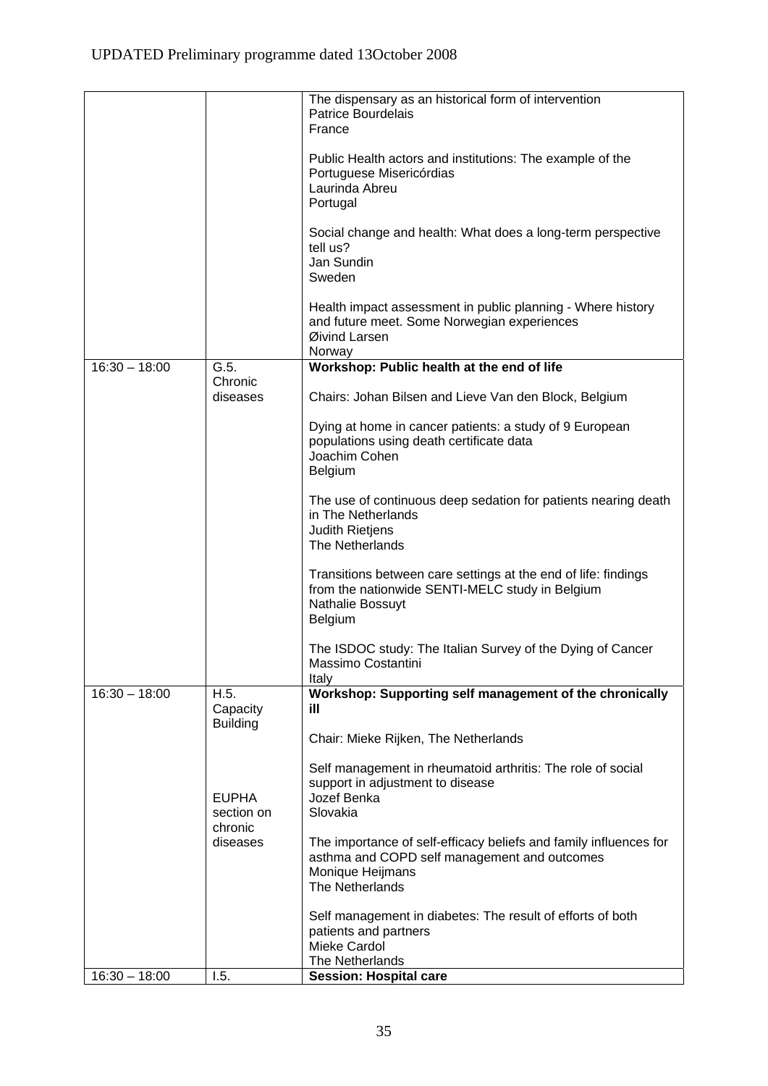|                 |                       | The dispensary as an historical form of intervention<br><b>Patrice Bourdelais</b><br>France                                                      |
|-----------------|-----------------------|--------------------------------------------------------------------------------------------------------------------------------------------------|
|                 |                       | Public Health actors and institutions: The example of the<br>Portuguese Misericórdias<br>Laurinda Abreu<br>Portugal                              |
|                 |                       | Social change and health: What does a long-term perspective<br>tell us?<br>Jan Sundin<br>Sweden                                                  |
|                 |                       | Health impact assessment in public planning - Where history<br>and future meet. Some Norwegian experiences<br>Øivind Larsen<br>Norway            |
| $16:30 - 18:00$ | G.5.                  | Workshop: Public health at the end of life                                                                                                       |
|                 | Chronic<br>diseases   | Chairs: Johan Bilsen and Lieve Van den Block, Belgium                                                                                            |
|                 |                       | Dying at home in cancer patients: a study of 9 European<br>populations using death certificate data<br>Joachim Cohen<br>Belgium                  |
|                 |                       | The use of continuous deep sedation for patients nearing death<br>in The Netherlands<br><b>Judith Rietjens</b><br>The Netherlands                |
|                 |                       | Transitions between care settings at the end of life: findings<br>from the nationwide SENTI-MELC study in Belgium<br>Nathalie Bossuyt<br>Belgium |
|                 |                       | The ISDOC study: The Italian Survey of the Dying of Cancer<br>Massimo Costantini<br>Italy                                                        |
| $16:30 - 18:00$ | H.5.<br>Capacity      | Workshop: Supporting self management of the chronically<br>ill                                                                                   |
|                 | <b>Building</b>       | Chair: Mieke Rijken, The Netherlands                                                                                                             |
|                 | <b>EUPHA</b>          | Self management in rheumatoid arthritis: The role of social<br>support in adjustment to disease<br>Jozef Benka                                   |
|                 | section on<br>chronic | Slovakia                                                                                                                                         |
|                 | diseases              | The importance of self-efficacy beliefs and family influences for<br>asthma and COPD self management and outcomes<br>Monique Heijmans            |
|                 |                       | The Netherlands                                                                                                                                  |
|                 |                       | Self management in diabetes: The result of efforts of both<br>patients and partners<br>Mieke Cardol                                              |
| $16:30 - 18:00$ | 1.5.                  | The Netherlands                                                                                                                                  |
|                 |                       | <b>Session: Hospital care</b>                                                                                                                    |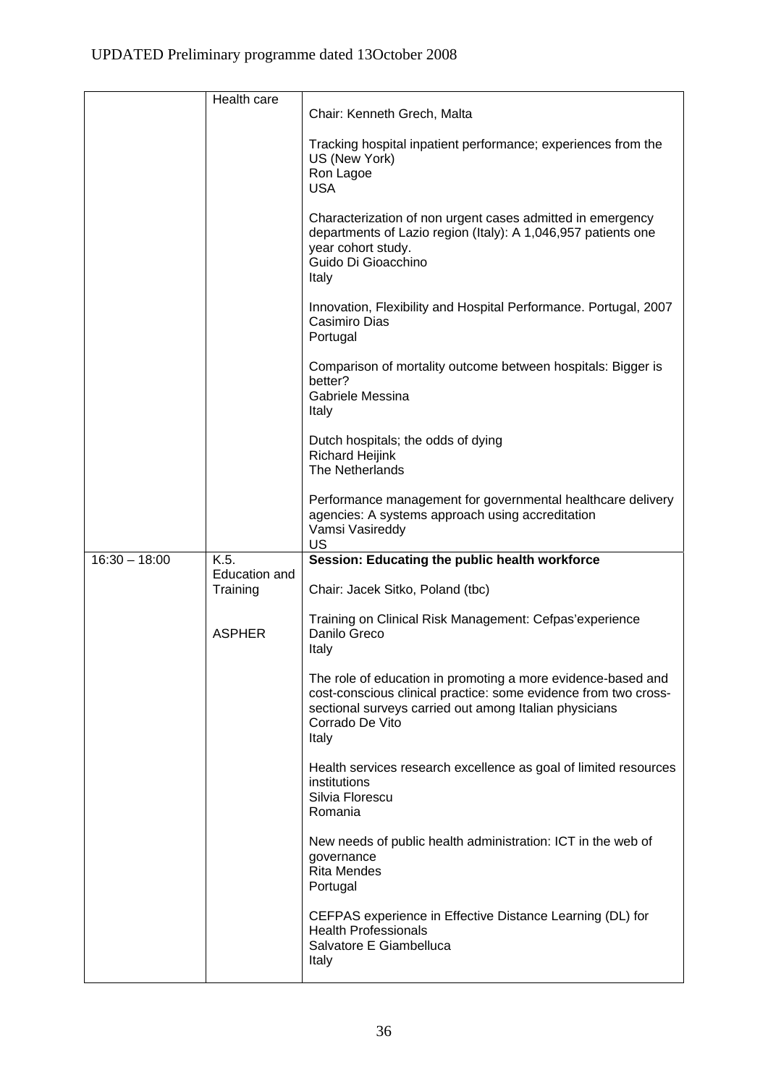|                 | Health care               |                                                                                                                                                                                                                       |
|-----------------|---------------------------|-----------------------------------------------------------------------------------------------------------------------------------------------------------------------------------------------------------------------|
|                 |                           | Chair: Kenneth Grech, Malta                                                                                                                                                                                           |
|                 |                           | Tracking hospital inpatient performance; experiences from the<br>US (New York)<br>Ron Lagoe<br><b>USA</b>                                                                                                             |
|                 |                           | Characterization of non urgent cases admitted in emergency<br>departments of Lazio region (Italy): A 1,046,957 patients one<br>year cohort study.<br>Guido Di Gioacchino<br>Italy                                     |
|                 |                           | Innovation, Flexibility and Hospital Performance. Portugal, 2007<br>Casimiro Dias<br>Portugal                                                                                                                         |
|                 |                           | Comparison of mortality outcome between hospitals: Bigger is<br>better?<br>Gabriele Messina<br>Italy                                                                                                                  |
|                 |                           | Dutch hospitals; the odds of dying<br><b>Richard Heijink</b><br>The Netherlands                                                                                                                                       |
|                 |                           | Performance management for governmental healthcare delivery<br>agencies: A systems approach using accreditation<br>Vamsi Vasireddy<br><b>US</b>                                                                       |
| $16:30 - 18:00$ | K.5.                      | Session: Educating the public health workforce                                                                                                                                                                        |
|                 | Education and<br>Training | Chair: Jacek Sitko, Poland (tbc)                                                                                                                                                                                      |
|                 | <b>ASPHER</b>             | Training on Clinical Risk Management: Cefpas'experience<br>Danilo Greco<br>Italy                                                                                                                                      |
|                 |                           | The role of education in promoting a more evidence-based and<br>cost-conscious clinical practice: some evidence from two cross-<br>sectional surveys carried out among Italian physicians<br>Corrado De Vito<br>Italy |
|                 |                           | Health services research excellence as goal of limited resources<br>institutions<br>Silvia Florescu<br>Romania                                                                                                        |
|                 |                           | New needs of public health administration: ICT in the web of<br>governance<br><b>Rita Mendes</b><br>Portugal                                                                                                          |
|                 |                           | CEFPAS experience in Effective Distance Learning (DL) for<br><b>Health Professionals</b><br>Salvatore E Giambelluca<br>Italy                                                                                          |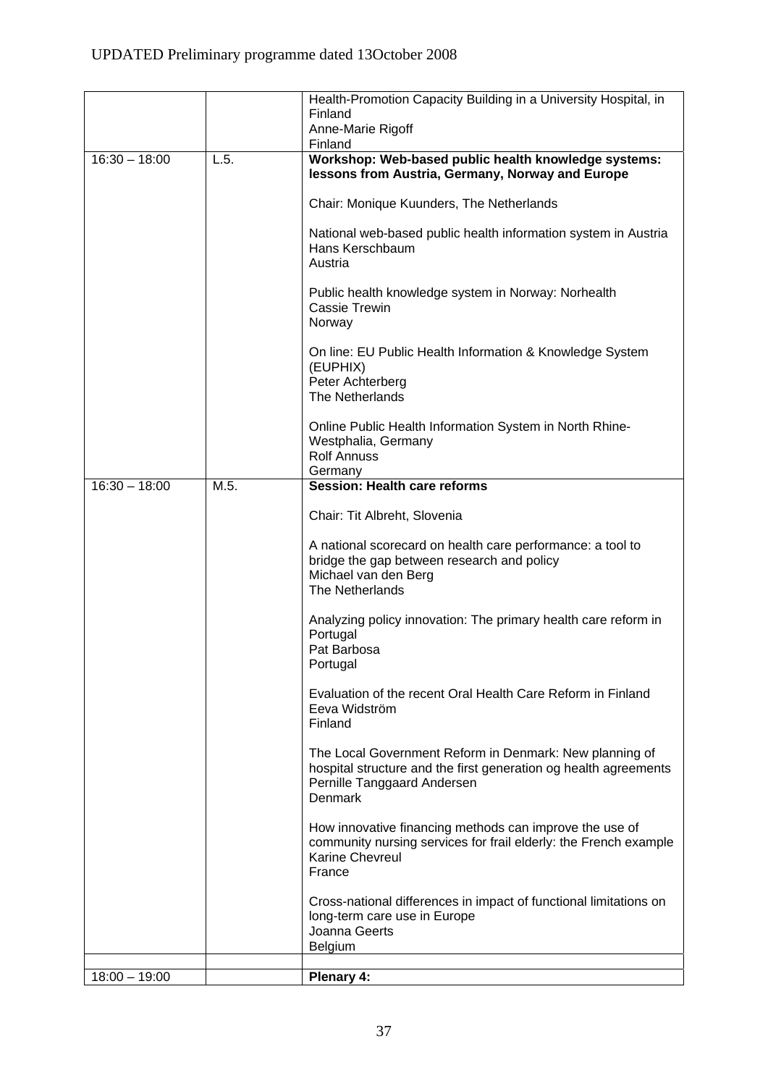|                 |      | Health-Promotion Capacity Building in a University Hospital, in<br>Finland                                                                                                   |
|-----------------|------|------------------------------------------------------------------------------------------------------------------------------------------------------------------------------|
|                 |      | Anne-Marie Rigoff<br>Finland                                                                                                                                                 |
| $16:30 - 18:00$ | L.5. | Workshop: Web-based public health knowledge systems:<br>lessons from Austria, Germany, Norway and Europe                                                                     |
|                 |      | Chair: Monique Kuunders, The Netherlands                                                                                                                                     |
|                 |      | National web-based public health information system in Austria<br>Hans Kerschbaum<br>Austria                                                                                 |
|                 |      | Public health knowledge system in Norway: Norhealth<br>Cassie Trewin<br>Norway                                                                                               |
|                 |      | On line: EU Public Health Information & Knowledge System<br>(EUPHIX)<br>Peter Achterberg<br>The Netherlands                                                                  |
|                 |      | Online Public Health Information System in North Rhine-<br>Westphalia, Germany<br><b>Rolf Annuss</b><br>Germany                                                              |
| $16:30 - 18:00$ | M.5. | <b>Session: Health care reforms</b>                                                                                                                                          |
|                 |      | Chair: Tit Albreht, Slovenia                                                                                                                                                 |
|                 |      | A national scorecard on health care performance: a tool to<br>bridge the gap between research and policy<br>Michael van den Berg<br>The Netherlands                          |
|                 |      | Analyzing policy innovation: The primary health care reform in<br>Portugal<br>Pat Barbosa<br>Portugal                                                                        |
|                 |      | Evaluation of the recent Oral Health Care Reform in Finland<br>Eeva Widström<br>Finland                                                                                      |
|                 |      | The Local Government Reform in Denmark: New planning of<br>hospital structure and the first generation og health agreements<br>Pernille Tanggaard Andersen<br><b>Denmark</b> |
|                 |      | How innovative financing methods can improve the use of<br>community nursing services for frail elderly: the French example<br><b>Karine Chevreul</b><br>France              |
|                 |      | Cross-national differences in impact of functional limitations on<br>long-term care use in Europe<br>Joanna Geerts<br><b>Belgium</b>                                         |
| $18:00 - 19:00$ |      | Plenary 4:                                                                                                                                                                   |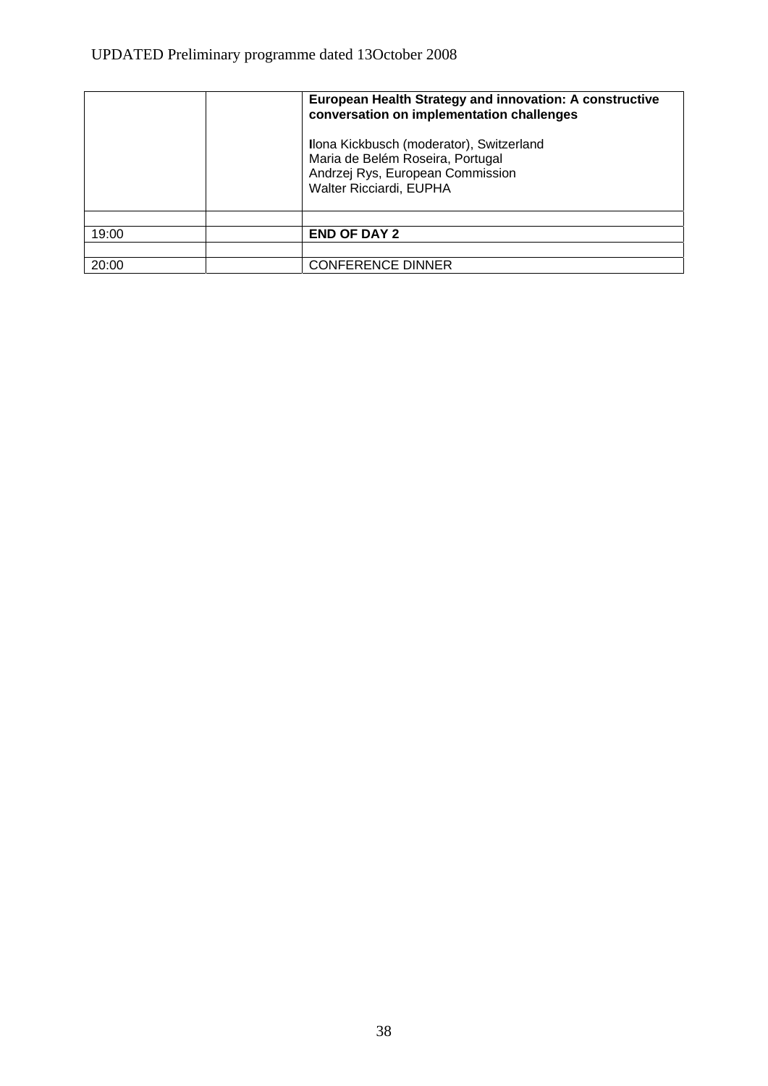|       | European Health Strategy and innovation: A constructive<br>conversation on implementation challenges                                        |
|-------|---------------------------------------------------------------------------------------------------------------------------------------------|
|       | Ilona Kickbusch (moderator), Switzerland<br>Maria de Belém Roseira, Portugal<br>Andrzej Rys, European Commission<br>Walter Ricciardi, EUPHA |
|       |                                                                                                                                             |
| 19:00 | <b>END OF DAY 2</b>                                                                                                                         |
|       |                                                                                                                                             |
| 20:00 | <b>CONFERENCE DINNER</b>                                                                                                                    |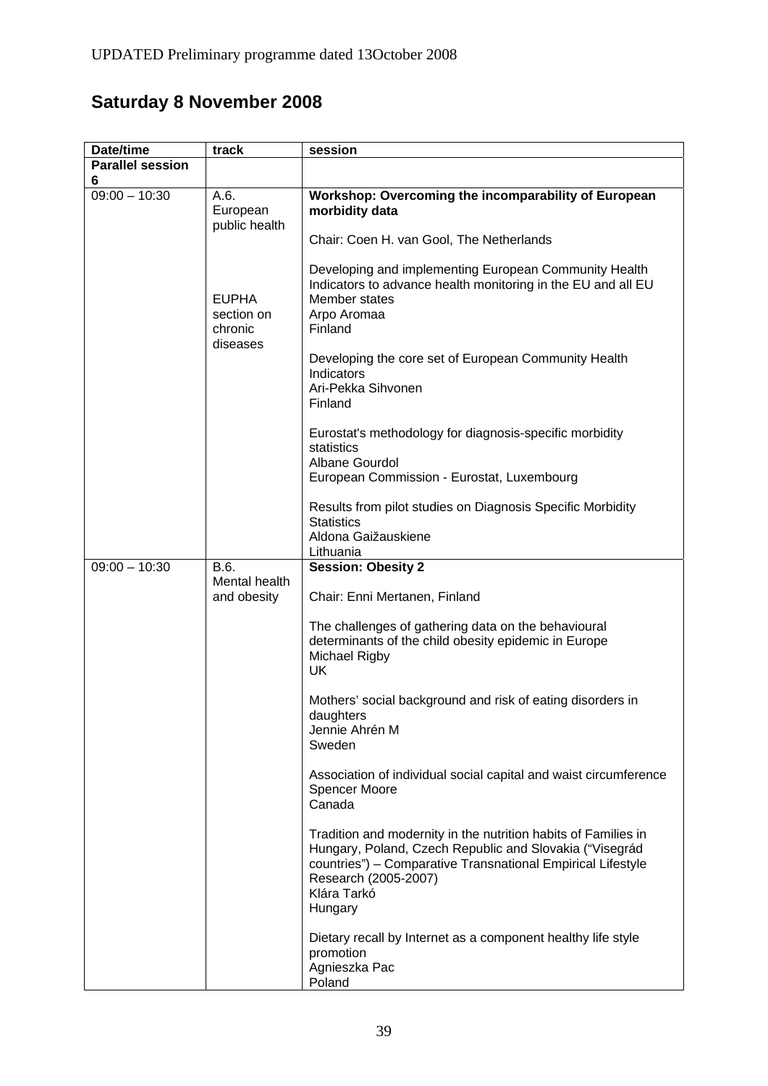# **Saturday 8 November 2008**

| Date/time                    | track                                             | session                                                                                                                                                                                                                                    |
|------------------------------|---------------------------------------------------|--------------------------------------------------------------------------------------------------------------------------------------------------------------------------------------------------------------------------------------------|
| <b>Parallel session</b><br>6 |                                                   |                                                                                                                                                                                                                                            |
| $09:00 - 10:30$              | A.6.<br>European<br>public health                 | Workshop: Overcoming the incomparability of European<br>morbidity data                                                                                                                                                                     |
|                              |                                                   | Chair: Coen H. van Gool, The Netherlands                                                                                                                                                                                                   |
|                              | <b>EUPHA</b><br>section on<br>chronic<br>diseases | Developing and implementing European Community Health<br>Indicators to advance health monitoring in the EU and all EU<br>Member states<br>Arpo Aromaa<br>Finland                                                                           |
|                              |                                                   | Developing the core set of European Community Health<br>Indicators<br>Ari-Pekka Sihvonen<br>Finland                                                                                                                                        |
|                              |                                                   | Eurostat's methodology for diagnosis-specific morbidity<br>statistics<br>Albane Gourdol<br>European Commission - Eurostat, Luxembourg                                                                                                      |
|                              |                                                   | Results from pilot studies on Diagnosis Specific Morbidity<br><b>Statistics</b><br>Aldona Gaižauskiene<br>Lithuania                                                                                                                        |
| $09:00 - 10:30$              | B.6.<br>Mental health                             | <b>Session: Obesity 2</b>                                                                                                                                                                                                                  |
|                              | and obesity                                       | Chair: Enni Mertanen, Finland                                                                                                                                                                                                              |
|                              |                                                   | The challenges of gathering data on the behavioural<br>determinants of the child obesity epidemic in Europe<br>Michael Rigby<br><b>UK</b>                                                                                                  |
|                              |                                                   | Mothers' social background and risk of eating disorders in<br>daughters<br>Jennie Ahrén M<br>Sweden                                                                                                                                        |
|                              |                                                   | Association of individual social capital and waist circumference<br><b>Spencer Moore</b><br>Canada                                                                                                                                         |
|                              |                                                   | Tradition and modernity in the nutrition habits of Families in<br>Hungary, Poland, Czech Republic and Slovakia ("Visegrád<br>countries") - Comparative Transnational Empirical Lifestyle<br>Research (2005-2007)<br>Klára Tarkó<br>Hungary |
|                              |                                                   | Dietary recall by Internet as a component healthy life style<br>promotion<br>Agnieszka Pac<br>Poland                                                                                                                                       |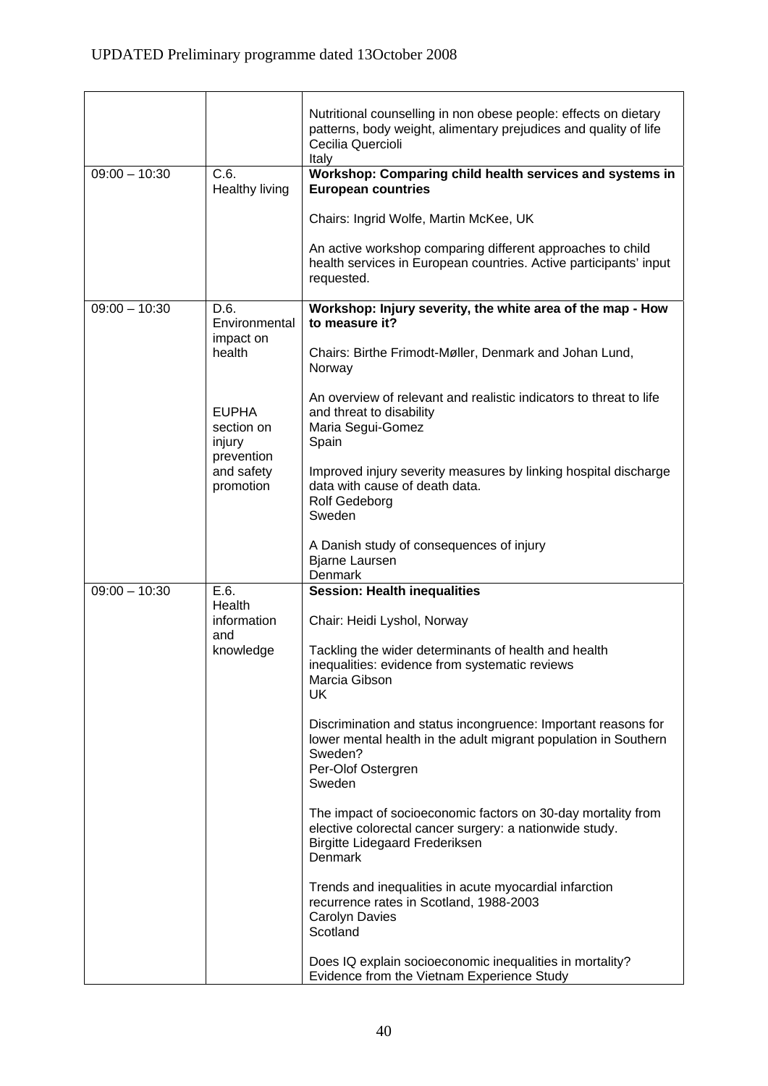$\overline{\phantom{a}}$ 

ŕ

|                 |                                       | Nutritional counselling in non obese people: effects on dietary<br>patterns, body weight, alimentary prejudices and quality of life<br>Cecilia Quercioli<br>Italy                  |
|-----------------|---------------------------------------|------------------------------------------------------------------------------------------------------------------------------------------------------------------------------------|
| $09:00 - 10:30$ | C.6.<br>Healthy living                | Workshop: Comparing child health services and systems in<br><b>European countries</b>                                                                                              |
|                 |                                       | Chairs: Ingrid Wolfe, Martin McKee, UK                                                                                                                                             |
|                 |                                       | An active workshop comparing different approaches to child<br>health services in European countries. Active participants' input<br>requested.                                      |
| $09:00 - 10:30$ | D.6.<br>Environmental                 | Workshop: Injury severity, the white area of the map - How<br>to measure it?                                                                                                       |
|                 | impact on<br>health                   | Chairs: Birthe Frimodt-Møller, Denmark and Johan Lund,<br>Norway                                                                                                                   |
|                 | <b>EUPHA</b><br>section on<br>injury  | An overview of relevant and realistic indicators to threat to life<br>and threat to disability<br>Maria Segui-Gomez<br>Spain                                                       |
|                 | prevention<br>and safety<br>promotion | Improved injury severity measures by linking hospital discharge<br>data with cause of death data.<br>Rolf Gedeborg<br>Sweden                                                       |
|                 |                                       | A Danish study of consequences of injury<br><b>Bjarne Laursen</b><br>Denmark                                                                                                       |
| $09:00 - 10:30$ | E.6.<br>Health                        | <b>Session: Health inequalities</b>                                                                                                                                                |
|                 | information<br>and                    | Chair: Heidi Lyshol, Norway                                                                                                                                                        |
|                 | knowledge                             | Tackling the wider determinants of health and health<br>inequalities: evidence from systematic reviews<br>Marcia Gibson<br>UK.                                                     |
|                 |                                       | Discrimination and status incongruence: Important reasons for<br>lower mental health in the adult migrant population in Southern<br>Sweden?<br>Per-Olof Ostergren<br>Sweden        |
|                 |                                       | The impact of socioeconomic factors on 30-day mortality from<br>elective colorectal cancer surgery: a nationwide study.<br><b>Birgitte Lidegaard Frederiksen</b><br><b>Denmark</b> |
|                 |                                       | Trends and inequalities in acute myocardial infarction<br>recurrence rates in Scotland, 1988-2003<br>Carolyn Davies<br>Scotland                                                    |
|                 |                                       | Does IQ explain socioeconomic inequalities in mortality?<br>Evidence from the Vietnam Experience Study                                                                             |

 $\overline{\phantom{0}}$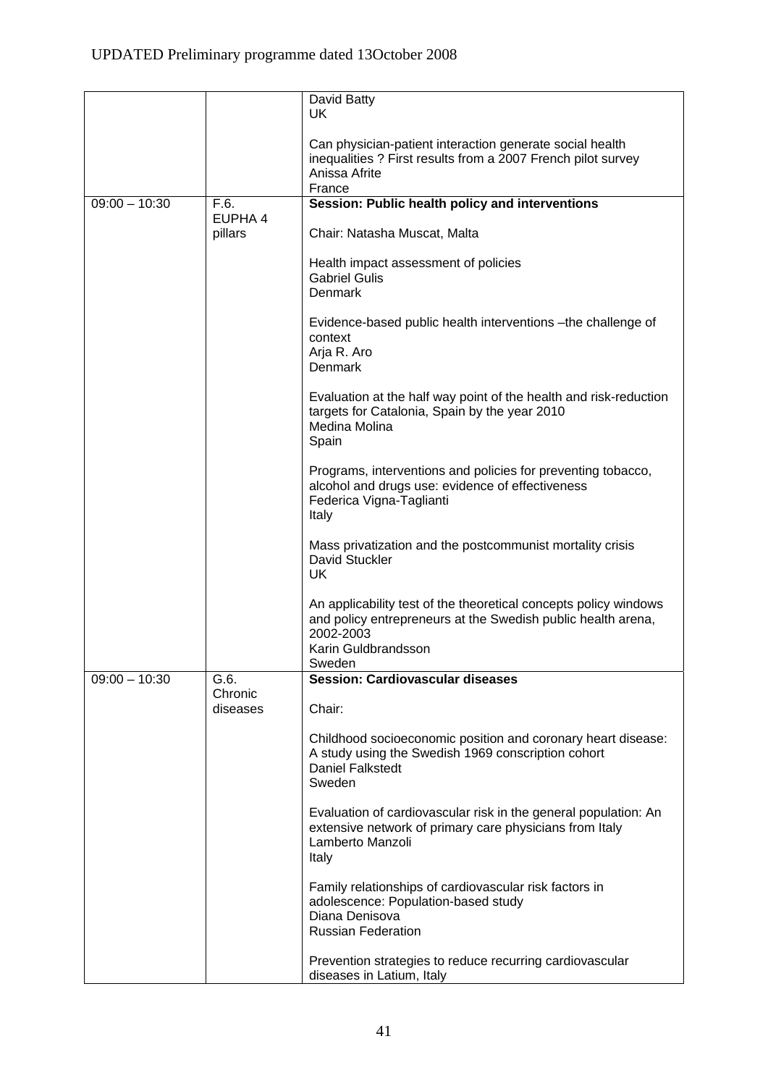|                 |                     | David Batty                                                                                                                                                                    |
|-----------------|---------------------|--------------------------------------------------------------------------------------------------------------------------------------------------------------------------------|
|                 |                     | <b>UK</b>                                                                                                                                                                      |
|                 |                     | Can physician-patient interaction generate social health<br>inequalities ? First results from a 2007 French pilot survey<br>Anissa Afrite<br>France                            |
| $09:00 - 10:30$ | F.6.                | Session: Public health policy and interventions                                                                                                                                |
|                 | EUPHA 4             |                                                                                                                                                                                |
|                 | pillars             | Chair: Natasha Muscat, Malta                                                                                                                                                   |
|                 |                     | Health impact assessment of policies                                                                                                                                           |
|                 |                     | <b>Gabriel Gulis</b>                                                                                                                                                           |
|                 |                     | <b>Denmark</b>                                                                                                                                                                 |
|                 |                     | Evidence-based public health interventions - the challenge of<br>context                                                                                                       |
|                 |                     | Arja R. Aro<br>Denmark                                                                                                                                                         |
|                 |                     | Evaluation at the half way point of the health and risk-reduction<br>targets for Catalonia, Spain by the year 2010<br>Medina Molina<br>Spain                                   |
|                 |                     | Programs, interventions and policies for preventing tobacco,<br>alcohol and drugs use: evidence of effectiveness<br>Federica Vigna-Taglianti<br>Italy                          |
|                 |                     |                                                                                                                                                                                |
|                 |                     | Mass privatization and the postcommunist mortality crisis<br><b>David Stuckler</b><br>UK.                                                                                      |
|                 |                     | An applicability test of the theoretical concepts policy windows<br>and policy entrepreneurs at the Swedish public health arena,<br>2002-2003<br>Karin Guldbrandsson<br>Sweden |
| $09:00 - 10:30$ | G.6.                | Session: Cardiovascular diseases                                                                                                                                               |
|                 | Chronic<br>diseases | Chair:                                                                                                                                                                         |
|                 |                     | Childhood socioeconomic position and coronary heart disease:<br>A study using the Swedish 1969 conscription cohort<br><b>Daniel Falkstedt</b><br>Sweden                        |
|                 |                     | Evaluation of cardiovascular risk in the general population: An<br>extensive network of primary care physicians from Italy<br>Lamberto Manzoli<br>Italy                        |
|                 |                     | Family relationships of cardiovascular risk factors in<br>adolescence: Population-based study<br>Diana Denisova<br><b>Russian Federation</b>                                   |
|                 |                     | Prevention strategies to reduce recurring cardiovascular<br>diseases in Latium, Italy                                                                                          |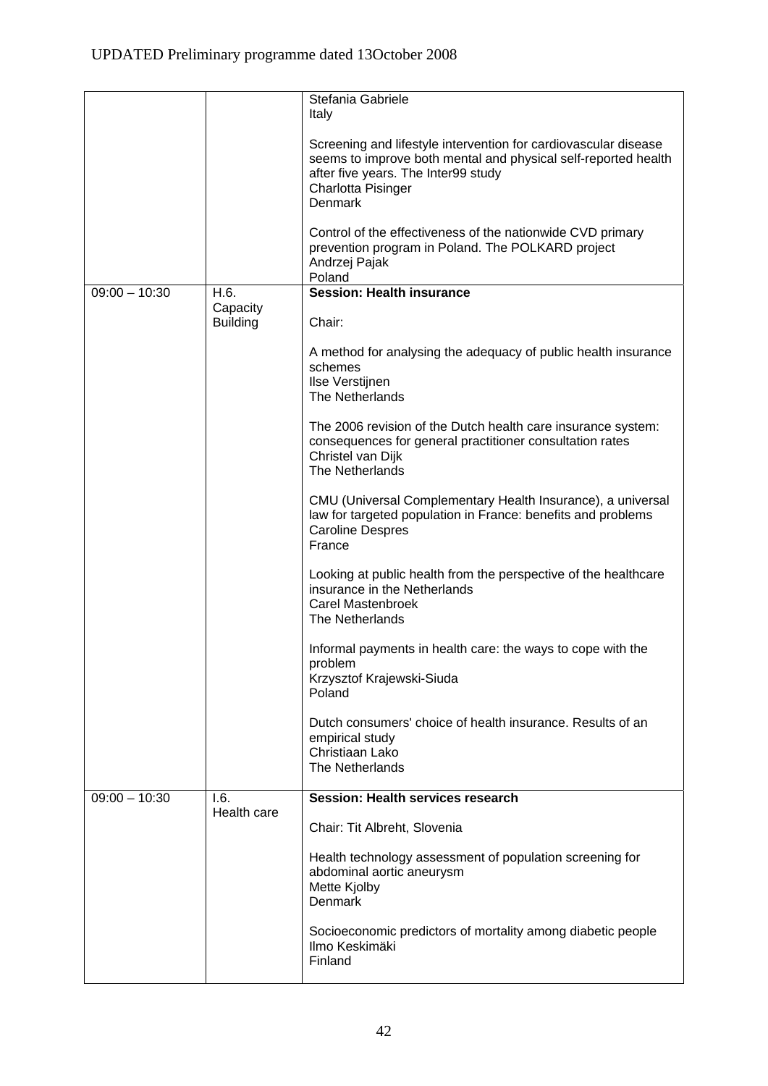|                 |                  | Stefania Gabriele                                                                                                                                                                                         |
|-----------------|------------------|-----------------------------------------------------------------------------------------------------------------------------------------------------------------------------------------------------------|
|                 |                  | Italy                                                                                                                                                                                                     |
|                 |                  | Screening and lifestyle intervention for cardiovascular disease<br>seems to improve both mental and physical self-reported health<br>after five years. The Inter99 study<br>Charlotta Pisinger<br>Denmark |
|                 |                  | Control of the effectiveness of the nationwide CVD primary<br>prevention program in Poland. The POLKARD project<br>Andrzej Pajak<br>Poland                                                                |
| $09:00 - 10:30$ | H.6.<br>Capacity | <b>Session: Health insurance</b>                                                                                                                                                                          |
|                 | <b>Building</b>  | Chair:                                                                                                                                                                                                    |
|                 |                  | A method for analysing the adequacy of public health insurance<br>schemes<br>Ilse Verstijnen<br>The Netherlands                                                                                           |
|                 |                  | The 2006 revision of the Dutch health care insurance system:<br>consequences for general practitioner consultation rates<br>Christel van Dijk<br>The Netherlands                                          |
|                 |                  | CMU (Universal Complementary Health Insurance), a universal<br>law for targeted population in France: benefits and problems<br><b>Caroline Despres</b><br>France                                          |
|                 |                  | Looking at public health from the perspective of the healthcare<br>insurance in the Netherlands<br>Carel Mastenbroek<br>The Netherlands                                                                   |
|                 |                  | Informal payments in health care: the ways to cope with the<br>problem<br>Krzysztof Krajewski-Siuda<br>Poland                                                                                             |
|                 |                  | Dutch consumers' choice of health insurance. Results of an<br>empirical study<br>Christiaan Lako<br>The Netherlands                                                                                       |
| $09:00 - 10:30$ | 1.6.             | <b>Session: Health services research</b>                                                                                                                                                                  |
|                 | Health care      | Chair: Tit Albreht, Slovenia                                                                                                                                                                              |
|                 |                  | Health technology assessment of population screening for<br>abdominal aortic aneurysm<br>Mette Kjolby<br>Denmark                                                                                          |
|                 |                  | Socioeconomic predictors of mortality among diabetic people<br>Ilmo Keskimäki<br>Finland                                                                                                                  |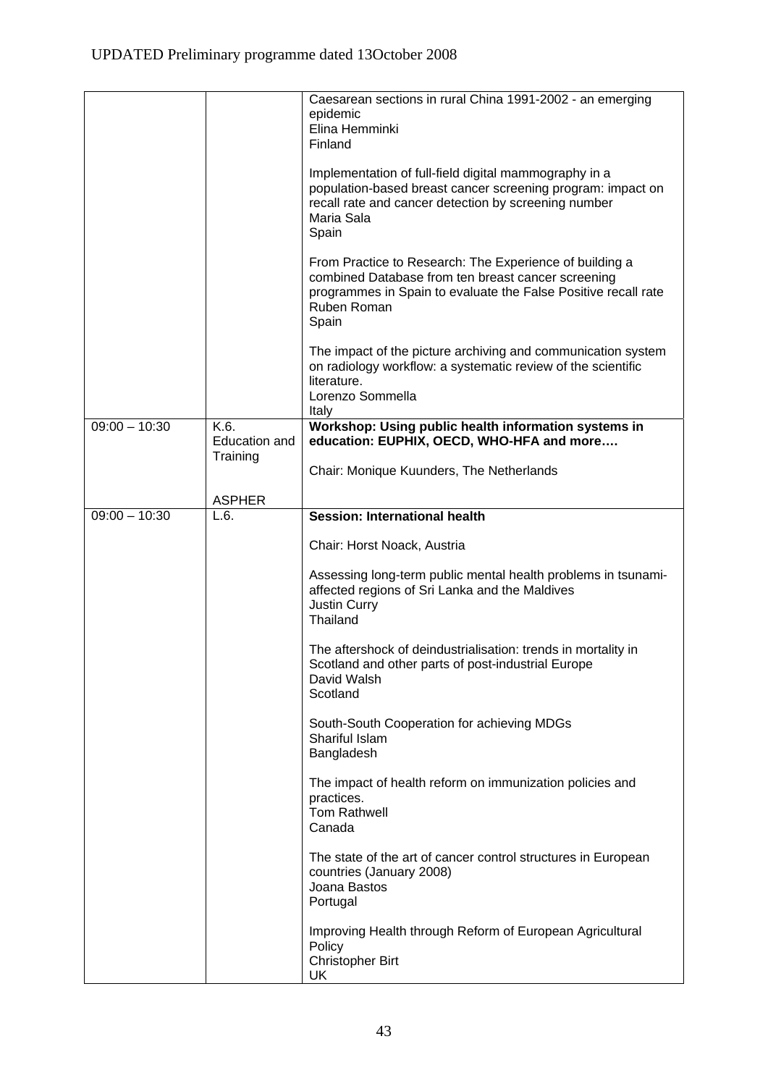|                 |                           | Caesarean sections in rural China 1991-2002 - an emerging<br>epidemic<br>Elina Hemminki<br>Finland<br>Implementation of full-field digital mammography in a<br>population-based breast cancer screening program: impact on<br>recall rate and cancer detection by screening number<br>Maria Sala<br>Spain<br>From Practice to Research: The Experience of building a<br>combined Database from ten breast cancer screening<br>programmes in Spain to evaluate the False Positive recall rate<br>Ruben Roman<br>Spain |
|-----------------|---------------------------|----------------------------------------------------------------------------------------------------------------------------------------------------------------------------------------------------------------------------------------------------------------------------------------------------------------------------------------------------------------------------------------------------------------------------------------------------------------------------------------------------------------------|
|                 |                           | The impact of the picture archiving and communication system<br>on radiology workflow: a systematic review of the scientific<br>literature.<br>Lorenzo Sommella<br>Italy                                                                                                                                                                                                                                                                                                                                             |
| $09:00 - 10:30$ | K.6.                      | Workshop: Using public health information systems in                                                                                                                                                                                                                                                                                                                                                                                                                                                                 |
|                 | Education and<br>Training | education: EUPHIX, OECD, WHO-HFA and more                                                                                                                                                                                                                                                                                                                                                                                                                                                                            |
|                 |                           | Chair: Monique Kuunders, The Netherlands                                                                                                                                                                                                                                                                                                                                                                                                                                                                             |
|                 | <b>ASPHER</b>             |                                                                                                                                                                                                                                                                                                                                                                                                                                                                                                                      |
| $09:00 - 10:30$ | L.6.                      | <b>Session: International health</b>                                                                                                                                                                                                                                                                                                                                                                                                                                                                                 |
|                 |                           | Chair: Horst Noack, Austria                                                                                                                                                                                                                                                                                                                                                                                                                                                                                          |
|                 |                           | Assessing long-term public mental health problems in tsunami-<br>affected regions of Sri Lanka and the Maldives<br>Justin Curry<br>Thailand                                                                                                                                                                                                                                                                                                                                                                          |
|                 |                           | The aftershock of deindustrialisation: trends in mortality in<br>Scotland and other parts of post-industrial Europe<br>David Walsh<br>Scotland                                                                                                                                                                                                                                                                                                                                                                       |
|                 |                           | South-South Cooperation for achieving MDGs<br>Shariful Islam<br>Bangladesh                                                                                                                                                                                                                                                                                                                                                                                                                                           |
|                 |                           | The impact of health reform on immunization policies and<br>practices.<br><b>Tom Rathwell</b><br>Canada                                                                                                                                                                                                                                                                                                                                                                                                              |
|                 |                           | The state of the art of cancer control structures in European<br>countries (January 2008)<br>Joana Bastos<br>Portugal                                                                                                                                                                                                                                                                                                                                                                                                |
|                 |                           | Improving Health through Reform of European Agricultural<br>Policy<br><b>Christopher Birt</b><br>UK                                                                                                                                                                                                                                                                                                                                                                                                                  |